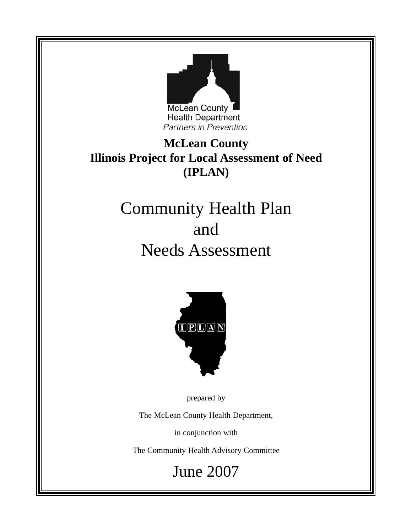

**McLean County Illinois Project for Local Assessment of Need (IPLAN)**

## Community Health Plan and Needs Assessment



prepared by

The McLean County Health Department,

in conjunction with

The Community Health Advisory Committee

June 2007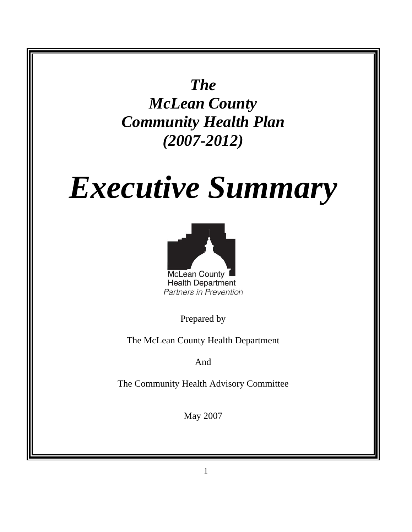*The McLean County Community Health Plan (2007-2012)* 

# *Executive Summary*



Prepared by

The McLean County Health Department

And

The Community Health Advisory Committee

May 2007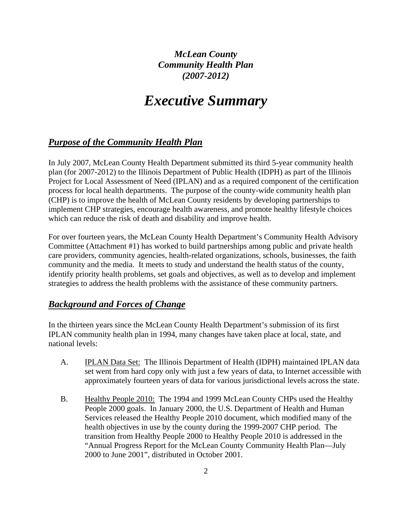*McLean County Community Health Plan (2007-2012)* 

## *Executive Summary*

#### *Purpose of the Community Health Plan*

In July 2007, McLean County Health Department submitted its third 5-year community health plan (for 2007-2012) to the Illinois Department of Public Health (IDPH) as part of the Illinois Project for Local Assessment of Need (IPLAN) and as a required component of the certification process for local health departments. The purpose of the county-wide community health plan (CHP) is to improve the health of McLean County residents by developing partnerships to implement CHP strategies, encourage health awareness, and promote healthy lifestyle choices which can reduce the risk of death and disability and improve health.

For over fourteen years, the McLean County Health Department's Community Health Advisory Committee (Attachment #1) has worked to build partnerships among public and private health care providers, community agencies, health-related organizations, schools, businesses, the faith community and the media. It meets to study and understand the health status of the county, identify priority health problems, set goals and objectives, as well as to develop and implement strategies to address the health problems with the assistance of these community partners.

#### *Background and Forces of Change*

In the thirteen years since the McLean County Health Department's submission of its first IPLAN community health plan in 1994, many changes have taken place at local, state, and national levels:

- A. **IPLAN Data Set:** The Illinois Department of Health (IDPH) maintained IPLAN data set went from hard copy only with just a few years of data, to Internet accessible with approximately fourteen years of data for various jurisdictional levels across the state.
- B. Healthy People 2010: The 1994 and 1999 McLean County CHPs used the Healthy People 2000 goals. In January 2000, the U.S. Department of Health and Human Services released the Healthy People 2010 document, which modified many of the health objectives in use by the county during the 1999-2007 CHP period. The transition from Healthy People 2000 to Healthy People 2010 is addressed in the "Annual Progress Report for the McLean County Community Health Plan—July 2000 to June 2001", distributed in October 2001.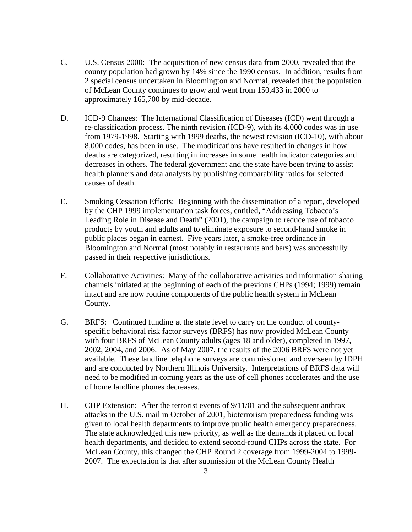- C. U.S. Census 2000: The acquisition of new census data from 2000, revealed that the county population had grown by 14% since the 1990 census. In addition, results from 2 special census undertaken in Bloomington and Normal, revealed that the population of McLean County continues to grow and went from 150,433 in 2000 to approximately 165,700 by mid-decade.
- D. ICD-9 Changes: The International Classification of Diseases (ICD) went through a re-classification process. The ninth revision (ICD-9), with its 4,000 codes was in use from 1979-1998. Starting with 1999 deaths, the newest revision (ICD-10), with about 8,000 codes, has been in use. The modifications have resulted in changes in how deaths are categorized, resulting in increases in some health indicator categories and decreases in others. The federal government and the state have been trying to assist health planners and data analysts by publishing comparability ratios for selected causes of death.
- E. Smoking Cessation Efforts: Beginning with the dissemination of a report, developed by the CHP 1999 implementation task forces, entitled, "Addressing Tobacco's Leading Role in Disease and Death" (2001), the campaign to reduce use of tobacco products by youth and adults and to eliminate exposure to second-hand smoke in public places began in earnest. Five years later, a smoke-free ordinance in Bloomington and Normal (most notably in restaurants and bars) was successfully passed in their respective jurisdictions.
- F. Collaborative Activities: Many of the collaborative activities and information sharing channels initiated at the beginning of each of the previous CHPs (1994; 1999) remain intact and are now routine components of the public health system in McLean County.
- G. BRFS: Continued funding at the state level to carry on the conduct of countyspecific behavioral risk factor surveys (BRFS) has now provided McLean County with four BRFS of McLean County adults (ages 18 and older), completed in 1997, 2002, 2004, and 2006. As of May 2007, the results of the 2006 BRFS were not yet available. These landline telephone surveys are commissioned and overseen by IDPH and are conducted by Northern Illinois University. Interpretations of BRFS data will need to be modified in coming years as the use of cell phones accelerates and the use of home landline phones decreases.
- H. CHP Extension: After the terrorist events of 9/11/01 and the subsequent anthrax attacks in the U.S. mail in October of 2001, bioterrorism preparedness funding was given to local health departments to improve public health emergency preparedness. The state acknowledged this new priority, as well as the demands it placed on local health departments, and decided to extend second-round CHPs across the state. For McLean County, this changed the CHP Round 2 coverage from 1999-2004 to 1999- 2007. The expectation is that after submission of the McLean County Health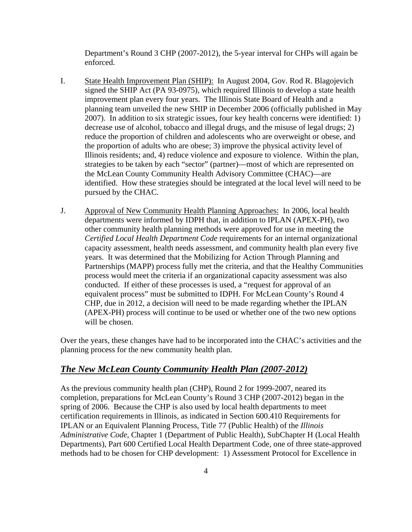Department's Round 3 CHP (2007-2012), the 5-year interval for CHPs will again be enforced.

- I. State Health Improvement Plan (SHIP): In August 2004, Gov. Rod R. Blagojevich signed the SHIP Act (PA 93-0975), which required Illinois to develop a state health improvement plan every four years. The Illinois State Board of Health and a planning team unveiled the new SHIP in December 2006 (officially published in May 2007). In addition to six strategic issues, four key health concerns were identified: 1) decrease use of alcohol, tobacco and illegal drugs, and the misuse of legal drugs; 2) reduce the proportion of children and adolescents who are overweight or obese, and the proportion of adults who are obese; 3) improve the physical activity level of Illinois residents; and, 4) reduce violence and exposure to violence. Within the plan, strategies to be taken by each "sector" (partner)—most of which are represented on the McLean County Community Health Advisory Committee (CHAC)—are identified. How these strategies should be integrated at the local level will need to be pursued by the CHAC.
- J. Approval of New Community Health Planning Approaches: In 2006, local health departments were informed by IDPH that, in addition to IPLAN (APEX-PH), two other community health planning methods were approved for use in meeting the *Certified Local Health Department Code* requirements for an internal organizational capacity assessment, health needs assessment, and community health plan every five years. It was determined that the Mobilizing for Action Through Planning and Partnerships (MAPP) process fully met the criteria, and that the Healthy Communities process would meet the criteria if an organizational capacity assessment was also conducted. If either of these processes is used, a "request for approval of an equivalent process" must be submitted to IDPH. For McLean County's Round 4 CHP, due in 2012, a decision will need to be made regarding whether the IPLAN (APEX-PH) process will continue to be used or whether one of the two new options will be chosen.

Over the years, these changes have had to be incorporated into the CHAC's activities and the planning process for the new community health plan.

#### *The New McLean County Community Health Plan (2007-2012)*

As the previous community health plan (CHP), Round 2 for 1999-2007, neared its completion, preparations for McLean County's Round 3 CHP (2007-2012) began in the spring of 2006. Because the CHP is also used by local health departments to meet certification requirements in Illinois, as indicated in Section 600.410 Requirements for IPLAN or an Equivalent Planning Process, Title 77 (Public Health) of the *Illinois Administrative Code*, Chapter 1 (Department of Public Health), SubChapter H (Local Health Departments), Part 600 Certified Local Health Department Code, one of three state-approved methods had to be chosen for CHP development: 1) Assessment Protocol for Excellence in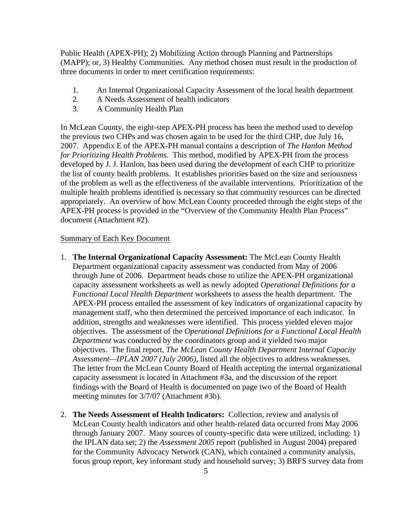Public Health (APEX-PH); 2) Mobilizing Action through Planning and Partnerships (MAPP); or, 3) Healthy Communities. Any method chosen must result in the production of three documents in order to meet certification requirements:

- 1. An Internal Organizational Capacity Assessment of the local health department
- 2. A Needs Assessment of health indicators
- 3. A Community Health Plan

In McLean County, the eight-step APEX-PH process has been the method used to develop the previous two CHPs and was chosen again to be used for the third CHP, due July 16, 2007. Appendix E of the APEX-PH manual contains a description of *The Hanlon Method for Prioritizing Health Problems*. This method, modified by APEX-PH from the process developed by J. J. Hanlon, has been used during the development of each CHP to prioritize the list of county health problems. It establishes priorities based on the size and seriousness of the problem as well as the effectiveness of the available interventions. Prioritization of the multiple health problems identified is necessary so that community resources can be directed appropriately. An overview of how McLean County proceeded through the eight steps of the APEX-PH process is provided in the "Overview of the Community Health Plan Process" document (Attachment #2).

#### Summary of Each Key Document

- 1. **The Internal Organizational Capacity Assessment:** The McLean County Health Department organizational capacity assessment was conducted from May of 2006 through June of 2006. Department heads chose to utilize the APEX-PH organizational capacity assessment worksheets as well as newly adopted *Operational Definitions for a Functional Local Health Department* worksheets to assess the health department. The APEX-PH process entailed the assessment of key indicators of organizational capacity by management staff, who then determined the perceived importance of each indicator. In addition, strengths and weaknesses were identified. This process yielded eleven major objectives. The assessment of the *Operational Definitions for a Functional Local Health Department* was conducted by the coordinators group and it yielded two major objectives. The final report, *The McLean County Health Department Internal Capacity Assessment—IPLAN 2007 (July 2006)*, listed all the objectives to address weaknesses. The letter from the McLean County Board of Health accepting the internal organizational capacity assessment is located in Attachment #3a, and the discussion of the report findings with the Board of Health is documented on page two of the Board of Health meeting minutes for 3/7/07 (Attachment #3b).
- 2. **The Needs Assessment of Health Indicators:** Collection, review and analysis of McLean County health indicators and other health-related data occurred from May 2006 through January 2007. Many sources of county-specific data were utilized, including: 1) the IPLAN data set; 2) the *Assessment 2005* report (published in August 2004) prepared for the Community Advocacy Network (CAN), which contained a community analysis, focus group report, key informant study and household survey; 3) BRFS survey data from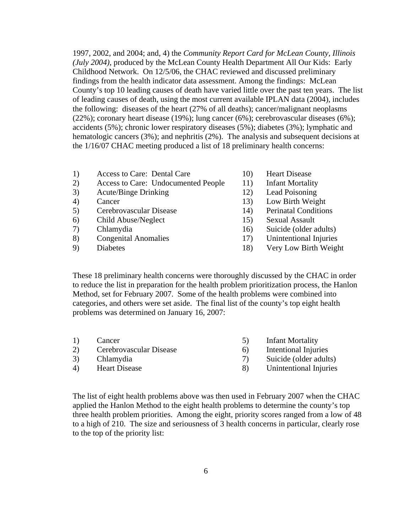1997, 2002, and 2004; and, 4) the *Community Report Card for McLean County, Illinois (July 2004)*, produced by the McLean County Health Department All Our Kids: Early Childhood Network. On 12/5/06, the CHAC reviewed and discussed preliminary findings from the health indicator data assessment. Among the findings: McLean County's top 10 leading causes of death have varied little over the past ten years. The list of leading causes of death, using the most current available IPLAN data (2004), includes the following: diseases of the heart (27% of all deaths); cancer/malignant neoplasms (22%); coronary heart disease (19%); lung cancer (6%); cerebrovascular diseases (6%); accidents (5%); chronic lower respiratory diseases (5%); diabetes (3%); lymphatic and hematologic cancers (3%); and nephritis (2%). The analysis and subsequent decisions at the 1/16/07 CHAC meeting produced a list of 18 preliminary health concerns:

- 1) Access to Care: Dental Care 10) Heart Disease
- 2) Access to Care: Undocumented People 11) Infant Mortality
- 3) Acute/Binge Drinking 12) Lead Poisoning
- 
- 5) Cerebrovascular Disease 14) Perinatal Conditions
- 
- 
- 8) Congenital Anomalies 17) Unintentional Injuries
- 
- 
- 
- 
- 4) Cancer 13) Low Birth Weight
	-
- 6) Child Abuse/Neglect 15) Sexual Assault
- 7) Chlamydia 16) Suicide (older adults)
	-
- 9) Diabetes 18) Very Low Birth Weight

These 18 preliminary health concerns were thoroughly discussed by the CHAC in order to reduce the list in preparation for the health problem prioritization process, the Hanlon Method, set for February 2007. Some of the health problems were combined into categories, and others were set aside. The final list of the county's top eight health problems was determined on January 16, 2007:

| 1) | Cancer                  |     | <b>Infant Mortality</b> |
|----|-------------------------|-----|-------------------------|
| 2) | Cerebrovascular Disease | (h) | Intentional Injuries    |
| 3) | Chlamydia               |     | Suicide (older adults)  |
| 4) | <b>Heart Disease</b>    | 8)  | Unintentional Injuries  |
|    |                         |     |                         |

The list of eight health problems above was then used in February 2007 when the CHAC applied the Hanlon Method to the eight health problems to determine the county's top three health problem priorities. Among the eight, priority scores ranged from a low of 48 to a high of 210. The size and seriousness of 3 health concerns in particular, clearly rose to the top of the priority list: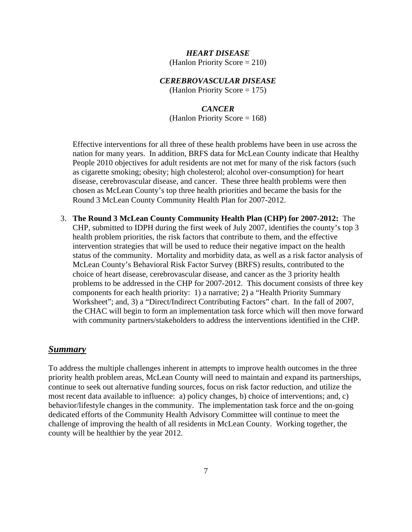#### *HEART DISEASE*

(Hanlon Priority Score = 210)

#### *CEREBROVASCULAR DISEASE*

(Hanlon Priority Score  $= 175$ )

## *CANCER*

(Hanlon Priority Score = 168)

Effective interventions for all three of these health problems have been in use across the nation for many years. In addition, BRFS data for McLean County indicate that Healthy People 2010 objectives for adult residents are not met for many of the risk factors (such as cigarette smoking; obesity; high cholesterol; alcohol over-consumption) for heart disease, cerebrovascular disease, and cancer. These three health problems were then chosen as McLean County's top three health priorities and became the basis for the Round 3 McLean County Community Health Plan for 2007-2012.

3. **The Round 3 McLean County Community Health Plan (CHP) for 2007-2012:** The CHP, submitted to IDPH during the first week of July 2007, identifies the county's top 3 health problem priorities, the risk factors that contribute to them, and the effective intervention strategies that will be used to reduce their negative impact on the health status of the community. Mortality and morbidity data, as well as a risk factor analysis of McLean County's Behavioral Risk Factor Survey (BRFS) results, contributed to the choice of heart disease, cerebrovascular disease, and cancer as the 3 priority health problems to be addressed in the CHP for 2007-2012. This document consists of three key components for each health priority: 1) a narrative; 2) a "Health Priority Summary Worksheet"; and, 3) a "Direct/Indirect Contributing Factors" chart. In the fall of 2007, the CHAC will begin to form an implementation task force which will then move forward with community partners/stakeholders to address the interventions identified in the CHP.

#### *Summary*

To address the multiple challenges inherent in attempts to improve health outcomes in the three priority health problem areas, McLean County will need to maintain and expand its partnerships, continue to seek out alternative funding sources, focus on risk factor reduction, and utilize the most recent data available to influence: a) policy changes, b) choice of interventions; and, c) behavior/lifestyle changes in the community. The implementation task force and the on-going dedicated efforts of the Community Health Advisory Committee will continue to meet the challenge of improving the health of all residents in McLean County. Working together, the county will be healthier by the year 2012.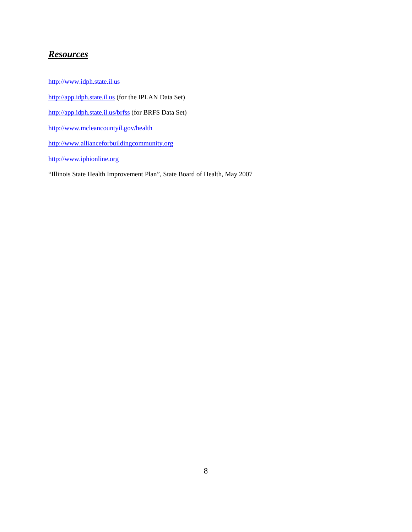#### *Resources*

http://www.idph.state.il.us http://app.idph.state.il.us (for the IPLAN Data Set) http://app.idph.state.il.us/brfss (for BRFS Data Set) http://www.mcleancountyil.gov/health http://www.allianceforbuildingcommunity.org http://www.iphionline.org "Illinois State Health Improvement Plan", State Board of Health, May 2007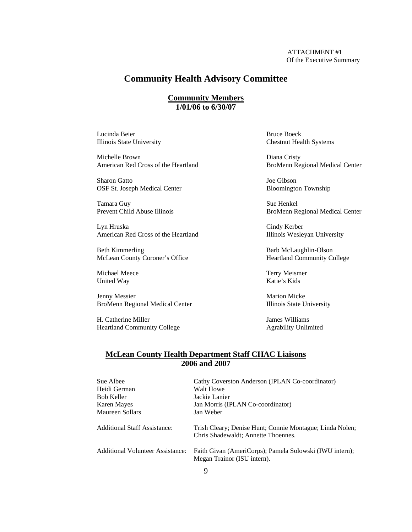#### **Community Health Advisory Committee**

#### **Community Members 1/01/06 to 6/30/07**

Lucinda Beier Boeck

Michelle Brown Diana Cristy American Red Cross of the Heartland BroMenn Regional Medical Center

Sharon Gatto Joe Gibson OSF St. Joseph Medical Center Bloomington Township

Tamara Guy Sue Henkel

Lyn Hruska Cindy Kerber American Red Cross of the Heartland Illinois Wesleyan University

Beth Kimmerling Barb McLaughlin-Olson McLean County Coroner's Office Heartland Community College

Michael Meece Terry Meismer<br>
United Way Terry Meismer<br>
Katie's Kids United Way

Jenny Messier Marion Micke BroMenn Regional Medical Center Illinois State University

H. Catherine Miller James Williams Heartland Community College Agrability Unlimited

Illinois State University Chestnut Health Systems

Prevent Child Abuse Illinois BroMenn Regional Medical Center

#### **McLean County Health Department Staff CHAC Liaisons 2006 and 2007**

| Sue Albee<br>Heidi German               | Cathy Coverston Anderson (IPLAN Co-coordinator)<br>Walt Howe                                    |
|-----------------------------------------|-------------------------------------------------------------------------------------------------|
| Bob Keller                              | Jackie Lanier                                                                                   |
| Karen Mayes                             | Jan Morris (IPLAN Co-coordinator)                                                               |
| Maureen Sollars                         | Jan Weber                                                                                       |
| Additional Staff Assistance:            | Trish Cleary; Denise Hunt; Connie Montague; Linda Nolen;<br>Chris Shadewaldt; Annette Thoennes. |
| <b>Additional Volunteer Assistance:</b> | Faith Givan (AmeriCorps); Pamela Solowski (IWU intern);<br>Megan Trainor (ISU intern).          |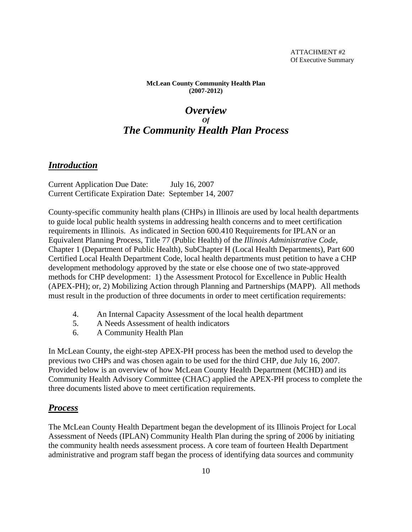**McLean County Community Health Plan (2007-2012)**

## *Overview Of The Community Health Plan Process*

#### *Introduction*

Current Application Due Date: July 16, 2007 Current Certificate Expiration Date: September 14, 2007

County-specific community health plans (CHPs) in Illinois are used by local health departments to guide local public health systems in addressing health concerns and to meet certification requirements in Illinois. As indicated in Section 600.410 Requirements for IPLAN or an Equivalent Planning Process, Title 77 (Public Health) of the *Illinois Administrative Code*, Chapter 1 (Department of Public Health), SubChapter H (Local Health Departments), Part 600 Certified Local Health Department Code, local health departments must petition to have a CHP development methodology approved by the state or else choose one of two state-approved methods for CHP development: 1) the Assessment Protocol for Excellence in Public Health (APEX-PH); or, 2) Mobilizing Action through Planning and Partnerships (MAPP). All methods must result in the production of three documents in order to meet certification requirements:

- 4. An Internal Capacity Assessment of the local health department
- 5. A Needs Assessment of health indicators
- 6. A Community Health Plan

In McLean County, the eight-step APEX-PH process has been the method used to develop the previous two CHPs and was chosen again to be used for the third CHP, due July 16, 2007. Provided below is an overview of how McLean County Health Department (MCHD) and its Community Health Advisory Committee (CHAC) applied the APEX-PH process to complete the three documents listed above to meet certification requirements.

#### *Process*

The McLean County Health Department began the development of its Illinois Project for Local Assessment of Needs (IPLAN) Community Health Plan during the spring of 2006 by initiating the community health needs assessment process. A core team of fourteen Health Department administrative and program staff began the process of identifying data sources and community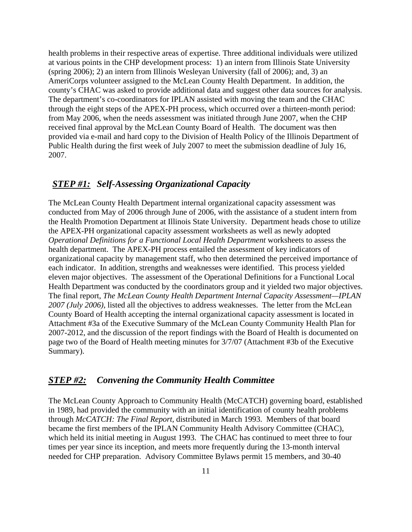health problems in their respective areas of expertise. Three additional individuals were utilized at various points in the CHP development process: 1) an intern from Illinois State University (spring 2006); 2) an intern from Illinois Wesleyan University (fall of 2006); and, 3) an AmeriCorps volunteer assigned to the McLean County Health Department. In addition, the county's CHAC was asked to provide additional data and suggest other data sources for analysis. The department's co-coordinators for IPLAN assisted with moving the team and the CHAC through the eight steps of the APEX-PH process, which occurred over a thirteen-month period: from May 2006, when the needs assessment was initiated through June 2007, when the CHP received final approval by the McLean County Board of Health. The document was then provided via e-mail and hard copy to the Division of Health Policy of the Illinois Department of Public Health during the first week of July 2007 to meet the submission deadline of July 16, 2007.

#### *STEP #1: Self-Assessing Organizational Capacity*

The McLean County Health Department internal organizational capacity assessment was conducted from May of 2006 through June of 2006, with the assistance of a student intern from the Health Promotion Department at Illinois State University. Department heads chose to utilize the APEX-PH organizational capacity assessment worksheets as well as newly adopted *Operational Definitions for a Functional Local Health Department* worksheets to assess the health department. The APEX-PH process entailed the assessment of key indicators of organizational capacity by management staff, who then determined the perceived importance of each indicator. In addition, strengths and weaknesses were identified. This process yielded eleven major objectives. The assessment of the Operational Definitions for a Functional Local Health Department was conducted by the coordinators group and it yielded two major objectives. The final report, *The McLean County Health Department Internal Capacity Assessment—IPLAN 2007 (July 2006)*, listed all the objectives to address weaknesses. The letter from the McLean County Board of Health accepting the internal organizational capacity assessment is located in Attachment #3a of the Executive Summary of the McLean County Community Health Plan for 2007-2012, and the discussion of the report findings with the Board of Health is documented on page two of the Board of Health meeting minutes for 3/7/07 (Attachment #3b of the Executive Summary).

#### *STEP #2: Convening the Community Health Committee*

The McLean County Approach to Community Health (McCATCH) governing board, established in 1989, had provided the community with an initial identification of county health problems through *McCATCH: The Final Report,* distributed in March 1993. Members of that board became the first members of the IPLAN Community Health Advisory Committee (CHAC), which held its initial meeting in August 1993. The CHAC has continued to meet three to four times per year since its inception, and meets more frequently during the 13-month interval needed for CHP preparation. Advisory Committee Bylaws permit 15 members, and 30-40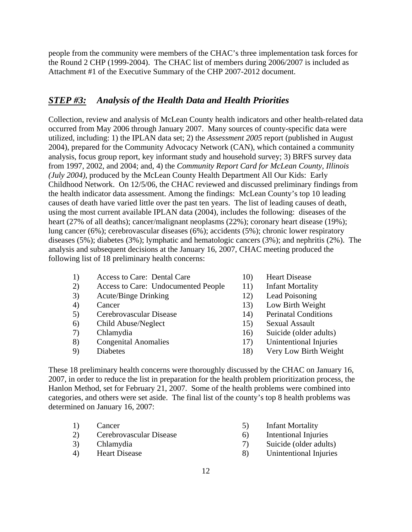people from the community were members of the CHAC's three implementation task forces for the Round 2 CHP (1999-2004). The CHAC list of members during 2006/2007 is included as Attachment #1 of the Executive Summary of the CHP 2007-2012 document.

#### *STEP #3: Analysis of the Health Data and Health Priorities*

Collection, review and analysis of McLean County health indicators and other health-related data occurred from May 2006 through January 2007. Many sources of county-specific data were utilized, including: 1) the IPLAN data set; 2) the *Assessment 2005* report (published in August 2004), prepared for the Community Advocacy Network (CAN), which contained a community analysis, focus group report, key informant study and household survey; 3) BRFS survey data from 1997, 2002, and 2004; and, 4) the *Community Report Card for McLean County, Illinois (July 2004)*, produced by the McLean County Health Department All Our Kids: Early Childhood Network. On 12/5/06, the CHAC reviewed and discussed preliminary findings from the health indicator data assessment. Among the findings: McLean County's top 10 leading causes of death have varied little over the past ten years. The list of leading causes of death, using the most current available IPLAN data (2004), includes the following: diseases of the heart (27% of all deaths); cancer/malignant neoplasms (22%); coronary heart disease (19%); lung cancer (6%); cerebrovascular diseases (6%); accidents (5%); chronic lower respiratory diseases (5%); diabetes (3%); lymphatic and hematologic cancers (3%); and nephritis (2%). The analysis and subsequent decisions at the January 16, 2007, CHAC meeting produced the following list of 18 preliminary health concerns:

- 1) Access to Care: Dental Care 10) Heart Disease
- 2) Access to Care: Undocumented People 11) Infant Mortality
- 3) Acute/Binge Drinking 12) Lead Poisoning
- 
- 5) Cerebrovascular Disease 14) Perinatal Conditions
- 6) Child Abuse/Neglect 15) Sexual Assault
- 
- 
- 
- 
- 
- 
- 4) Cancer 13) Low Birth Weight
	-
	-
- 7) Chlamydia 16) Suicide (older adults)
- 8) Congenital Anomalies 17) Unintentional Injuries
- 9) Diabetes 18) Very Low Birth Weight

These 18 preliminary health concerns were thoroughly discussed by the CHAC on January 16, 2007, in order to reduce the list in preparation for the health problem prioritization process, the Hanlon Method, set for February 21, 2007. Some of the health problems were combined into categories, and others were set aside. The final list of the county's top 8 health problems was determined on January 16, 2007:

- 1) Cancer 5) Infant Mortality
- 2) Cerebrovascular Disease 6) Intentional Injuries
- -
- 
- 
- 3) Chlamydia 7) Suicide (older adults)
- 4) Heart Disease 8) Unintentional Injuries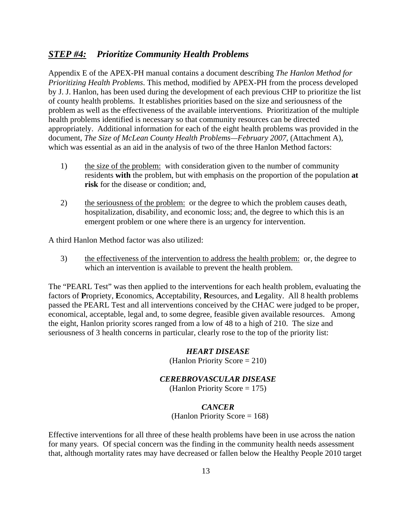#### *STEP #4: Prioritize Community Health Problems*

Appendix E of the APEX-PH manual contains a document describing *The Hanlon Method for Prioritizing Health Problems*. This method, modified by APEX-PH from the process developed by J. J. Hanlon, has been used during the development of each previous CHP to prioritize the list of county health problems. It establishes priorities based on the size and seriousness of the problem as well as the effectiveness of the available interventions. Prioritization of the multiple health problems identified is necessary so that community resources can be directed appropriately. Additional information for each of the eight health problems was provided in the document, *The Size of McLean County Health Problems—February 2007*, (Attachment A), which was essential as an aid in the analysis of two of the three Hanlon Method factors:

- 1) the size of the problem: with consideration given to the number of community residents **with** the problem, but with emphasis on the proportion of the population **at risk** for the disease or condition; and,
- 2) the seriousness of the problem: or the degree to which the problem causes death, hospitalization, disability, and economic loss; and, the degree to which this is an emergent problem or one where there is an urgency for intervention.

A third Hanlon Method factor was also utilized:

3) the effectiveness of the intervention to address the health problem: or, the degree to which an intervention is available to prevent the health problem.

The "PEARL Test" was then applied to the interventions for each health problem, evaluating the factors of **P**ropriety, **E**conomics, **A**cceptability, **R**esources, and **L**egality. All 8 health problems passed the PEARL Test and all interventions conceived by the CHAC were judged to be proper, economical, acceptable, legal and, to some degree, feasible given available resources. Among the eight, Hanlon priority scores ranged from a low of 48 to a high of 210. The size and seriousness of 3 health concerns in particular, clearly rose to the top of the priority list:

#### *HEART DISEASE*

(Hanlon Priority Score = 210)

#### *CEREBROVASCULAR DISEASE*

(Hanlon Priority Score = 175)

#### *CANCER*

(Hanlon Priority Score = 168)

Effective interventions for all three of these health problems have been in use across the nation for many years. Of special concern was the finding in the community health needs assessment that, although mortality rates may have decreased or fallen below the Healthy People 2010 target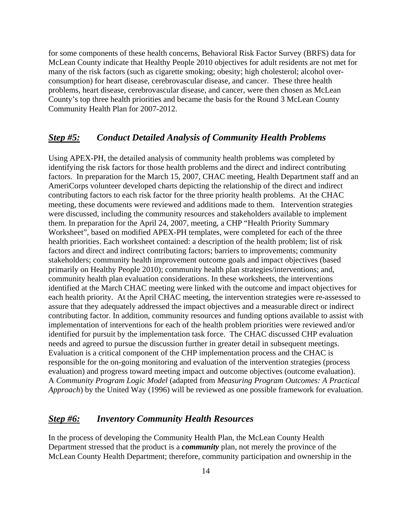for some components of these health concerns, Behavioral Risk Factor Survey (BRFS) data for McLean County indicate that Healthy People 2010 objectives for adult residents are not met for many of the risk factors (such as cigarette smoking; obesity; high cholesterol; alcohol overconsumption) for heart disease, cerebrovascular disease, and cancer. These three health problems, heart disease, cerebrovascular disease, and cancer, were then chosen as McLean County's top three health priorities and became the basis for the Round 3 McLean County Community Health Plan for 2007-2012.

#### *Step #5: Conduct Detailed Analysis of Community Health Problems*

Using APEX-PH, the detailed analysis of community health problems was completed by identifying the risk factors for those health problems and the direct and indirect contributing factors. In preparation for the March 15, 2007, CHAC meeting, Health Department staff and an AmeriCorps volunteer developed charts depicting the relationship of the direct and indirect contributing factors to each risk factor for the three priority health problems. At the CHAC meeting, these documents were reviewed and additions made to them. Intervention strategies were discussed, including the community resources and stakeholders available to implement them. In preparation for the April 24, 2007, meeting, a CHP "Health Priority Summary Worksheet", based on modified APEX-PH templates, were completed for each of the three health priorities. Each worksheet contained: a description of the health problem; list of risk factors and direct and indirect contributing factors; barriers to improvements; community stakeholders; community health improvement outcome goals and impact objectives (based primarily on Healthy People 2010); community health plan strategies/interventions; and, community health plan evaluation considerations. In these worksheets, the interventions identified at the March CHAC meeting were linked with the outcome and impact objectives for each health priority. At the April CHAC meeting, the intervention strategies were re-assessed to assure that they adequately addressed the impact objectives and a measurable direct or indirect contributing factor. In addition, community resources and funding options available to assist with implementation of interventions for each of the health problem priorities were reviewed and/or identified for pursuit by the implementation task force. The CHAC discussed CHP evaluation needs and agreed to pursue the discussion further in greater detail in subsequent meetings. Evaluation is a critical component of the CHP implementation process and the CHAC is responsible for the on-going monitoring and evaluation of the intervention strategies (process evaluation) and progress toward meeting impact and outcome objectives (outcome evaluation). A *Community Program Logic Model* (adapted from *Measuring Program Outcomes: A Practical Approach*) by the United Way (1996) will be reviewed as one possible framework for evaluation.

#### *Step #6: Inventory Community Health Resources*

In the process of developing the Community Health Plan, the McLean County Health Department stressed that the product is a *community* plan, not merely the province of the McLean County Health Department; therefore, community participation and ownership in the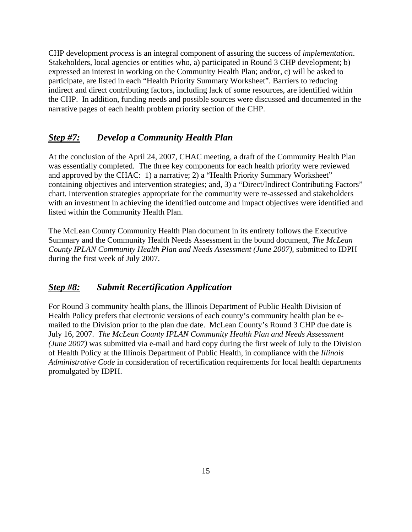CHP development *process* is an integral component of assuring the success of *implementation*. Stakeholders, local agencies or entities who, a) participated in Round 3 CHP development; b) expressed an interest in working on the Community Health Plan; and/or, c) will be asked to participate, are listed in each "Health Priority Summary Worksheet". Barriers to reducing indirect and direct contributing factors, including lack of some resources, are identified within the CHP. In addition, funding needs and possible sources were discussed and documented in the narrative pages of each health problem priority section of the CHP.

#### *Step #7: Develop a Community Health Plan*

At the conclusion of the April 24, 2007, CHAC meeting, a draft of the Community Health Plan was essentially completed. The three key components for each health priority were reviewed and approved by the CHAC: 1) a narrative; 2) a "Health Priority Summary Worksheet" containing objectives and intervention strategies; and, 3) a "Direct/Indirect Contributing Factors" chart. Intervention strategies appropriate for the community were re-assessed and stakeholders with an investment in achieving the identified outcome and impact objectives were identified and listed within the Community Health Plan.

The McLean County Community Health Plan document in its entirety follows the Executive Summary and the Community Health Needs Assessment in the bound document, *The McLean County IPLAN Community Health Plan and Needs Assessment (June 2007)*, submitted to IDPH during the first week of July 2007.

#### *Step #8: Submit Recertification Application*

For Round 3 community health plans, the Illinois Department of Public Health Division of Health Policy prefers that electronic versions of each county's community health plan be emailed to the Division prior to the plan due date. McLean County's Round 3 CHP due date is July 16, 2007. *The McLean County IPLAN Community Health Plan and Needs Assessment (June 2007)* was submitted via e-mail and hard copy during the first week of July to the Division of Health Policy at the Illinois Department of Public Health, in compliance with the *Illinois Administrative Code* in consideration of recertification requirements for local health departments promulgated by IDPH.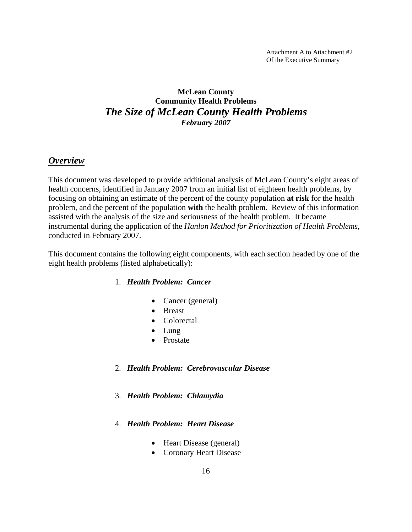Attachment A to Attachment #2 Of the Executive Summary

#### **McLean County Community Health Problems**  *The Size of McLean County Health Problems February 2007*

#### *Overview*

This document was developed to provide additional analysis of McLean County's eight areas of health concerns, identified in January 2007 from an initial list of eighteen health problems, by focusing on obtaining an estimate of the percent of the county population **at risk** for the health problem, and the percent of the population **with** the health problem. Review of this information assisted with the analysis of the size and seriousness of the health problem. It became instrumental during the application of the *Hanlon Method for Prioritization of Health Problems*, conducted in February 2007.

This document contains the following eight components, with each section headed by one of the eight health problems (listed alphabetically):

#### 1. *Health Problem: Cancer*

- Cancer (general)
- Breast
- Colorectal
- Lung
- Prostate
- 2. *Health Problem: Cerebrovascular Disease*
- 3. *Health Problem: Chlamydia*
- 4. *Health Problem: Heart Disease*
	- Heart Disease (general)
	- Coronary Heart Disease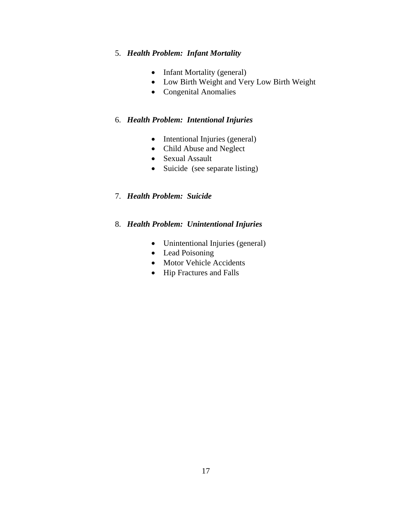#### 5. *Health Problem: Infant Mortality*

- Infant Mortality (general)
- Low Birth Weight and Very Low Birth Weight
- Congenital Anomalies

#### 6. *Health Problem: Intentional Injuries*

- Intentional Injuries (general)
- Child Abuse and Neglect
- Sexual Assault
- Suicide (see separate listing)

#### 7. *Health Problem: Suicide*

#### 8. *Health Problem: Unintentional Injuries*

- Unintentional Injuries (general)
- Lead Poisoning
- Motor Vehicle Accidents
- Hip Fractures and Falls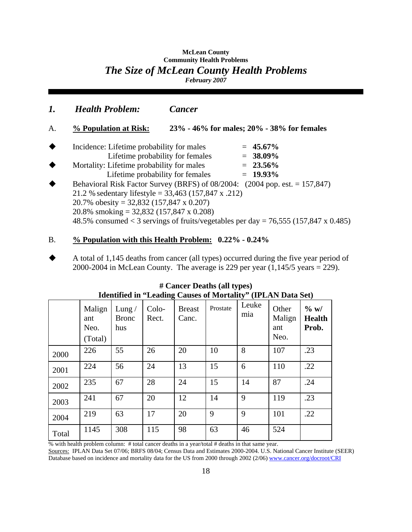#### **McLean County Community Health Problems**  *The Size of McLean County Health Problems February 2007*

*1. Health Problem: Cancer* A. **% Population at Risk: 23% - 46% for males; 20% - 38% for females** Incidence: Lifetime probability for males = **45.67%**  Lifetime probability for females = **38.09%** Mortality: Lifetime probability for males = **23.56%** Lifetime probability for females  $= 19.93\%$  Behavioral Risk Factor Survey (BRFS) of 08/2004: (2004 pop. est. = 157,847) 21.2 % sedentary lifestyle = 33,463 (157,847 x .212) 20.7% obesity = 32,832 (157,847 x 0.207)

20.8% smoking = 32,832 (157,847 x 0.208)

48.5% consumed  $<$  3 servings of fruits/vegetables per day = 76,555 (157,847 x 0.485)

#### B. **% Population with this Health Problem: 0.22% - 0.24%**

 A total of 1,145 deaths from cancer (all types) occurred during the five year period of 2000-2004 in McLean County. The average is 229 per year  $(1,145/5 \text{ years} = 229)$ .

| rachthrea m<br><b>Examing Causes of Moltanty</b><br>$($ 11 $\mu$ <sub>11</sub> $\mu$ $\mu$ <sub>114</sub> $\mu$ |                                  |                                 |                |                        |          |              |                                |                                   |
|-----------------------------------------------------------------------------------------------------------------|----------------------------------|---------------------------------|----------------|------------------------|----------|--------------|--------------------------------|-----------------------------------|
|                                                                                                                 | Malign<br>ant<br>Neo.<br>(Total) | Lung $/$<br><b>Bronc</b><br>hus | Colo-<br>Rect. | <b>Breast</b><br>Canc. | Prostate | Leuke<br>mia | Other<br>Malign<br>ant<br>Neo. | $\%$ w/<br><b>Health</b><br>Prob. |
| 2000                                                                                                            | 226                              | 55                              | 26             | 20                     | 10       | 8            | 107                            | .23                               |
| 2001                                                                                                            | 224                              | 56                              | 24             | 13                     | 15       | 6            | 110                            | .22                               |
| 2002                                                                                                            | 235                              | 67                              | 28             | 24                     | 15       | 14           | 87                             | .24                               |
| 2003                                                                                                            | 241                              | 67                              | 20             | 12                     | 14       | 9            | 119                            | .23                               |
| 2004                                                                                                            | 219                              | 63                              | 17             | 20                     | 9        | 9            | 101                            | .22                               |
| Total                                                                                                           | 1145                             | 308                             | 115            | 98                     | 63       | 46           | 524                            |                                   |

| $#$ Cancer Deaths (all types)                                       |  |
|---------------------------------------------------------------------|--|
| <b>Identified in "Leading Causes of Mortality" (IPLAN Data Set)</b> |  |

% with health problem column: # total cancer deaths in a year/total # deaths in that same year.

Sources: IPLAN Data Set 07/06; BRFS 08/04; Census Data and Estimates 2000-2004. U.S. National Cancer Institute (SEER) Database based on incidence and mortality data for the US from 2000 through 2002 (2/06) www.cancer.org/docroot/CRI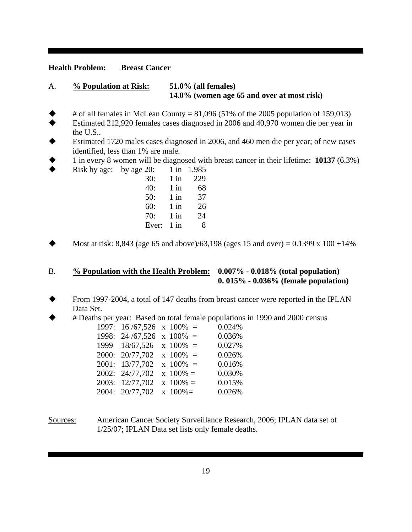#### **Health Problem: Breast Cancer**

#### A. **% Population at Risk: 51.0% (all females) 14.0% (women age 65 and over at most risk)**

- # of all females in McLean County =  $81,096$  (51% of the 2005 population of 159,013)
- Estimated 212,920 females cases diagnosed in 2006 and 40,970 women die per year in the U.S..
- Estimated 1720 males cases diagnosed in 2006, and 460 men die per year; of new cases identified, less than 1% are male.
- 1 in every 8 women will be diagnosed with breast cancer in their lifetime: **10137** (6.3%)
- Risk by age: by age  $20: 1 \text{ in } 1,985$

| 30:   | $1$ in | 229 |
|-------|--------|-----|
| 40:   | $1$ in | 68  |
| 50:   | $1$ in | 37  |
| 60:   | $1$ in | 26  |
| 70:   | $1$ in | 24  |
| Ever: | $1$ in | 8   |

Most at risk: 8,843 (age 65 and above)/63,198 (ages 15 and over) =  $0.1399 \times 100 + 14\%$ 

#### B. **% Population with the Health Problem: 0.007% - 0.018% (total population) 0. 015% - 0.036% (female population)**

- From 1997-2004, a total of 147 deaths from breast cancer were reported in the IPLAN Data Set.
- # Deaths per year: Based on total female populations in 1990 and 2000 census

| 1997: $16/67,526 \times 100\% =$ |               | 0.024% |
|----------------------------------|---------------|--------|
| 1998: $24/67,526 \times 100\% =$ |               | 0.036% |
| $1999$ $18/67,526$ x $100\%$ =   |               | 0.027% |
| $2000: 20/77,702 \times 100\% =$ |               | 0.026% |
| 2001: 13/77,702                  | $x 100\% =$   | 0.016% |
| 2002: 24/77,702                  | $x 100\% =$   | 0.030% |
| 2003: 12/77,702                  | $x 100\% =$   | 0.015% |
| 2004: 20/77,702                  | $x \ 100\% =$ | 0.026% |
|                                  |               |        |

Sources: American Cancer Society Surveillance Research, 2006; IPLAN data set of 1/25/07; IPLAN Data set lists only female deaths.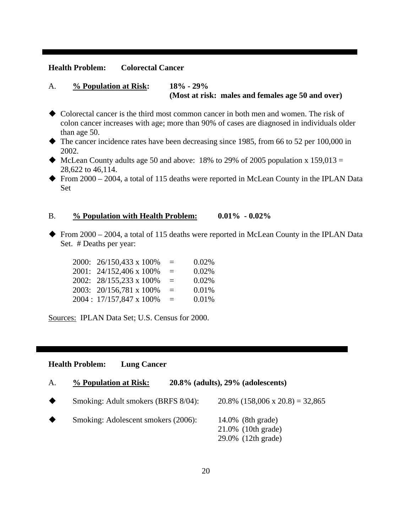#### **Health Problem: Colorectal Cancer**

#### A. **% Population at Risk: 18% - 29% (Most at risk: males and females age 50 and over)**

- Colorectal cancer is the third most common cancer in both men and women. The risk of colon cancer increases with age; more than 90% of cases are diagnosed in individuals older than age 50.
- The cancer incidence rates have been decreasing since 1985, from 66 to 52 per 100,000 in 2002.
- $\blacklozenge$  McLean County adults age 50 and above: 18% to 29% of 2005 population x 159,013 = 28,622 to 46,114.
- From 2000 2004, a total of 115 deaths were reported in McLean County in the IPLAN Data Set

#### B. **% Population with Health Problem: 0.01% - 0.02%**

From 2000 – 2004, a total of 115 deaths were reported in McLean County in the IPLAN Data Set. # Deaths per year:

| 2000: 26/150,433 x 100% | $\equiv$ | 0.02% |
|-------------------------|----------|-------|
| 2001: 24/152,406 x 100% | $=$      | 0.02% |
| 2002: 28/155,233 x 100% | $=$      | 0.02% |
| 2003: 20/156,781 x 100% | $\equiv$ | 0.01% |
| 2004: 17/157,847 x 100% | $=$      | 0.01% |

Sources: IPLAN Data Set; U.S. Census for 2000.

#### **Health Problem: Lung Cancer**

|  | A. | % Population at Risk: | $20.8\%$ (adults), $29\%$ (adolescents) |
|--|----|-----------------------|-----------------------------------------|
|--|----|-----------------------|-----------------------------------------|

- Smoking: Adult smokers (BRFS 8/04): 20.8% (158,006 x 20.8) = 32,865
- Smoking: Adolescent smokers (2006): 14.0% (8th grade) 21.0% (10th grade) 29.0% (12th grade)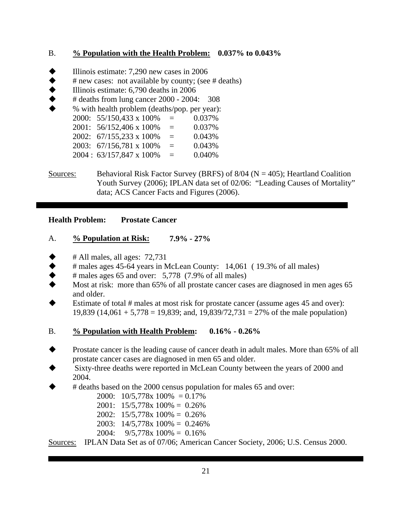#### B. **% Population with the Health Problem: 0.037% to 0.043%**

- Illinois estimate: 7,290 new cases in 2006
- # new cases: not available by county; (see # deaths)
- Illinois estimate: 6,790 deaths in 2006
- # deaths from lung cancer 2000 2004: 308
- % with health problem (deaths/pop. per year): 2000: 55/150,433 x 100% = 0.037% 2001:  $56/152,406 \times 100\% = 0.037\%$ 2002:  $67/155,233 \times 100\% = 0.043\%$ 2003: 67/156,781 x 100% = 0.043%
	- $2004 : 63/157,847 \times 100\% = 0.040\%$
- Sources: Behavioral Risk Factor Survey (BRFS) of  $8/04$  (N = 405); Heartland Coalition Youth Survey (2006); IPLAN data set of 02/06: "Leading Causes of Mortality" data; ACS Cancer Facts and Figures (2006).

#### **Health Problem: Prostate Cancer**

#### A. **% Population at Risk: 7.9% - 27%**

- # All males, all ages: 72,731
- $\blacklozenge$  # males ages 45-64 years in McLean County: 14,061 (19.3% of all males)
- $\#$  males ages 65 and over: 5,778 (7.9% of all males)
- Most at risk: more than 65% of all prostate cancer cases are diagnosed in men ages 65 and older.
- Estimate of total # males at most risk for prostate cancer (assume ages 45 and over): 19,839 (14,061 + 5,778 = 19,839; and, 19,839/72,731 = 27% of the male population)

#### B. **% Population with Health Problem: 0.16% - 0.26%**

- Prostate cancer is the leading cause of cancer death in adult males. More than 65% of all prostate cancer cases are diagnosed in men 65 and older.
- Sixty-three deaths were reported in McLean County between the years of 2000 and 2004.
- # deaths based on the 2000 census population for males 65 and over:
	- 2000:  $10/5,778x 100\% = 0.17\%$
	- 2001:  $15/5,778x 100\% = 0.26\%$
	- 2002:  $15/5.778x 100\% = 0.26\%$
	- 2003: 14/5,778x 100% = 0.246%
	- 2004:  $9/5,778x 100\% = 0.16\%$

Sources: IPLAN Data Set as of 07/06; American Cancer Society, 2006; U.S. Census 2000.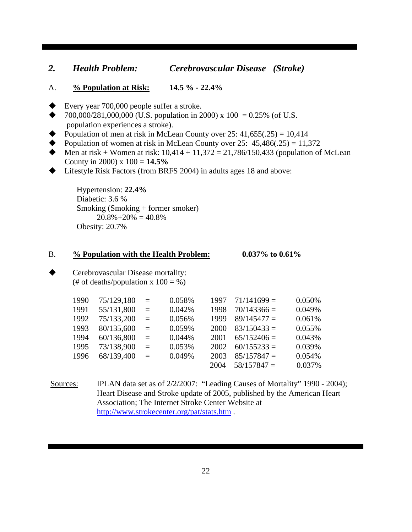#### *2. Health Problem: Cerebrovascular Disease (Stroke)*

- A. **% Population at Risk: 14.5 % 22.4%**
- Every year  $700,000$  people suffer a stroke.
- 700,000/281,000,000 (U.S. population in 2000) x 100 = 0.25% (of U.S. population experiences a stroke).
- Population of men at risk in McLean County over  $25: 41,655(.25) = 10,414$
- Population of women at risk in McLean County over  $25: 45,486(.25) = 11,372$
- Men at risk + Women at risk:  $10,414 + 11,372 = 21,786/150,433$  (population of McLean County in 2000) x 100 = **14.5%**
- ◆ Lifestyle Risk Factors (from BRFS 2004) in adults ages 18 and above:

Hypertension: **22.4%** Diabetic: 3.6 % Smoking (Smoking + former smoker)  $20.8\% + 20\% = 40.8\%$ Obesity: 20.7%

#### B. **% Population with the Health Problem: 0.037% to 0.61%**

 Cerebrovascular Disease mortality: (# of deaths/population x  $100 = %$ )

| 1990 | 75/129,180 | $=$ | 0.058% | 1997 | $71/141699=$  | 0.050% |
|------|------------|-----|--------|------|---------------|--------|
| 1991 | 55/131,800 | $=$ | 0.042% | 1998 | $70/143366 =$ | 0.049% |
| 1992 | 75/133,200 | $=$ | 0.056% | 1999 | $89/145477 =$ | 0.061% |
| 1993 | 80/135,600 | $=$ | 0.059% | 2000 | $83/150433 =$ | 0.055% |
| 1994 | 60/136,800 | $=$ | 0.044% | 2001 | $65/152406 =$ | 0.043% |
| 1995 | 73/138,900 | $=$ | 0.053% | 2002 | $60/155233 =$ | 0.039% |
| 1996 | 68/139,400 | $=$ | 0.049% | 2003 | $85/157847 =$ | 0.054% |
|      |            |     |        | 2004 | $58/157847 =$ | 0.037% |

Sources: IPLAN data set as of 2/2/2007: "Leading Causes of Mortality" 1990 - 2004); Heart Disease and Stroke update of 2005, published by the American Heart Association; The Internet Stroke Center Website at http://www.strokecenter.org/pat/stats.htm .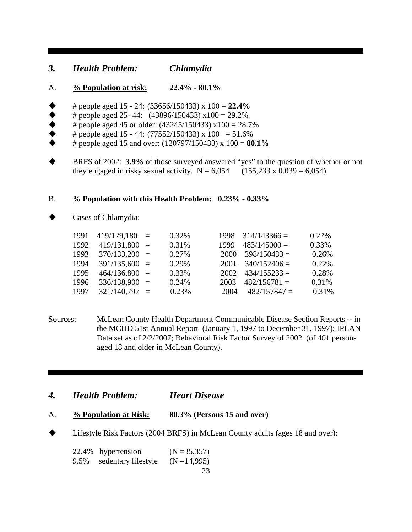#### *3. Health Problem: Chlamydia*

- A. **% Population at risk: 22.4% 80.1%**
- # people aged 15 24: (33656/150433) x 100 = **22.4%**
- 
- $\begin{array}{ll}\n\blacklozenge & \text{# people aged 25-44:} \\
& \blacklozenge & \text{# people aged 45 or older:} \\
& \blacklozenge & \text{# people aged 15-44:} \\
& \text{# people aged 15-44:} \\
& \text{# (77552/150433) x 100 = 51.69}\n\end{array}$ # people aged 45 or older: (43245/150433) x100 = 28.7%
- # people aged 15 44:  $(77552/150433) \times 100 = 51.6\%$
- # people aged 15 and over: (120797/150433) x 100 = **80.1%**
- BRFS of 2002: **3.9%** of those surveyed answered "yes" to the question of whether or not they engaged in risky sexual activity.  $N = 6,054$  (155,233 x 0.039 = 6,054)

#### B. **% Population with this Health Problem: 0.23% - 0.33%**

Cases of Chlamydia:

|  | 0.32%                                                                                                                             |      |                | 0.22\%                |
|--|-----------------------------------------------------------------------------------------------------------------------------------|------|----------------|-----------------------|
|  | 0.31%                                                                                                                             | 1999 | $483/145000 =$ | 0.33%                 |
|  | 0.27%                                                                                                                             | 2000 | $398/150433 =$ | 0.26%                 |
|  | 0.29%                                                                                                                             | 2001 | $340/152406 =$ | 0.22%                 |
|  | 0.33%                                                                                                                             | 2002 | $434/155233 =$ | 0.28%                 |
|  | 0.24%                                                                                                                             | 2003 | $482/156781=$  | 0.31%                 |
|  | 0.23%                                                                                                                             | 2004 | $482/157847=$  | 0.31%                 |
|  | $419/129,180 =$<br>$419/131,800 =$<br>$370/133,200 =$<br>$391/135,600 =$<br>$464/136,800 =$<br>$336/138,900 =$<br>$321/140,797 =$ |      |                | $1998$ $314/143366 =$ |

- Sources: McLean County Health Department Communicable Disease Section Reports -- in the MCHD 51st Annual Report (January 1, 1997 to December 31, 1997); IPLAN Data set as of 2/2/2007; Behavioral Risk Factor Survey of 2002 (of 401 persons aged 18 and older in McLean County).
- *4. Health Problem: Heart Disease*
- A. **% Population at Risk: 80.3% (Persons 15 and over)**
- ◆ Lifestyle Risk Factors (2004 BRFS) in McLean County adults (ages 18 and over):

22.4% hypertension (N =35,357) 9.5% sedentary lifestyle  $(N = 14,995)$ 

23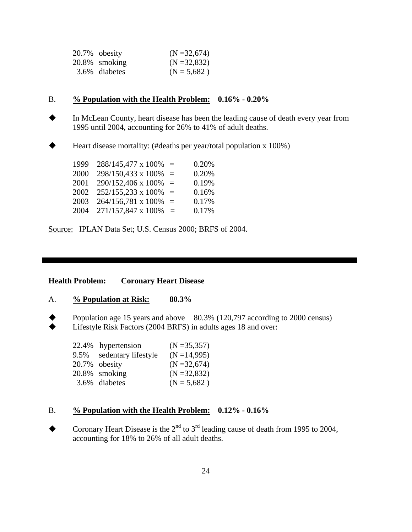| 20.7% obesity | $(N = 32,674)$  |
|---------------|-----------------|
| 20.8% smoking | $(N = 32, 832)$ |
| 3.6% diabetes | $(N = 5,682)$   |

#### B. **% Population with the Health Problem: 0.16% - 0.20%**

- In McLean County, heart disease has been the leading cause of death every year from 1995 until 2004, accounting for 26% to 41% of adult deaths.
- Heart disease mortality: (#deaths per year/total population x 100%)

| $1999$ 288/145,477 x 100% =         | 0.20% |
|-------------------------------------|-------|
| $2000$ 298/150,433 x 100% =         | 0.20% |
| $2001$ $290/152,406 \times 100\% =$ | 0.19% |
| $2002$ $252/155,233 \times 100\% =$ | 0.16% |
| $2003$ $264/156,781 \times 100\% =$ | 0.17% |
| $2004$ $271/157,847 \times 100\%$ = | 0.17% |

Source: IPLAN Data Set; U.S. Census 2000; BRFS of 2004.

#### **Health Problem: Coronary Heart Disease**

- A. **% Population at Risk: 80.3%**
- Population age 15 years and above  $80.3\%$  (120,797 according to 2000 census)<br>• Lifestyle Risk Eactors (2004 RRES) in adults ages 18 and over Lifestyle Risk Factors (2004 BRFS) in adults ages 18 and over:

|      | 22.4% hypertension  | $(N = 35, 357)$ |
|------|---------------------|-----------------|
| 9.5% | sedentary lifestyle | $(N = 14,995)$  |
|      | 20.7% obesity       | $(N = 32,674)$  |
|      | 20.8% smoking       | $(N = 32,832)$  |
|      | 3.6% diabetes       | $(N = 5,682)$   |

#### B. **% Population with the Health Problem: 0.12% - 0.16%**

Coronary Heart Disease is the  $2<sup>nd</sup>$  to  $3<sup>rd</sup>$  leading cause of death from 1995 to 2004, accounting for 18% to 26% of all adult deaths.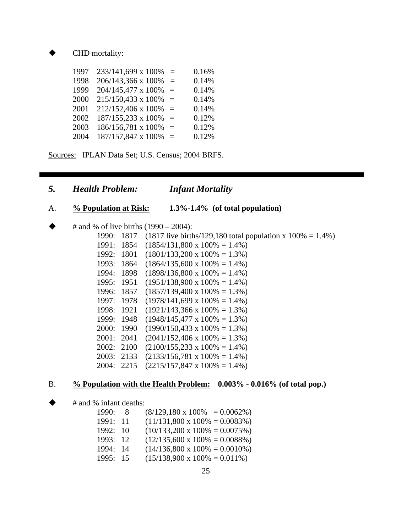CHD mortality:

| 1997 | 233/141,699 x 100% | $=$      | 0.16% |
|------|--------------------|----------|-------|
| 1998 | 206/143,366 x 100% | $\equiv$ | 0.14% |
| 1999 | 204/145,477 x 100% | $=$      | 0.14% |
| 2000 | 215/150,433 x 100% | $=$      | 0.14% |
| 2001 | 212/152,406 x 100% | $=$      | 0.14% |
| 2002 | 187/155,233 x 100% | $=$      | 0.12% |
| 2003 | 186/156,781 x 100% | $=$      | 0.12% |
| 2004 | 187/157,847 x 100% | $\equiv$ | 0.12% |
|      |                    |          |       |

Sources: IPLAN Data Set; U.S. Census; 2004 BRFS.

- *5. Health Problem: Infant Mortality*
- A. **% Population at Risk: 1.3%-1.4% (of total population)**
- # and % of live births (1990 2004):

1990: 1817 (1817 live births/129,180 total population x 100% = 1.4%) 1991: 1854 (1854/131,800 x 100% = 1.4%) 1992: 1801 (1801/133,200 x 100% = 1.3%) 1993: 1864 (1864/135,600 x 100% = 1.4%) 1994: 1898 (1898/136,800 x 100% = 1.4%) 1995: 1951 (1951/138,900 x 100% = 1.4%) 1996: 1857 (1857/139,400 x 100% = 1.3%) 1997: 1978 (1978/141,699 x 100% = 1.4%) 1998: 1921 (1921/143,366 x 100% = 1.3%) 1999: 1948 (1948/145,477 x 100% = 1.3%) 2000: 1990 (1990/150,433 x 100% = 1.3%) 2001: 2041  $(2041/152,406 \times 100\% = 1.3\%)$ 2002: 2100  $(2100/155,233 \times 100\% = 1.4\%)$ 2003: 2133 (2133/156,781 x 100% = 1.4%) 2004: 2215 (2215/157,847 x 100% = 1.4%)

#### B. **% Population with the Health Problem: 0.003% - 0.016% (of total pop.)**

# and % infant deaths:

| 1990:    | -8 | $(8/129, 180 \times 100\% = 0.0062\%)$ |
|----------|----|----------------------------------------|
| 1991: 11 |    | $(11/131,800 \times 100\% = 0.0083\%)$ |
| 1992: 10 |    | $(10/133,200 \times 100\% = 0.0075\%)$ |
| 1993: 12 |    | $(12/135,600 \times 100\% = 0.0088\%)$ |
| 1994: 14 |    | $(14/136,800 \times 100\% = 0.0010\%)$ |
| 1995: 15 |    | $(15/138,900 \times 100\% = 0.011\%)$  |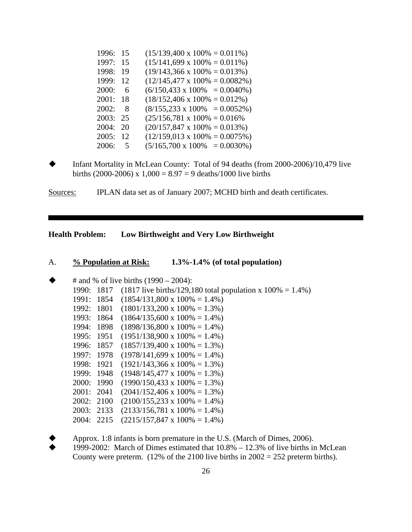| 1996:    | 15   | $(15/139,400 \times 100\% = 0.011\%)$  |
|----------|------|----------------------------------------|
| 1997:    | 15   | $(15/141,699 \times 100\% = 0.011\%)$  |
| 1998:    | 19   | $(19/143,366 \times 100\% = 0.013\%)$  |
| 1999:    | 12   | $(12/145,477 \times 100\% = 0.0082\%)$ |
| 2000:    | -6   | $(6/150, 433 \times 100\% = 0.0040\%)$ |
| 2001:    | - 18 | $(18/152,406 \times 100\% = 0.012\%)$  |
| 2002:    | - 8  | $(8/155, 233 \times 100\% = 0.0052\%)$ |
| 2003:    | - 25 | $(25/156,781 \times 100\% = 0.016\%)$  |
| 2004: 20 |      | $(20/157,847 \times 100\% = 0.013\%)$  |
| 2005: 12 |      | $(12/159.013 \times 100\% = 0.0075\%)$ |
| 2006:    | 5    | $(5/165,700 \times 100\% = 0.0030\%)$  |

 Infant Mortality in McLean County: Total of 94 deaths (from 2000-2006)/10,479 live births (2000-2006) x  $1,000 = 8.97 = 9$  deaths/1000 live births

Sources: IPLAN data set as of January 2007; MCHD birth and death certificates.

**Health Problem: Low Birthweight and Very Low Birthweight**

#### A. **% Population at Risk: 1.3%-1.4% (of total population)**

|       |      | # and % of live births $(1990 – 2004)$ :                                                                                                                                                   |
|-------|------|--------------------------------------------------------------------------------------------------------------------------------------------------------------------------------------------|
|       |      | (1817 live births/129,180 total population x $100\% = 1.4\%$ )                                                                                                                             |
| 1991: |      | $(1854/131,800 \times 100\% = 1.4\%)$                                                                                                                                                      |
| 1992: | 1801 | $(1801/133,200 \times 100\% = 1.3\%)$                                                                                                                                                      |
|       |      | $(1864/135,600 \times 100\% = 1.4\%)$                                                                                                                                                      |
|       |      | $(1898/136,800 \times 100\% = 1.4\%)$                                                                                                                                                      |
|       |      | $(1951/138,900 \times 100\% = 1.4\%)$                                                                                                                                                      |
|       |      | $(1857/139,400 \times 100\% = 1.3\%)$                                                                                                                                                      |
|       |      | $(1978/141,699 \times 100\% = 1.4\%)$                                                                                                                                                      |
|       |      | $(1921/143,366 \times 100\% = 1.3\%)$                                                                                                                                                      |
|       |      | $(1948/145,477 \times 100\% = 1.3\%)$                                                                                                                                                      |
|       |      | $(1990/150, 433 \times 100\% = 1.3\%)$                                                                                                                                                     |
|       |      | $(2041/152,406 \times 100\% = 1.3\%)$                                                                                                                                                      |
|       |      | $(2100/155, 233 \times 100\% = 1.4\%)$                                                                                                                                                     |
|       |      | $(2133/156,781 \times 100\% = 1.4\%)$                                                                                                                                                      |
|       |      | $(2215/157,847 \times 100\% = 1.4\%)$                                                                                                                                                      |
|       |      | 1990: 1817<br>1854<br>1993: 1864<br>1994: 1898<br>1995: 1951<br>1996: 1857<br>1997: 1978<br>1998: 1921<br>1999: 1948<br>2000: 1990<br>2001: 2041<br>2002: 2100<br>2003: 2133<br>2004: 2215 |

 Approx. 1:8 infants is born premature in the U.S. (March of Dimes, 2006). 1999-2002: March of Dimes estimated that 10.8% – 12.3% of live births in McLean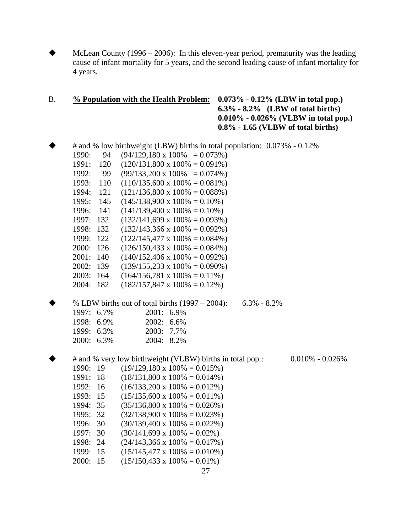McLean County (1996 – 2006): In this eleven-year period, prematurity was the leading cause of infant mortality for 5 years, and the second leading cause of infant mortality for 4 years.

#### B. **% Population with the Health Problem: 0.073% - 0.12% (LBW in total pop.) 6.3% - 8.2% (LBW of total births) 0.010% - 0.026% (VLBW in total pop.) 0.8% - 1.65 (VLBW of total births)**

 # and % low birthweight (LBW) births in total population: 0.073% - 0.12% 1990: 94 (94/129,180 x 100% = 0.073%) 1991:  $120$   $(120/131,800 \times 100\% = 0.091\%)$ 1992: 99  $(99/133,200 \times 100\% = 0.074\%)$ 1993: 110 (110/135,600 x 100% = 0.081%) 1994: 121 (121/136,800 x 100% = 0.088%) 1995:  $145$   $(145/138,900 \times 100\% = 0.10\%)$ 1996: 141  $(141/139,400 \times 100\% = 0.10\%)$  1997: 132 (132/141,699 x 100% = 0.093%) 1998: 132 (132/143,366 x 100% = 0.092%) 1999: 122  $(122/145,477 \times 100\% = 0.084\%)$ 2000: 126  $(126/150,433 \times 100\% = 0.084\%)$ 2001:  $140$   $(140/152,406 \times 100\% = 0.092\%)$ 2002: 139  $(139/155,233 \times 100\% = 0.090\%)$ 2003: 164  $(164/156,781 \times 100\% = 0.11\%)$ 2004: 182  $(182/157,847 \times 100\% = 0.12\%)$ 

|               |            |               | % LBW births out of total births $(1997 - 2004)$ : 6.3% - 8.2% |  |
|---------------|------------|---------------|----------------------------------------------------------------|--|
|               | 1997: 6.7% | 2001: 6.9%    |                                                                |  |
|               | 1998: 6.9% | $2002: 6.6\%$ |                                                                |  |
|               | 1999: 6.3% | 2003: 7.7%    |                                                                |  |
| $2000: 6.3\%$ |            | $2004:8.2\%$  |                                                                |  |
|               |            |               |                                                                |  |

 # and % very low birthweight (VLBW) births in total pop.: 0.010% - 0.026% 1990: 19  $(19/129,180 \times 100\% = 0.015\%)$ 1991: 18  $(18/131,800 \times 100\% = 0.014\%)$ 1992: 16  $(16/133,200 \times 100\% = 0.012\%)$ 1993: 15  $(15/135,600 \times 100\% = 0.011\%)$ 1994: 35  $(35/136,800 \times 100\% = 0.026\%)$ 1995: 32  $(32/138,900 \times 100\% = 0.023\%)$ 1996: 30  $(30/139,400 \times 100\% = 0.022\%)$ 1997: 30  $(30/141,699 \times 100\% = 0.02\%)$ 1998: 24  $(24/143,366 \times 100\% = 0.017\%)$ 1999: 15  $(15/145.477 \times 100\% = 0.010\%)$ 2000: 15  $(15/150,433 \times 100\% = 0.01\%)$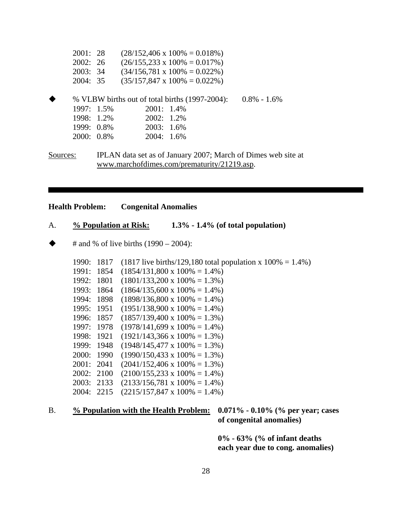| 2001:28    |            |            | $(28/152,406 \times 100\% = 0.018\%)$          |                 |
|------------|------------|------------|------------------------------------------------|-----------------|
| 2002: 26   |            |            | $(26/155, 233 \times 100\% = 0.017\%)$         |                 |
| 2003:34    |            |            | $(34/156,781 \times 100\% = 0.022\%)$          |                 |
| 2004: 35   |            |            | $(35/157,847 \times 100\% = 0.022\%)$          |                 |
|            |            |            | % VLBW births out of total births (1997-2004): | $0.8\% - 1.6\%$ |
|            | 1997: 1.5% | 2001: 1.4% |                                                |                 |
|            | 1998: 1.2% | 2002: 1.2% |                                                |                 |
|            | 1999: 0.8% | 2003: 1.6% |                                                |                 |
| 2000: 0.8% |            | 2004: 1.6% |                                                |                 |
|            |            |            |                                                |                 |

Sources: IPLAN data set as of January 2007; March of Dimes web site at www.marchofdimes.com/prematurity/21219.asp.

#### **Health Problem: Congenital Anomalies**

#### A. **% Population at Risk: 1.3% - 1.4% (of total population)**

 $\blacklozenge$  # and % of live births (1990 – 2004):

| 1990:        | 1817  | (1817 live births/129,180 total population x $100\% = 1.4\%$ ) |
|--------------|-------|----------------------------------------------------------------|
| 1991:        | 1854  | $(1854/131,800 \times 100\% = 1.4\%)$                          |
| 1992:        | 1801  | $(1801/133,200 \times 100\% = 1.3\%)$                          |
| 1993:        | 1864  | $(1864/135,600 \times 100\% = 1.4\%)$                          |
| 1994:        | 1898  | $(1898/136,800 \times 100\% = 1.4\%)$                          |
| 1995:        | 1951  | $(1951/138,900 \times 100\% = 1.4\%)$                          |
| 1996:        | 1857  | $(1857/139,400 \times 100\% = 1.3\%)$                          |
| 1997:        | 1978  | $(1978/141,699 \times 100\% = 1.4\%)$                          |
| 1998:        | 1921  | $(1921/143,366 \times 100\% = 1.3\%)$                          |
| 1999:        | -1948 | $(1948/145,477 \times 100\% = 1.3\%)$                          |
| <b>2000:</b> | 1990  | $(1990/150, 433 \times 100\% = 1.3\%)$                         |
| 2001: 2041   |       | $(2041/152,406 \times 100\% = 1.3\%)$                          |
| 2002:        | 2100  | $(2100/155, 233 \times 100\% = 1.4\%)$                         |
| 2003: 2133   |       | $(2133/156,781 \times 100\% = 1.4\%)$                          |
| 2004:        | 2215  | $(2215/157,847 \times 100\% = 1.4\%)$                          |

## B. **% Population with the Health Problem: 0.071% - 0.10% (% per year; cases**

 **of congenital anomalies)** 

 **0% - 63% (% of infant deaths each year due to cong. anomalies)**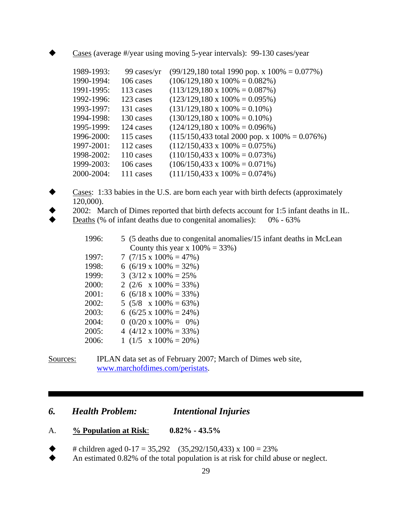Cases (average #/year using moving 5-year intervals): 99-130 cases/year

| 1989-1993: | 99 cases/yr | $(99/129, 180 \text{ total } 1990 \text{ pop. x } 100\% = 0.077\%)$  |
|------------|-------------|----------------------------------------------------------------------|
| 1990-1994: | 106 cases   | $(106/129, 180 \times 100\% = 0.082\%)$                              |
| 1991-1995: | 113 cases   | $(113/129, 180 \times 100\% = 0.087\%)$                              |
| 1992-1996: | 123 cases   | $(123/129, 180 \times 100\% = 0.095\%)$                              |
| 1993-1997: | 131 cases   | $(131/129, 180 \times 100\% = 0.10\%)$                               |
| 1994-1998: | 130 cases   | $(130/129, 180 \times 100\% = 0.10\%)$                               |
| 1995-1999: | 124 cases   | $(124/129, 180 \times 100\% = 0.096\%)$                              |
| 1996-2000: | 115 cases   | $(115/150, 433 \text{ total } 2000 \text{ pop. x } 100\% = 0.076\%)$ |
| 1997-2001: | 112 cases   | $(112/150, 433 \times 100\% = 0.075\%)$                              |
| 1998-2002: | 110 cases   | $(110/150, 433 \times 100\% = 0.073\%)$                              |
| 1999-2003: | 106 cases   | $(106/150, 433 \times 100\% = 0.071\%)$                              |
| 2000-2004: | 111 cases   | $(111/150, 433 \times 100\% = 0.074\%)$                              |
|            |             |                                                                      |

- Cases: 1:33 babies in the U.S. are born each year with birth defects (approximately 120,000).
- 2002: March of Dimes reported that birth defects account for 1:5 infant deaths in IL.
- ◆ Deaths (% of infant deaths due to congenital anomalies): 0% 63%

| 1996: | 5 (5 deaths due to congenital anomalies/15 infant deaths in McLean |
|-------|--------------------------------------------------------------------|
|       | County this year x $100\% = 33\%)$                                 |
| 1997: | 7 $(7/15 \times 100\% = 47\%)$                                     |
| 1998: | 6 $(6/19 \times 100\% = 32\%)$                                     |
| 1999: | 3 $(3/12 \times 100\% = 25\%)$                                     |
| 2000: | 2 $(2/6 \times 100\% = 33\%)$                                      |
| 2001: | 6 $(6/18 \times 100\% = 33\%)$                                     |
| 2002: | 5 $(5/8 \times 100\% = 63\%)$                                      |
| 2003: | 6 $(6/25 \times 100\% = 24\%)$                                     |
| 2004: | $0$ (0/20 x 100% = 0%)                                             |
| 2005: | 4 $(4/12 \times 100\% = 33\%)$                                     |
| 2006: | 1 $(1/5 \times 100\% = 20\%)$                                      |
|       |                                                                    |

Sources: IPLAN data set as of February 2007; March of Dimes web site, www.marchofdimes.com/peristats.

### *6. Health Problem: Intentional Injuries*

- A. **% Population at Risk**: **0.82% 43.5%**
- # children aged 0-17 = 35,292 (35,292/150,433) x 100 = 23%
- An estimated 0.82% of the total population is at risk for child abuse or neglect.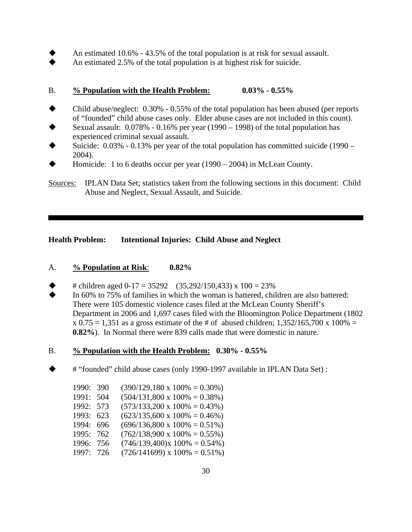- An estimated 10.6% 43.5% of the total population is at risk for sexual assault.
- An estimated 2.5% of the total population is at highest risk for suicide.

#### B. **% Population with the Health Problem: 0.03% - 0.55%**

- Child abuse/neglect: 0.30% 0.55% of the total population has been abused (per reports of "founded" child abuse cases only. Elder abuse cases are not included in this count).
- Sexual assault: 0.078% 0.16% per year (1990 1998) of the total population has experienced criminal sexual assault.
- Suicide: 0.03% 0.13% per year of the total population has committed suicide (1990 2004).
- Homicide: 1 to 6 deaths occur per year (1990 2004) in McLean County.

Sources: IPLAN Data Set; statistics taken from the following sections in this document: Child Abuse and Neglect, Sexual Assault, and Suicide.

**Health Problem: Intentional Injuries: Child Abuse and Neglect**

#### A. **% Population at Risk**: **0.82%**

- # children aged  $0-17 = 35292$  (35,292/150,433) x 100 = 23%
- In 60% to 75% of families in which the woman is battered, children are also battered: There were 105 domestic violence cases filed at the McLean County Sheriff's Department in 2006 and 1,697 cases filed with the Bloomington Police Department (1802  $x 0.75 = 1,351$  as a gross estimate of the # of abused children; 1,352/165,700 x 100% = **0.82%**). In Normal there were 839 calls made that were domestic in nature.

#### B. **% Population with the Health Problem: 0.30% - 0.55%**

# "founded" child abuse cases (only 1990-1997 available in IPLAN Data Set) :

| 1990: 390 | $(390/129, 180 \times 100\% = 0.30\%)$ |
|-----------|----------------------------------------|
| 1991: 504 | $(504/131,800 \times 100\% = 0.38\%)$  |
| 1992: 573 | $(573/133,200 \times 100\% = 0.43\%)$  |
| 1993: 623 | $(623/135,600 \times 100\% = 0.46\%)$  |
| 1994: 696 | $(696/136,800 \times 100\% = 0.51\%)$  |
| 1995: 762 | $(762/138,900 \times 100\% = 0.55\%)$  |
| 1996: 756 | $(746/139,400)x 100\% = 0.54\%)$       |
| 1997: 726 | $(726/141699)$ x $100\% = 0.51\%)$     |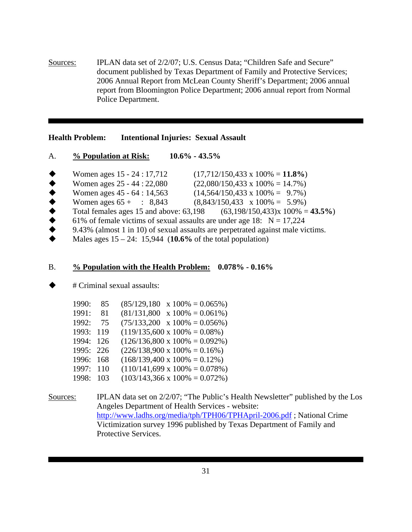Sources: IPLAN data set of 2/2/07; U.S. Census Data; "Children Safe and Secure" document published by Texas Department of Family and Protective Services; 2006 Annual Report from McLean County Sheriff's Department; 2006 annual report from Bloomington Police Department; 2006 annual report from Normal Police Department.

**Health Problem: Intentional Injuries: Sexual Assault**

- A. **% Population at Risk: 10.6% 43.5%**
- Women ages 15 24 : 17,712 (17,712/150,433 x 100% = **11.8%**)
- 
- Women ages 25 44 : 22,080 (22,080/150,433 x 100% = 14.7%)<br>
Women ages 45 64 : 14,563 (14,564/150,433 x 100% = 9.7%)<br>
Women ages 65 + : 8,843 (8,843/150,433 x 100% = 5.9%)<br>
Total females ages 15 and above: 63,198 (63,1 Women ages 45 - 64 : 14,563 (14,564/150,433 x 100% = 9.7%)
- Women ages  $65 + : 8,843 \qquad (8,843/150,433 \times 100\% = 5.9\%)$
- Total females ages 15 and above: 63,198 (63,198/150,433)x 100% = **43.5%**)
- 61% of female victims of sexual assaults are under age 18:  $N = 17,224$
- 9.43% (almost 1 in 10) of sexual assaults are perpetrated against male victims.
- Males ages 15 24: 15,944 (**10.6%** of the total population)

#### B. **% Population with the Health Problem: 0.078% - 0.16%**

# Criminal sexual assaults:

| 1990:     | 85  | (85/129, 180)<br>$x 100\% = 0.065\%)$  |
|-----------|-----|----------------------------------------|
| 1991:     | 81  | (81/131,800)<br>$x 100\% = 0.061\%)$   |
| 1992:     | 75  | $x 100\% = 0.056\%)$<br>(75/133,200)   |
| 1993:     | 119 | $(119/135,600 \times 100\% = 0.08\%)$  |
| 1994: 126 |     | $(126/136,800 \times 100\% = 0.092\%)$ |
| 1995: 226 |     | $(226/138,900 \times 100\% = 0.16\%)$  |
| 1996:     | 168 | $(168/139,400 \times 100\% = 0.12\%)$  |
| 1997:     | 110 | $(110/141,699 \times 100\% = 0.078\%)$ |
| 1998:     | 103 | $(103/143,366 \times 100\% = 0.072\%)$ |

Sources: IPLAN data set on 2/2/07; "The Public's Health Newsletter" published by the Los Angeles Department of Health Services - website: http://www.ladhs.org/media/tph/TPH06/TPHApril-2006.pdf ; National Crime Victimization survey 1996 published by Texas Department of Family and Protective Services.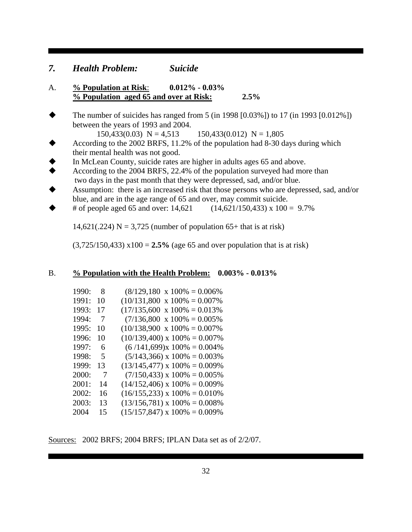#### *7. Health Problem: Suicide*

- A. **% Population at Risk**: **0.012% 0.03% % Population aged 65 and over at Risk: 2.5%**
- The number of suicides has ranged from 5 (in 1998 [0.03%]) to 17 (in 1993 [0.012%]) between the years of 1993 and 2004.

 $150,433(0.03)$  N = 4,513  $150,433(0.012)$  N = 1,805

- According to the 2002 BRFS, 11.2% of the population had 8-30 days during which their mental health was not good.
- In McLean County, suicide rates are higher in adults ages 65 and above.<br>According to the 2004 BRFS, 22.4% of the population surveyed had more
- According to the 2004 BRFS, 22.4% of the population surveyed had more than two days in the past month that they were depressed, sad, and/or blue.
- Assumption: there is an increased risk that those persons who are depressed, sad, and/or blue, and are in the age range of 65 and over, may commit suicide.
- # of people aged 65 and over: 14,621 (14,621/150,433) x 100 = 9.7%

14,621(.224) N = 3,725 (number of population 65+ that is at risk)

 $(3,725/150,433)$  x100 = **2.5%** (age 65 and over population that is at risk)

#### B. **% Population with the Health Problem: 0.003% - 0.013%**

| 1990: | 8  | $(8/129, 180 \times 100\% = 0.006\%$  |
|-------|----|---------------------------------------|
| 1991: | 10 | $(10/131,800 \times 100\% = 0.007\%)$ |
| 1993: | 17 | $(17/135,600 \times 100\% = 0.013\%)$ |
| 1994: | 7  | $(7/136,800 \times 100\% = 0.005\%)$  |
| 1995: | 10 | $(10/138,900 \times 100\% = 0.007\%)$ |
| 1996: | 10 | $(10/139,400)$ x $100\% = 0.007\%$    |
| 1997: | 6  | $(6/141,699)x 100\% = 0.004\%$        |
| 1998: | 5  | $(5/143,366)$ x $100\% = 0.003\%$     |
| 1999: | 13 | $(13/145,477)$ x $100\% = 0.009\%$    |
| 2000: | -7 | $(7/150, 433)$ x $100\% = 0.005\%$    |
| 2001: | 14 | $(14/152,406)$ x $100\% = 0.009\%$    |
| 2002: | 16 | $(16/155,233) \times 100\% = 0.010\%$ |
| 2003: | 13 | $(13/156,781)$ x $100\% = 0.008\%$    |
| 2004  | 15 | $(15/157,847)$ x $100\% = 0.009\%$    |

Sources: 2002 BRFS; 2004 BRFS; IPLAN Data set as of 2/2/07.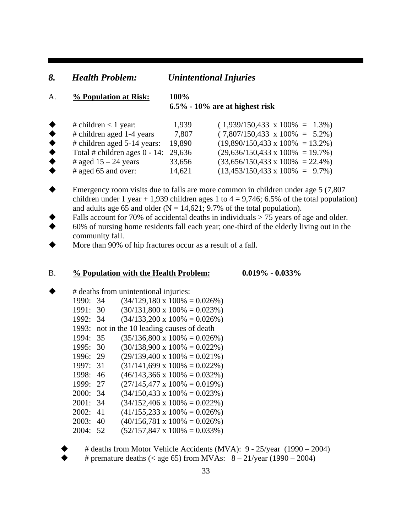#### *8. Health Problem: Unintentional Injuries*

## A. **% Population at Risk: 100%**

#### **6.5% - 10% are at highest risk**

|                 | # children $<$ 1 year:                  | 1,939  | $(1,939/150,433 \times 100\% = 1.3\%)$   |
|-----------------|-----------------------------------------|--------|------------------------------------------|
| $\bullet$       | # children aged 1-4 years               | 7,807  | $(7,807/150,433 \times 100\% = 5.2\%)$   |
| $\blacklozenge$ | $\#$ children aged 5-14 years:          | 19.890 | $(19,890/150,433 \times 100\% = 13.2\%)$ |
| $\bullet$       | Total # children ages $0 - 14$ : 29,636 |        | $(29,636/150,433 \times 100\% = 19.7\%)$ |
| $\bullet$       | # aged $15 - 24$ years                  | 33,656 | $(33,656/150,433 \times 100\% = 22.4\%)$ |
| $\bullet$       | $\#$ aged 65 and over:                  | 14,621 | $(13,453/150,433 \times 100\% = 9.7\%)$  |

- Emergency room visits due to falls are more common in children under age 5 (7,807 children under 1 year + 1,939 children ages 1 to  $4 = 9,746$ ; 6.5% of the total population) and adults age 65 and older ( $N = 14,621$ ; 9.7% of the total population).
- Falls account for 70% of accidental deaths in individuals > 75 years of age and older.
- 60% of nursing home residents fall each year; one-third of the elderly living out in the community fall.
- More than 90% of hip fractures occur as a result of a fall.

#### B. **% Population with the Health Problem: 0.019% - 0.033%**

|       | # deaths from unintentional injuries: |                                        |  |  |  |
|-------|---------------------------------------|----------------------------------------|--|--|--|
| 1990: | 34                                    | $(34/129, 180 \times 100\% = 0.026\%)$ |  |  |  |
| 1991: | 30                                    | $(30/131,800 \times 100\% = 0.023\%)$  |  |  |  |
| 1992: | 34                                    | $(34/133,200 \times 100\% = 0.026\%)$  |  |  |  |
| 1993: |                                       | not in the 10 leading causes of death  |  |  |  |
| 1994: | 35                                    | $(35/136,800 \times 100\% = 0.026\%)$  |  |  |  |
| 1995: | 30                                    | $(30/138,900 \times 100\% = 0.022\%)$  |  |  |  |
| 1996: | 29                                    | $(29/139,400 \times 100\% = 0.021\%)$  |  |  |  |
| 1997: | 31                                    | $(31/141,699 \times 100\% = 0.022\%)$  |  |  |  |
| 1998: | 46                                    | $(46/143,366 \times 100\% = 0.032\%)$  |  |  |  |
| 1999: | 27                                    | $(27/145,477 \times 100\% = 0.019\%)$  |  |  |  |
| 2000: | 34                                    | $(34/150, 433 \times 100\% = 0.023\%)$ |  |  |  |
| 2001: | 34                                    | $(34/152,406 \times 100\% = 0.022\%)$  |  |  |  |
| 2002: | 41                                    | $(41/155,233 \times 100\% = 0.026\%)$  |  |  |  |
| 2003: | 40                                    | $(40/156,781 \times 100\% = 0.026\%)$  |  |  |  |
| 2004: | 52                                    | $(52/157,847 \times 100\% = 0.033\%)$  |  |  |  |

# deaths from Motor Vehicle Accidents (MVA): 9 - 25/year (1990 – 2004)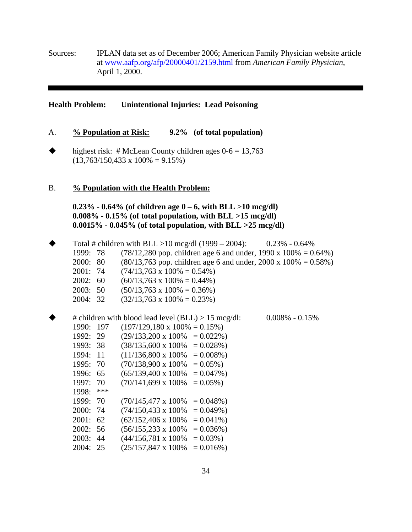Sources: IPLAN data set as of December 2006; American Family Physician website article at www.aafp.org/afp/20000401/2159.html from *American Family Physician*, April 1, 2000.

#### **Health Problem: Unintentional Injuries: Lead Poisoning**

- A. **% Population at Risk: 9.2% (of total population)**
- $\blacklozenge$  highest risk: #McLean County children ages  $0.6 = 13,763$  $(13,763/150,433 \times 100\% = 9.15\%)$

#### B. **% Population with the Health Problem:**

 **0.23% - 0.64% (of children age 0 – 6, with BLL >10 mcg/dl) 0.008% - 0.15% (of total population, with BLL >15 mcg/dl) 0.0015% - 0.045% (of total population, with BLL >25 mcg/dl)** 

|          |     | Total # children with BLL >10 mcg/dl $(1999 - 2004)$ : |              | $0.23\% - 0.64\%$                                                 |
|----------|-----|--------------------------------------------------------|--------------|-------------------------------------------------------------------|
| 1999:    | 78  |                                                        |              | $(78/12,280)$ pop. children age 6 and under, 1990 x 100% = 0.64%) |
| 2000:    | 80  |                                                        |              | $(80/13,763)$ pop. children age 6 and under, 2000 x 100% = 0.58%) |
| 2001:    | 74  | $(74/13,763 \times 100\% = 0.54\%)$                    |              |                                                                   |
| 2002:    | 60  | $(60/13,763 \times 100\% = 0.44\%)$                    |              |                                                                   |
| 2003:    | 50  | $(50/13,763 \times 100\% = 0.36\%)$                    |              |                                                                   |
| 2004: 32 |     | $(32/13,763 \times 100\% = 0.23\%)$                    |              |                                                                   |
|          |     |                                                        |              |                                                                   |
|          |     | # children with blood lead level $(BLL) > 15$ mcg/dl:  |              | $0.008\% - 0.15\%$                                                |
| 1990:    | 197 | $(197/129, 180 \times 100\% = 0.15\%)$                 |              |                                                                   |
| 1992:    | 29  | $(29/133,200 \times 100\% = 0.022\%)$                  |              |                                                                   |
| 1993: 38 |     | $(38/135,600 \times 100\% = 0.028\%)$                  |              |                                                                   |
| 1994:    | 11  | $(11/136,800 \times 100\% = 0.008\%)$                  |              |                                                                   |
| 1995:    | 70  | $(70/138,900 \times 100\% = 0.05\%)$                   |              |                                                                   |
| 1996:    | 65  | $(65/139,400 \times 100\% = 0.047\%)$                  |              |                                                                   |
| 1997:    | 70  | $(70/141,699 \times 100\%)$                            | $= 0.05\%$ ) |                                                                   |
| 1998:    | *** |                                                        |              |                                                                   |
| 1999:    | 70  | $(70/145,477 \times 100\% = 0.048\%)$                  |              |                                                                   |
| 2000:    | 74  | $(74/150, 433 \times 100\% = 0.049\%)$                 |              |                                                                   |
| 2001:    | 62  | $(62/152,406 \times 100\% = 0.041\%)$                  |              |                                                                   |
| 2002:    | 56  | $(56/155,233 \times 100\% = 0.036\%)$                  |              |                                                                   |
| 2003:    | 44  | $(44/156,781 \times 100\%$                             | $= 0.03\%$ ) |                                                                   |
| 2004:    | 25  | $(25/157,847 \times 100\%$                             | $= 0.016\%)$ |                                                                   |
|          |     |                                                        |              |                                                                   |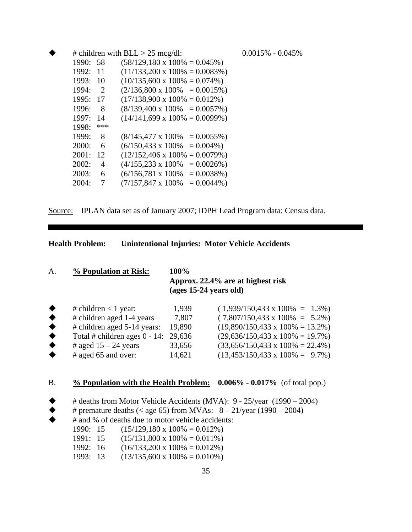|          |                | # children with $BLL > 25$ mcg/dl:     | $0.0015\% - 0.045\%$ |
|----------|----------------|----------------------------------------|----------------------|
| 1990: 58 |                | $(58/129, 180 \times 100\% = 0.045\%)$ |                      |
| 1992: 11 |                | $(11/133,200 \times 100\% = 0.0083\%)$ |                      |
| 1993: 10 |                | $(10/135,600 \times 100\% = 0.074\%)$  |                      |
| 1994:    | $\overline{2}$ | $(2/136,800 \times 100\% = 0.0015\%)$  |                      |
| 1995: 17 |                | $(17/138,900 \times 100\% = 0.012\%)$  |                      |
| 1996:    | - 8            | $(8/139,400 \times 100\% = 0.0057\%)$  |                      |
| 1997:    | -14            | $(14/141,699 \times 100\% = 0.0099\%)$ |                      |
| 1998:    | ***            |                                        |                      |
| 1999:    | 8              | $(8/145,477 \times 100\% = 0.0055\%)$  |                      |
| 2000:    | - 6            | $(6/150, 433 \times 100\% = 0.004\%)$  |                      |
| 2001:    | 12             | $(12/152,406 \times 100\% = 0.0079\%)$ |                      |
| 2002:    | 4              | $(4/155,233 \times 100\% = 0.0026\%)$  |                      |
| 2003:    | 6              | $(6/156,781 \times 100\% = 0.0038\%)$  |                      |
| 2004:    | 7              | $(7/157,847 \times 100\% = 0.0044\%)$  |                      |

Source: IPLAN data set as of January 2007; IDPH Lead Program data; Census data.

**Health Problem: Unintentional Injuries: Motor Vehicle Accidents**

| A. | % Population at Risk:     | 100%<br>Approx. 22.4% are at highest risk<br>$(ages 15-24 years old)$ |                                        |  |
|----|---------------------------|-----------------------------------------------------------------------|----------------------------------------|--|
|    | # children $<$ 1 year:    | 1.939                                                                 | $(1,939/150,433 \times 100\% = 1.3\%)$ |  |
|    | # children aged 1-4 years | 7,807                                                                 | $(7,807/150,433 \times 100\% = 5.2\%)$ |  |

| # children aged 1-4 years      | 1.801  | $(7.807/150.433 \text{ X } 100\% = 5.2\%)$        |
|--------------------------------|--------|---------------------------------------------------|
| $\#$ children aged 5-14 years: |        | $(19,890/150,433 \times 100\% = 13.2\%)$          |
|                                |        | $(29,636/150,433 \times 100\% = 19.7\%)$          |
| # aged $15 - 24$ years         | 33,656 | $(33,656/150,433 \times 100\% = 22.4\%)$          |
| $\#$ aged 65 and over:         | 14.621 | $(13,453/150,433 \times 100\% = 9.7\%)$           |
|                                |        | 19.890<br>Total # children ages $0 - 14$ : 29,636 |

B. **% Population with the Health Problem: 0.006% - 0.017%** (of total pop.)

 $\blacklozenge$  # deaths from Motor Vehicle Accidents (MVA): 9 - 25/year (1990 – 2004)

- $\blacklozenge$  # premature deaths (< age 65) from MVAs:  $8 21$ /year (1990 2004)
	- # and % of deaths due to motor vehicle accidents:
		- 1990: 15  $(15/129,180 \times 100\% = 0.012\%)$
		- 1991: 15  $(15/131,800 \times 100\% = 0.011\%)$
		- 1992: 16  $(16/133,200 \times 100\% = 0.012\%)$
		- 1993: 13  $(13/135,600 \times 100\% = 0.010\%)$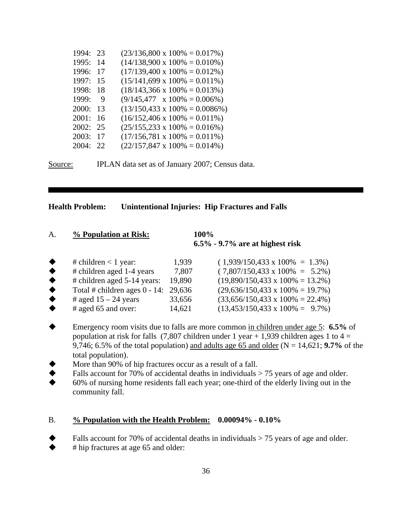| 1994: | 23 | $(23/136,800 \times 100\% = 0.017\%)$   |
|-------|----|-----------------------------------------|
| 1995: | 14 | $(14/138,900 \times 100\% = 0.010\%)$   |
| 1996: | 17 | $(17/139,400 \times 100\% = 0.012\%)$   |
| 1997: | 15 | $(15/141,699 \times 100\% = 0.011\%)$   |
| 1998: | 18 | $(18/143,366 \times 100\% = 0.013\%)$   |
| 1999: | 9  | $(9/145,477 \times 100\% = 0.006\%)$    |
| 2000: | 13 | $(13/150, 433 \times 100\% = 0.0086\%)$ |
| 2001: | 16 | $(16/152,406 \times 100\% = 0.011\%)$   |
| 2002: | 25 | $(25/155, 233 \times 100\% = 0.016\%)$  |
| 2003: | 17 | $(17/156,781 \times 100\% = 0.011\%)$   |
| 2004: | 22 | $(22/157,847 \times 100\% = 0.014\%)$   |

Source: **IPLAN** data set as of January 2007; Census data.

#### **Health Problem: Unintentional Injuries: Hip Fractures and Falls**

| А. | % Population at Risk: | 100%                               |
|----|-----------------------|------------------------------------|
|    |                       | $6.5\%$ - 9.7% are at highest risk |

|                 | # children $<$ 1 year:                  | 1,939  | $(1,939/150,433 \times 100\% = 1.3\%)$   |
|-----------------|-----------------------------------------|--------|------------------------------------------|
| ◆               | # children aged 1-4 years               | 7,807  | $(7,807/150,433 \times 100\% = 5.2\%)$   |
| ◆               | # children aged 5-14 years:             | 19,890 | $(19,890/150,433 \times 100\% = 13.2\%)$ |
| $\bullet$       | Total # children ages $0 - 14$ : 29,636 |        | $(29,636/150,433 \times 100\% = 19.7\%)$ |
| $\blacklozenge$ | # aged $15 - 24$ years                  | 33,656 | $(33,656/150,433 \times 100\% = 22.4\%)$ |
| ◆               | $\#$ aged 65 and over:                  | 14,621 | $(13,453/150,433 \times 100\% = 9.7\%)$  |

- Emergency room visits due to falls are more common in children under age 5: **6.5%** of population at risk for falls (7,807 children under 1 year + 1,939 children ages 1 to  $4 =$ 9,746; 6.5% of the total population) and adults age 65 and older ( $N = 14,621$ ; 9.7% of the total population).
- More than 90% of hip fractures occur as a result of a fall.
- $\blacklozenge$  Falls account for 70% of accidental deaths in individuals > 75 years of age and older.
- 60% of nursing home residents fall each year; one-third of the elderly living out in the community fall.

#### B. **% Population with the Health Problem: 0.00094% - 0.10%**

Falls account for 70% of accidental deaths in individuals > 75 years of age and older.

 $\blacklozenge$  # hip fractures at age 65 and older: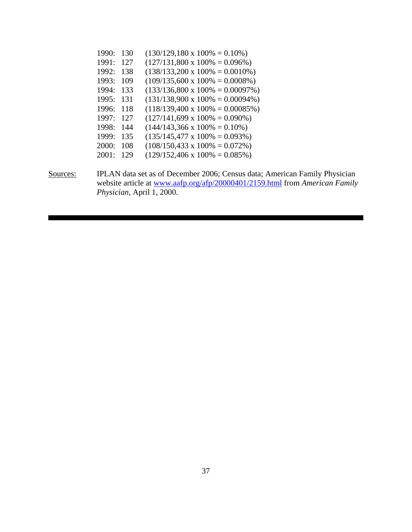|          | 1990: 130 | $(130/129, 180 \times 100\% = 0.10\%)$                                      |
|----------|-----------|-----------------------------------------------------------------------------|
|          | 1991: 127 | $(127/131,800 \times 100\% = 0.096\%)$                                      |
|          | 1992: 138 | $(138/133,200 \times 100\% = 0.0010\%)$                                     |
|          | 1993: 109 | $(109/135,600 \times 100\% = 0.0008\%)$                                     |
|          | 1994: 133 | $(133/136,800 \times 100\% = 0.00097\%)$                                    |
|          | 1995: 131 | $(131/138,900 \times 100\% = 0.00094\%)$                                    |
|          | 1996: 118 | $(118/139,400 \times 100\% = 0.00085\%)$                                    |
|          | 1997: 127 | $(127/141,699 \times 100\% = 0.090\%)$                                      |
|          | 1998: 144 | $(144/143,366 \times 100\% = 0.10\%)$                                       |
|          | 1999: 135 | $(135/145,477 \times 100\% = 0.093\%)$                                      |
|          | 2000: 108 | $(108/150, 433 \times 100\% = 0.072\%)$                                     |
|          | 2001: 129 | $(129/152,406 \times 100\% = 0.085\%)$                                      |
|          |           |                                                                             |
| Sources: |           | IPLAN data set as of December 2006; Census data; American Family Physician  |
|          |           | wobeits extigle at www.eafn.org/afn/20000401/2150 html from American Equily |

website article at www.aafp.org/afp/20000401/2159.html from *American Family Physician*, April 1, 2000.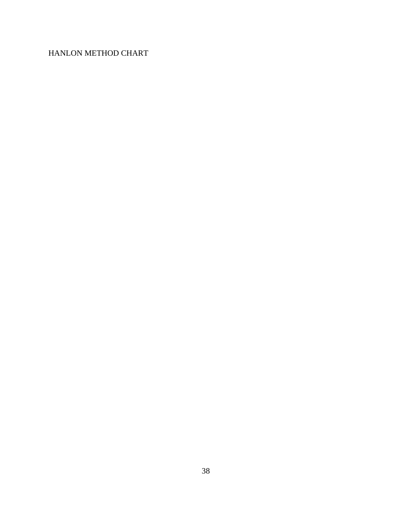## HANLON METHOD CHART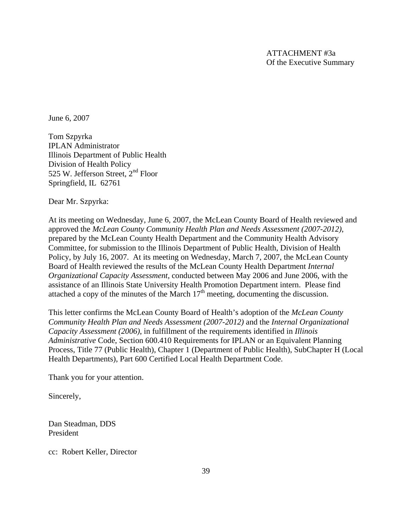June 6, 2007

Tom Szpyrka IPLAN Administrator Illinois Department of Public Health Division of Health Policy 525 W. Jefferson Street,  $2<sup>nd</sup>$  Floor Springfield, IL 62761

Dear Mr. Szpyrka:

At its meeting on Wednesday, June 6, 2007, the McLean County Board of Health reviewed and approved the *McLean County Community Health Plan and Needs Assessment (2007-2012)*, prepared by the McLean County Health Department and the Community Health Advisory Committee, for submission to the Illinois Department of Public Health, Division of Health Policy, by July 16, 2007. At its meeting on Wednesday, March 7, 2007, the McLean County Board of Health reviewed the results of the McLean County Health Department *Internal Organizational Capacity Assessment*, conducted between May 2006 and June 2006, with the assistance of an Illinois State University Health Promotion Department intern. Please find attached a copy of the minutes of the March  $17<sup>th</sup>$  meeting, documenting the discussion.

This letter confirms the McLean County Board of Health's adoption of the *McLean County Community Health Plan and Needs Assessment (2007-2012)* and the *Internal Organizational Capacity Assessment (2006)*, in fulfillment of the requirements identified in *Illinois Administrative* Code, Section 600.410 Requirements for IPLAN or an Equivalent Planning Process, Title 77 (Public Health), Chapter 1 (Department of Public Health), SubChapter H (Local Health Departments), Part 600 Certified Local Health Department Code.

Thank you for your attention.

Sincerely,

Dan Steadman, DDS President

cc: Robert Keller, Director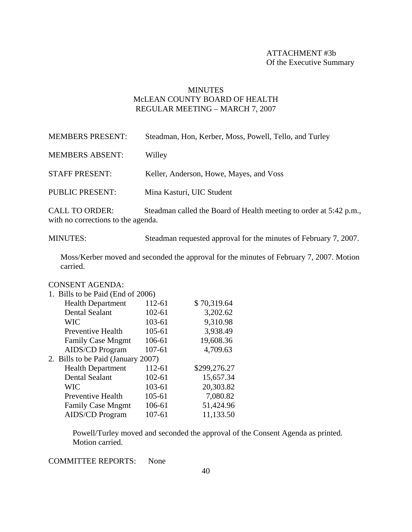#### ATTACHMENT #3b Of the Executive Summary

## **MINUTES** McLEAN COUNTY BOARD OF HEALTH REGULAR MEETING – MARCH 7, 2007

| <b>MEMBERS PRESENT:</b>                                | Steadman, Hon, Kerber, Moss, Powell, Tello, and Turley             |
|--------------------------------------------------------|--------------------------------------------------------------------|
| <b>MEMBERS ABSENT:</b>                                 | Willey                                                             |
| <b>STAFF PRESENT:</b>                                  | Keller, Anderson, Howe, Mayes, and Voss                            |
| <b>PUBLIC PRESENT:</b>                                 | Mina Kasturi, UIC Student                                          |
| <b>CALL TO ORDER:</b><br>きょすい しんしょう しんきょう しょうしん しょうしょう | Steadman called the Board of Health meeting to order at 5:42 p.m., |

with no corrections to the agenda.

MINUTES: Steadman requested approval for the minutes of February 7, 2007.

Moss/Kerber moved and seconded the approval for the minutes of February 7, 2007. Motion carried.

#### CONSENT AGENDA:

| 1. Bills to be Paid (End of 2006)  |        |              |
|------------------------------------|--------|--------------|
| <b>Health Department</b>           | 112-61 | \$70,319.64  |
| <b>Dental Sealant</b>              | 102-61 | 3,202.62     |
| <b>WIC</b>                         | 103-61 | 9,310.98     |
| Preventive Health                  | 105-61 | 3,938.49     |
| <b>Family Case Mngmt</b>           | 106-61 | 19,608.36    |
| <b>AIDS/CD Program</b>             | 107-61 | 4,709.63     |
| 2. Bills to be Paid (January 2007) |        |              |
| <b>Health Department</b>           | 112-61 | \$299,276.27 |
| <b>Dental Sealant</b>              | 102-61 | 15,657.34    |
| <b>WIC</b>                         | 103-61 | 20,303.82    |
| <b>Preventive Health</b>           | 105-61 | 7,080.82     |
| <b>Family Case Mngmt</b>           | 106-61 | 51,424.96    |
| <b>AIDS/CD Program</b>             | 107-61 | 11,133.50    |

Powell/Turley moved and seconded the approval of the Consent Agenda as printed. Motion carried.

COMMITTEE REPORTS: None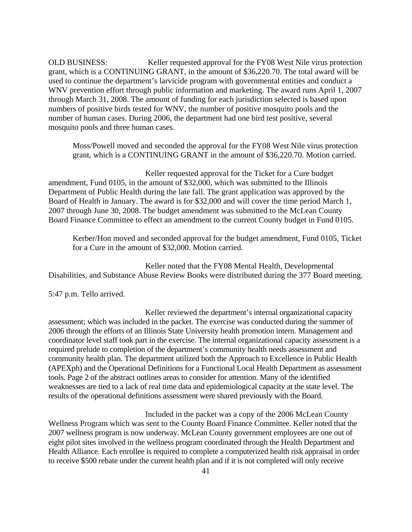OLD BUSINESS: Keller requested approval for the FY08 West Nile virus protection grant, which is a CONTINUING GRANT, in the amount of \$36,220.70. The total award will be used to continue the department's larvicide program with governmental entities and conduct a WNV prevention effort through public information and marketing. The award runs April 1, 2007 through March 31, 2008. The amount of funding for each jurisdiction selected is based upon numbers of positive birds tested for WNV, the number of positive mosquito pools and the number of human cases. During 2006, the department had one bird test positive, several mosquito pools and three human cases.

Moss/Powell moved and seconded the approval for the FY08 West Nile virus protection grant, which is a CONTINUING GRANT in the amount of \$36,220.70. Motion carried.

 Keller requested approval for the Ticket for a Cure budget amendment, Fund 0105, in the amount of \$32,000, which was submitted to the Illinois Department of Public Health during the late fall. The grant application was approved by the Board of Health in January. The award is for \$32,000 and will cover the time period March 1, 2007 through June 30, 2008. The budget amendment was submitted to the McLean County Board Finance Committee to effect an amendment to the current County budget in Fund 0105.

Kerber/Hon moved and seconded approval for the budget amendment, Fund 0105, Ticket for a Cure in the amount of \$32,000. Motion carried.

 Keller noted that the FY08 Mental Health, Developmental Disabilities, and Substance Abuse Review Books were distributed during the 377 Board meeting.

5:47 p.m. Tello arrived.

 Keller reviewed the department's internal organizational capacity assessment; which was included in the packet. The exercise was conducted during the summer of 2006 through the efforts of an Illinois State University health promotion intern. Management and coordinator level staff took part in the exercise. The internal organizational capacity assessment is a required prelude to completion of the department's community health needs assessment and community health plan. The department utilized both the Approach to Excellence in Public Health (APEXph) and the Operational Definitions for a Functional Local Health Department as assessment tools. Page 2 of the abstract outlines areas to consider for attention. Many of the identified weaknesses are tied to a lack of real time data and epidemiological capacity at the state level. The results of the operational definitions assessment were shared previously with the Board.

 Included in the packet was a copy of the 2006 McLean County Wellness Program which was sent to the County Board Finance Committee. Keller noted that the 2007 wellness program is now underway. McLean County government employees are one out of eight pilot sites involved in the wellness program coordinated through the Health Department and Health Alliance. Each enrollee is required to complete a computerized health risk appraisal in order to receive \$500 rebate under the current health plan and if it is not completed will only receive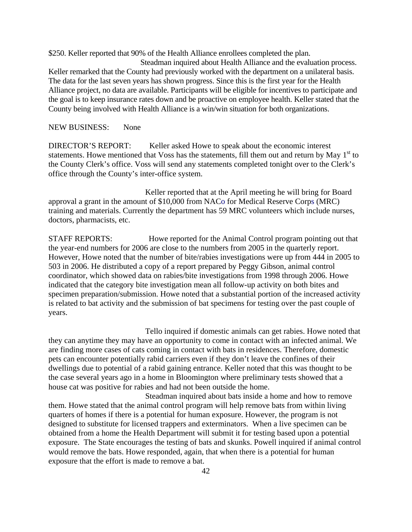\$250. Keller reported that 90% of the Health Alliance enrollees completed the plan.

 Steadman inquired about Health Alliance and the evaluation process. Keller remarked that the County had previously worked with the department on a unilateral basis. The data for the last seven years has shown progress. Since this is the first year for the Health Alliance project, no data are available. Participants will be eligible for incentives to participate and the goal is to keep insurance rates down and be proactive on employee health. Keller stated that the County being involved with Health Alliance is a win/win situation for both organizations.

#### NEW BUSINESS: None

DIRECTOR'S REPORT: Keller asked Howe to speak about the economic interest statements. Howe mentioned that Voss has the statements, fill them out and return by May  $1<sup>st</sup>$  to the County Clerk's office. Voss will send any statements completed tonight over to the Clerk's office through the County's inter-office system.

 Keller reported that at the April meeting he will bring for Board approval a grant in the amount of \$10,000 from NACo for Medical Reserve Corps (MRC) training and materials. Currently the department has 59 MRC volunteers which include nurses, doctors, pharmacists, etc.

STAFF REPORTS: Howe reported for the Animal Control program pointing out that the year-end numbers for 2006 are close to the numbers from 2005 in the quarterly report. However, Howe noted that the number of bite/rabies investigations were up from 444 in 2005 to 503 in 2006. He distributed a copy of a report prepared by Peggy Gibson, animal control coordinator, which showed data on rabies/bite investigations from 1998 through 2006. Howe indicated that the category bite investigation mean all follow-up activity on both bites and specimen preparation/submission. Howe noted that a substantial portion of the increased activity is related to bat activity and the submission of bat specimens for testing over the past couple of years.

 Tello inquired if domestic animals can get rabies. Howe noted that they can anytime they may have an opportunity to come in contact with an infected animal. We are finding more cases of cats coming in contact with bats in residences. Therefore, domestic pets can encounter potentially rabid carriers even if they don't leave the confines of their dwellings due to potential of a rabid gaining entrance. Keller noted that this was thought to be the case several years ago in a home in Bloomington where preliminary tests showed that a house cat was positive for rabies and had not been outside the home.

 Steadman inquired about bats inside a home and how to remove them. Howe stated that the animal control program will help remove bats from within living quarters of homes if there is a potential for human exposure. However, the program is not designed to substitute for licensed trappers and exterminators. When a live specimen can be obtained from a home the Health Department will submit it for testing based upon a potential exposure. The State encourages the testing of bats and skunks. Powell inquired if animal control would remove the bats. Howe responded, again, that when there is a potential for human exposure that the effort is made to remove a bat.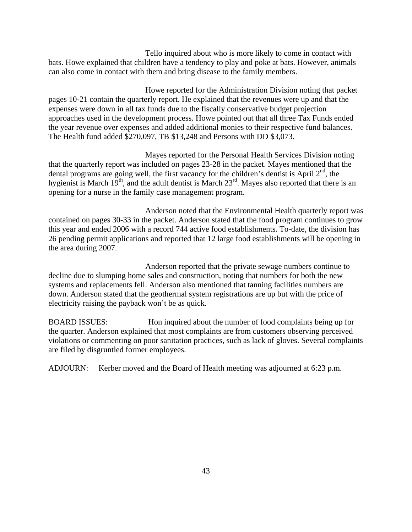Tello inquired about who is more likely to come in contact with bats. Howe explained that children have a tendency to play and poke at bats. However, animals can also come in contact with them and bring disease to the family members.

 Howe reported for the Administration Division noting that packet pages 10-21 contain the quarterly report. He explained that the revenues were up and that the expenses were down in all tax funds due to the fiscally conservative budget projection approaches used in the development process. Howe pointed out that all three Tax Funds ended the year revenue over expenses and added additional monies to their respective fund balances. The Health fund added \$270,097, TB \$13,248 and Persons with DD \$3,073.

 Mayes reported for the Personal Health Services Division noting that the quarterly report was included on pages 23-28 in the packet. Mayes mentioned that the dental programs are going well, the first vacancy for the children's dentist is April  $2<sup>nd</sup>$ , the hygienist is March  $19<sup>th</sup>$ , and the adult dentist is March  $23<sup>rd</sup>$ . Mayes also reported that there is an opening for a nurse in the family case management program.

 Anderson noted that the Environmental Health quarterly report was contained on pages 30-33 in the packet. Anderson stated that the food program continues to grow this year and ended 2006 with a record 744 active food establishments. To-date, the division has 26 pending permit applications and reported that 12 large food establishments will be opening in the area during 2007.

 Anderson reported that the private sewage numbers continue to decline due to slumping home sales and construction, noting that numbers for both the new systems and replacements fell. Anderson also mentioned that tanning facilities numbers are down. Anderson stated that the geothermal system registrations are up but with the price of electricity raising the payback won't be as quick.

BOARD ISSUES: Hon inquired about the number of food complaints being up for the quarter. Anderson explained that most complaints are from customers observing perceived violations or commenting on poor sanitation practices, such as lack of gloves. Several complaints are filed by disgruntled former employees.

ADJOURN: Kerber moved and the Board of Health meeting was adjourned at 6:23 p.m.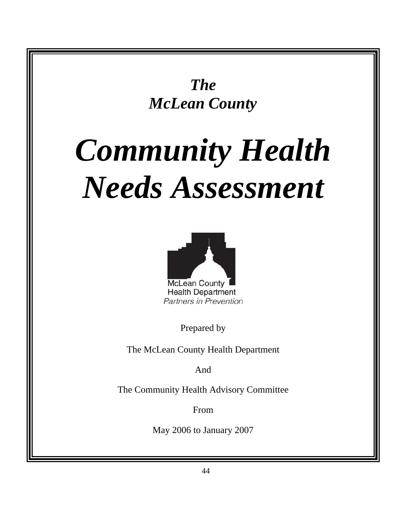*The McLean County* 

# *Community Health Needs Assessment*



Partners in Prevention

Prepared by

The McLean County Health Department

And

The Community Health Advisory Committee

From

May 2006 to January 2007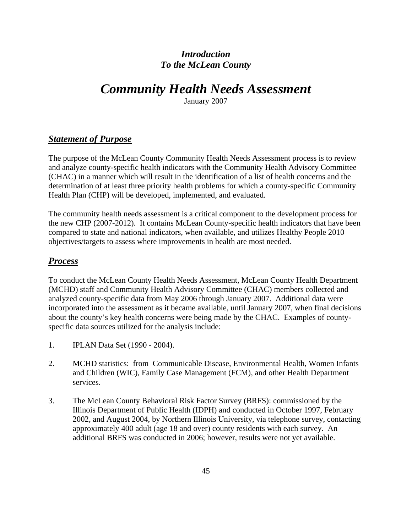## *Introduction To the McLean County*

## *Community Health Needs Assessment*

January 2007

## *Statement of Purpose*

The purpose of the McLean County Community Health Needs Assessment process is to review and analyze county-specific health indicators with the Community Health Advisory Committee (CHAC) in a manner which will result in the identification of a list of health concerns and the determination of at least three priority health problems for which a county-specific Community Health Plan (CHP) will be developed, implemented, and evaluated.

The community health needs assessment is a critical component to the development process for the new CHP (2007-2012). It contains McLean County-specific health indicators that have been compared to state and national indicators, when available, and utilizes Healthy People 2010 objectives/targets to assess where improvements in health are most needed.

## *Process*

To conduct the McLean County Health Needs Assessment, McLean County Health Department (MCHD) staff and Community Health Advisory Committee (CHAC) members collected and analyzed county-specific data from May 2006 through January 2007. Additional data were incorporated into the assessment as it became available, until January 2007, when final decisions about the county's key health concerns were being made by the CHAC. Examples of countyspecific data sources utilized for the analysis include:

- 1. IPLAN Data Set (1990 2004).
- 2. MCHD statistics: from Communicable Disease, Environmental Health, Women Infants and Children (WIC), Family Case Management (FCM), and other Health Department services.
- 3. The McLean County Behavioral Risk Factor Survey (BRFS): commissioned by the Illinois Department of Public Health (IDPH) and conducted in October 1997, February 2002, and August 2004, by Northern Illinois University, via telephone survey, contacting approximately 400 adult (age 18 and over) county residents with each survey. An additional BRFS was conducted in 2006; however, results were not yet available.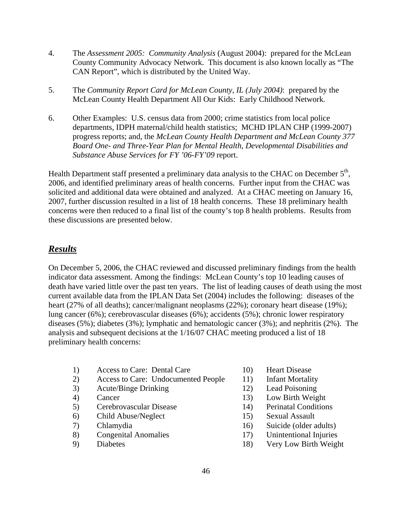- 4. The *Assessment 2005: Community Analysis* (August 2004): prepared for the McLean County Community Advocacy Network. This document is also known locally as "The CAN Report", which is distributed by the United Way.
- 5. The *Community Report Card for McLean County, IL (July 2004)*: prepared by the McLean County Health Department All Our Kids: Early Childhood Network.
- 6. Other Examples: U.S. census data from 2000; crime statistics from local police departments, IDPH maternal/child health statistics; MCHD IPLAN CHP (1999-2007) progress reports; and, the *McLean County Health Department and McLean County 377 Board One- and Three-Year Plan for Mental Health, Developmental Disabilities and Substance Abuse Services for FY '06-FY'09* report.

Health Department staff presented a preliminary data analysis to the CHAC on December 5<sup>th</sup>. 2006, and identified preliminary areas of health concerns. Further input from the CHAC was solicited and additional data were obtained and analyzed. At a CHAC meeting on January 16, 2007, further discussion resulted in a list of 18 health concerns. These 18 preliminary health concerns were then reduced to a final list of the county's top 8 health problems. Results from these discussions are presented below.

## *Results*

On December 5, 2006, the CHAC reviewed and discussed preliminary findings from the health indicator data assessment. Among the findings: McLean County's top 10 leading causes of death have varied little over the past ten years. The list of leading causes of death using the most current available data from the IPLAN Data Set (2004) includes the following: diseases of the heart (27% of all deaths); cancer/malignant neoplasms (22%); coronary heart disease (19%); lung cancer (6%); cerebrovascular diseases (6%); accidents (5%); chronic lower respiratory diseases (5%); diabetes (3%); lymphatic and hematologic cancer (3%); and nephritis (2%). The analysis and subsequent decisions at the 1/16/07 CHAC meeting produced a list of 18 preliminary health concerns:

- 1) Access to Care: Dental Care 10) Heart Disease
- 2) Access to Care: Undocumented People 11) Infant Mortality
- 3) Acute/Binge Drinking 12) Lead Poisoning
- 
- 5) Cerebrovascular Disease 14) Perinatal Conditions
- 6) Child Abuse/Neglect 15) Sexual Assault
- 
- 8) Congenital Anomalies 17) Unintentional Injuries
- 
- 
- 
- 
- 4) Cancer 13) Low Birth Weight
	-
	-
- 7) Chlamydia 16) Suicide (older adults)
	-
- 9) Diabetes 18) Very Low Birth Weight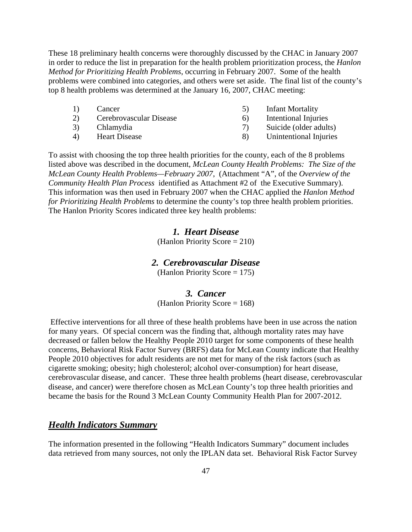These 18 preliminary health concerns were thoroughly discussed by the CHAC in January 2007 in order to reduce the list in preparation for the health problem prioritization process, the *Hanlon Method for Prioritizing Health Problems*, occurring in February 2007. Some of the health problems were combined into categories, and others were set aside. The final list of the county's top 8 health problems was determined at the January 16, 2007, CHAC meeting:

- 
- 
- 
- 
- 1) Cancer 5) Infant Mortality
- 2) Cerebrovascular Disease 6) Intentional Injuries
- 3) Chlamydia 7) Suicide (older adults)
- 4) Heart Disease 8) Unintentional Injuries

To assist with choosing the top three health priorities for the county, each of the 8 problems listed above was described in the document, *McLean County Health Problems: The Size of the McLean County Health Problems—February 2007*, (Attachment "A", of the *Overview of the Community Health Plan Process* identified as Attachment #2 of the Executive Summary). This information was then used in February 2007 when the CHAC applied the *Hanlon Method for Prioritizing Health Problems* to determine the county's top three health problem priorities. The Hanlon Priority Scores indicated three key health problems:

#### *1. Heart Disease*

(Hanlon Priority Score = 210)

## *2. Cerebrovascular Disease*

(Hanlon Priority Score  $= 175$ )

#### *3. Cancer*

(Hanlon Priority Score = 168)

 Effective interventions for all three of these health problems have been in use across the nation for many years. Of special concern was the finding that, although mortality rates may have decreased or fallen below the Healthy People 2010 target for some components of these health concerns, Behavioral Risk Factor Survey (BRFS) data for McLean County indicate that Healthy People 2010 objectives for adult residents are not met for many of the risk factors (such as cigarette smoking; obesity; high cholesterol; alcohol over-consumption) for heart disease, cerebrovascular disease, and cancer. These three health problems (heart disease, cerebrovascular disease, and cancer) were therefore chosen as McLean County's top three health priorities and became the basis for the Round 3 McLean County Community Health Plan for 2007-2012.

## *Health Indicators Summary*

The information presented in the following "Health Indicators Summary" document includes data retrieved from many sources, not only the IPLAN data set. Behavioral Risk Factor Survey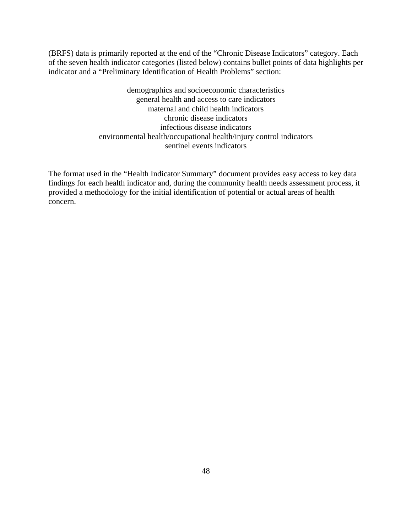(BRFS) data is primarily reported at the end of the "Chronic Disease Indicators" category. Each of the seven health indicator categories (listed below) contains bullet points of data highlights per indicator and a "Preliminary Identification of Health Problems" section:

> demographics and socioeconomic characteristics general health and access to care indicators maternal and child health indicators chronic disease indicators infectious disease indicators environmental health/occupational health/injury control indicators sentinel events indicators

The format used in the "Health Indicator Summary" document provides easy access to key data findings for each health indicator and, during the community health needs assessment process, it provided a methodology for the initial identification of potential or actual areas of health concern.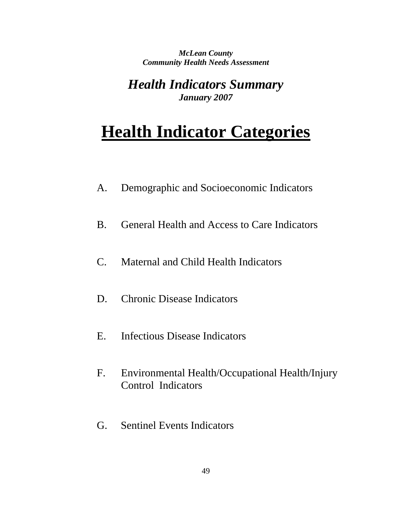*McLean County Community Health Needs Assessment* 

*Health Indicators Summary January 2007*

## **Health Indicator Categories**

- A. Demographic and Socioeconomic Indicators
- B. General Health and Access to Care Indicators
- C. Maternal and Child Health Indicators
- D. Chronic Disease Indicators
- E. Infectious Disease Indicators
- F. Environmental Health/Occupational Health/Injury Control Indicators
- G. Sentinel Events Indicators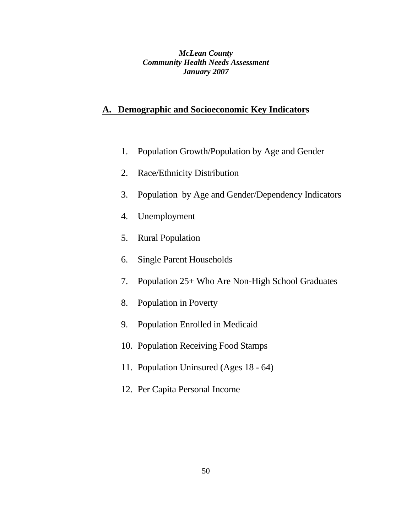*McLean County Community Health Needs Assessment January 2007*

## **A. Demographic and Socioeconomic Key Indicators**

- 1. Population Growth/Population by Age and Gender
- 2. Race/Ethnicity Distribution
- 3. Population by Age and Gender/Dependency Indicators
- 4. Unemployment
- 5. Rural Population
- 6. Single Parent Households
- 7. Population 25+ Who Are Non-High School Graduates
- 8. Population in Poverty
- 9. Population Enrolled in Medicaid
- 10. Population Receiving Food Stamps
- 11. Population Uninsured (Ages 18 64)
- 12. Per Capita Personal Income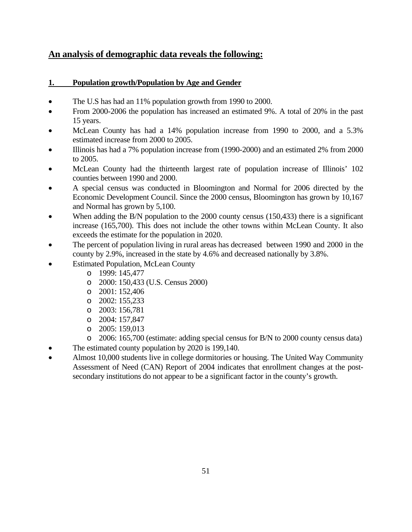## **An analysis of demographic data reveals the following:**

#### **1. Population growth/Population by Age and Gender**

- The U.S has had an 11% population growth from 1990 to 2000.
- From 2000-2006 the population has increased an estimated 9%. A total of 20% in the past 15 years.
- McLean County has had a 14% population increase from 1990 to 2000, and a 5.3% estimated increase from 2000 to 2005.
- Illinois has had a 7% population increase from (1990-2000) and an estimated 2% from 2000 to 2005.
- McLean County had the thirteenth largest rate of population increase of Illinois' 102 counties between 1990 and 2000.
- A special census was conducted in Bloomington and Normal for 2006 directed by the Economic Development Council. Since the 2000 census, Bloomington has grown by 10,167 and Normal has grown by 5,100.
- When adding the B/N population to the 2000 county census (150,433) there is a significant increase (165,700). This does not include the other towns within McLean County. It also exceeds the estimate for the population in 2020.
- The percent of population living in rural areas has decreased between 1990 and 2000 in the county by 2.9%, increased in the state by 4.6% and decreased nationally by 3.8%.
	- **Estimated Population, McLean County** 
		- o 1999: 145,477
		- o 2000: 150,433 (U.S. Census 2000)
		- o 2001: 152,406
		- o 2002: 155,233
		- o 2003: 156,781
		- o 2004: 157,847
		- o 2005: 159,013
		- o 2006: 165,700 (estimate: adding special census for B/N to 2000 county census data)
- The estimated county population by 2020 is 199,140.
- Almost 10,000 students live in college dormitories or housing. The United Way Community Assessment of Need (CAN) Report of 2004 indicates that enrollment changes at the postsecondary institutions do not appear to be a significant factor in the county's growth.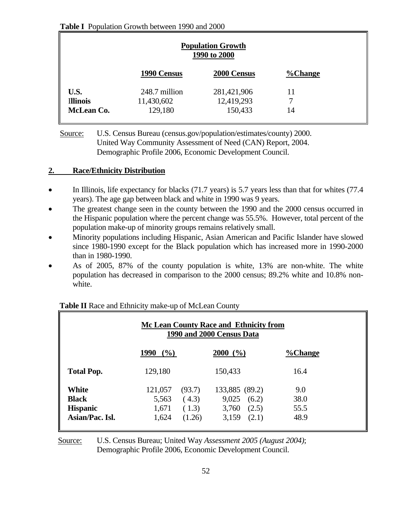#### **Table I** Population Growth between 1990 and 2000

| <b>Population Growth</b><br>1990 to 2000 |                                        |                                      |                |  |  |  |  |
|------------------------------------------|----------------------------------------|--------------------------------------|----------------|--|--|--|--|
|                                          | 1990 Census                            | 2000 Census                          | <b>%Change</b> |  |  |  |  |
| U.S.<br><b>Illinois</b><br>McLean Co.    | 248.7 million<br>11,430,602<br>129,180 | 281,421,906<br>12,419,293<br>150,433 | 11<br>7<br>14  |  |  |  |  |

 Source: U.S. Census Bureau (census.gov/population/estimates/county) 2000. United Way Community Assessment of Need (CAN) Report, 2004. Demographic Profile 2006, Economic Development Council.

#### **2. Race/Ethnicity Distribution**

- In Illinois, life expectancy for blacks (71.7 years) is 5.7 years less than that for whites (77.4 years). The age gap between black and white in 1990 was 9 years.
- The greatest change seen in the county between the 1990 and the 2000 census occurred in the Hispanic population where the percent change was 55.5%. However, total percent of the population make-up of minority groups remains relatively small.
- Minority populations including Hispanic, Asian American and Pacific Islander have slowed since 1980-1990 except for the Black population which has increased more in 1990-2000 than in 1980-1990.
- As of 2005, 87% of the county population is white, 13% are non-white. The white population has decreased in comparison to the 2000 census; 89.2% white and 10.8% nonwhite.

| Mc Lean County Race and Ethnicity from<br>1990 and 2000 Census Data |                                                                          |                                                                       |                             |  |  |  |  |
|---------------------------------------------------------------------|--------------------------------------------------------------------------|-----------------------------------------------------------------------|-----------------------------|--|--|--|--|
|                                                                     | 1990<br>$($ %)                                                           | $2000 (^{\circ}\!/_{0})$                                              | <b>%Change</b>              |  |  |  |  |
| <b>Total Pop.</b>                                                   | 129,180                                                                  | 150,433                                                               | 16.4                        |  |  |  |  |
| <b>White</b><br><b>Black</b><br><b>Hispanic</b><br>Asian/Pac. Isl.  | 121,057<br>(93.7)<br>(4.3)<br>5,563<br>1,671<br>(1.3)<br>1,624<br>(1.26) | 133,885 (89.2)<br>$9,025$ $(6.2)$<br>(2.5)<br>3,760<br>3,159<br>(2.1) | 9.0<br>38.0<br>55.5<br>48.9 |  |  |  |  |

## **Table II** Race and Ethnicity make-up of McLean County

 Source: U.S. Census Bureau; United Way *Assessment 2005 (August 2004)*;Demographic Profile 2006, Economic Development Council.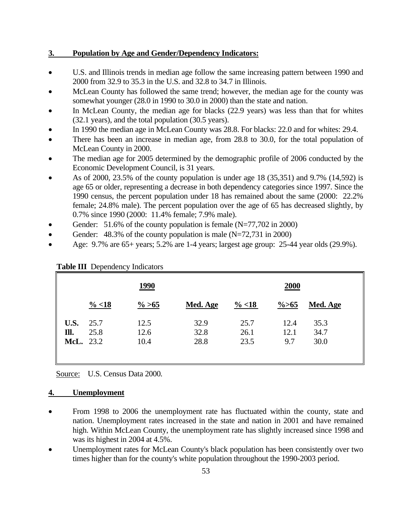#### **3. Population by Age and Gender/Dependency Indicators:**

- U.S. and Illinois trends in median age follow the same increasing pattern between 1990 and 2000 from 32.9 to 35.3 in the U.S. and 32.8 to 34.7 in Illinois.
- McLean County has followed the same trend; however, the median age for the county was somewhat younger (28.0 in 1990 to 30.0 in 2000) than the state and nation.
- In McLean County, the median age for blacks (22.9 years) was less than that for whites (32.1 years), and the total population (30.5 years).
- In 1990 the median age in McLean County was 28.8. For blacks: 22.0 and for whites: 29.4.
- There has been an increase in median age, from 28.8 to 30.0, for the total population of McLean County in 2000.
- The median age for 2005 determined by the demographic profile of 2006 conducted by the Economic Development Council, is 31 years.
- As of 2000, 23.5% of the county population is under age 18 (35,351) and 9.7% (14,592) is age 65 or older, representing a decrease in both dependency categories since 1997. Since the 1990 census, the percent population under 18 has remained about the same (2000: 22.2% female; 24.8% male). The percent population over the age of 65 has decreased slightly, by 0.7% since 1990 (2000: 11.4% female; 7.9% male).
- Gender: 51.6% of the county population is female  $(N=77,702$  in 2000)
- Gender: 48.3% of the county population is male (N=72,731 in 2000)
- Age: 9.7% are 65+ years; 5.2% are 1-4 years; largest age group: 25-44 year olds (29.9%).

|                           |                   | <u>1990</u>          |                      |                      | <b>2000</b>         |                      |
|---------------------------|-------------------|----------------------|----------------------|----------------------|---------------------|----------------------|
|                           | $\frac{9}{6}$ <18 | $\frac{\%}{\6} > 65$ | Med. Age             | $\frac{9}{6}$ <18    | $\frac{\%}{6}$      | Med. Age             |
| U.S.<br>Ill.<br>McL. 23.2 | 25.7<br>25.8      | 12.5<br>12.6<br>10.4 | 32.9<br>32.8<br>28.8 | 25.7<br>26.1<br>23.5 | 12.4<br>12.1<br>9.7 | 35.3<br>34.7<br>30.0 |

#### **Table III** Dependency Indicators

Source: U.S. Census Data 2000*.*

#### **4. Unemployment**

- From 1998 to 2006 the unemployment rate has fluctuated within the county, state and nation. Unemployment rates increased in the state and nation in 2001 and have remained high. Within McLean County, the unemployment rate has slightly increased since 1998 and was its highest in 2004 at 4.5%.
- Unemployment rates for McLean County's black population has been consistently over two times higher than for the county's white population throughout the 1990-2003 period.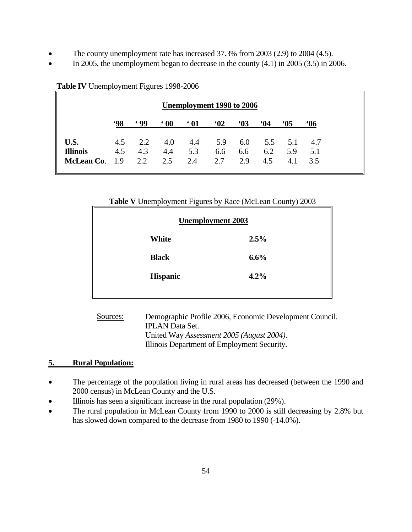- The county unemployment rate has increased 37.3% from 2003 (2.9) to 2004 (4.5).
- In 2005, the unemployment began to decrease in the county  $(4.1)$  in 2005  $(3.5)$  in 2006.

|                 | Unemployment 1998 to 2006 |            |            |            |     |     |     |     |            |
|-----------------|---------------------------|------------|------------|------------|-----|-----|-----|-----|------------|
|                 | '98                       | <u>699</u> | $\cdot$ 00 | $\cdot$ 01 | 62  | 63  | 64  | 65  | <b>.06</b> |
| U.S.            | 4.5                       | 2.2        | 4.0        | 4.4        | 5.9 | 6.0 | 5.5 | 5.1 | 4.7        |
| <b>Illinois</b> | 4.5                       | 4.3        | 4.4        | 5.3        | 6.6 | 6.6 | 6.2 | 5.9 | 5.1        |
| McLean Co. 1.9  |                           | 2.2        | 2.5        | 2.4        | 2.7 | 2.9 | 4.5 | 4.1 | 3.5        |

#### **Table IV** Unemployment Figures 1998-2006

#### **Table V** Unemployment Figures by Race (McLean County) 2003

| <b>Unemployment 2003</b> |      |
|--------------------------|------|
| White                    | 2.5% |
| <b>Black</b>             | 6.6% |
| <b>Hispanic</b>          | 4.2% |
|                          |      |

 Sources: Demographic Profile 2006, Economic Development Council. IPLAN Data Set. United Way *Assessment 2005 (August 2004)*. Illinois Department of Employment Security*.* 

## **5. Rural Population:**

- The percentage of the population living in rural areas has decreased (between the 1990 and 2000 census) in McLean County and the U.S.
- Illinois has seen a significant increase in the rural population (29%).
- The rural population in McLean County from 1990 to 2000 is still decreasing by 2.8% but has slowed down compared to the decrease from 1980 to 1990 (-14.0%).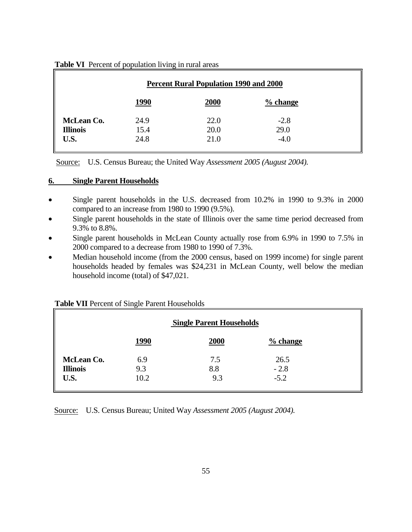| <b>Percent Rural Population 1990 and 2000</b> |      |      |            |  |  |  |  |
|-----------------------------------------------|------|------|------------|--|--|--|--|
|                                               | 1990 | 2000 | $%$ change |  |  |  |  |
| McLean Co.                                    | 24.9 | 22.0 | $-2.8$     |  |  |  |  |
| <b>Illinois</b>                               | 15.4 | 20.0 | 29.0       |  |  |  |  |
| U.S.                                          | 24.8 | 21.0 | $-4.0$     |  |  |  |  |

#### **Table VI** Percent of population living in rural areas

Source: U.S. Census Bureau; the United Way *Assessment 2005 (August 2004).*

#### **6. Single Parent Households**

- Single parent households in the U.S. decreased from 10.2% in 1990 to 9.3% in 2000 compared to an increase from 1980 to 1990 (9.5%).
- Single parent households in the state of Illinois over the same time period decreased from 9.3% to 8.8%.
- Single parent households in McLean County actually rose from 6.9% in 1990 to 7.5% in 2000 compared to a decrease from 1980 to 1990 of 7.3%.
- Median household income (from the 2000 census, based on 1999 income) for single parent households headed by females was \$24,231 in McLean County, well below the median household income (total) of \$47,021.

| <b>Single Parent Households</b> |             |      |                      |  |  |
|---------------------------------|-------------|------|----------------------|--|--|
|                                 | <b>1990</b> | 2000 | $\frac{9}{6}$ change |  |  |
| McLean Co.                      | 6.9         | 7.5  | 26.5                 |  |  |
| <b>Illinois</b>                 | 9.3         | 8.8  | $-2.8$               |  |  |
| U.S.                            | 10.2        | 9.3  | $-5.2$               |  |  |

#### **Table VII** Percent of Single Parent Households

Source: U.S. Census Bureau; United Way *Assessment 2005 (August 2004).*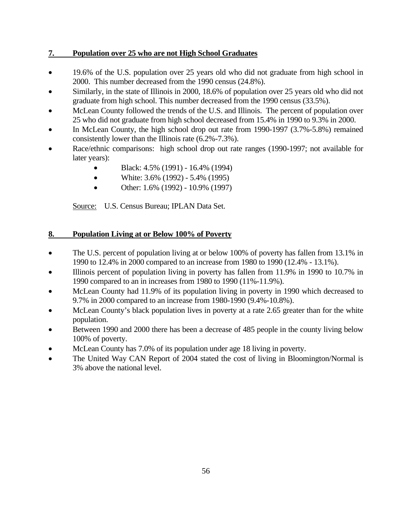#### **7. Population over 25 who are not High School Graduates**

- 19.6% of the U.S. population over 25 years old who did not graduate from high school in 2000. This number decreased from the 1990 census (24.8%).
- Similarly, in the state of Illinois in 2000, 18.6% of population over 25 years old who did not graduate from high school. This number decreased from the 1990 census (33.5%).
- McLean County followed the trends of the U.S. and Illinois. The percent of population over 25 who did not graduate from high school decreased from 15.4% in 1990 to 9.3% in 2000.
- In McLean County, the high school drop out rate from 1990-1997 (3.7%-5.8%) remained consistently lower than the Illinois rate (6.2%-7.3%).
- Race/ethnic comparisons: high school drop out rate ranges (1990-1997; not available for later years):
	- Black:  $4.5\%$  (1991) 16.4% (1994)
	- White:  $3.6\%$  (1992)  $5.4\%$  (1995)
	- Other:  $1.6\%$  (1992)  $10.9\%$  (1997)

Source: U.S. Census Bureau; IPLAN Data Set.

#### **8. Population Living at or Below 100% of Poverty**

- The U.S. percent of population living at or below 100% of poverty has fallen from 13.1% in 1990 to 12.4% in 2000 compared to an increase from 1980 to 1990 (12.4% - 13.1%).
- Illinois percent of population living in poverty has fallen from 11.9% in 1990 to 10.7% in 1990 compared to an in increases from 1980 to 1990 (11%-11.9%).
- McLean County had 11.9% of its population living in poverty in 1990 which decreased to 9.7% in 2000 compared to an increase from 1980-1990 (9.4%-10.8%).
- McLean County's black population lives in poverty at a rate 2.65 greater than for the white population.
- Between 1990 and 2000 there has been a decrease of 485 people in the county living below 100% of poverty.
- McLean County has 7.0% of its population under age 18 living in poverty.
- The United Way CAN Report of 2004 stated the cost of living in Bloomington/Normal is 3% above the national level.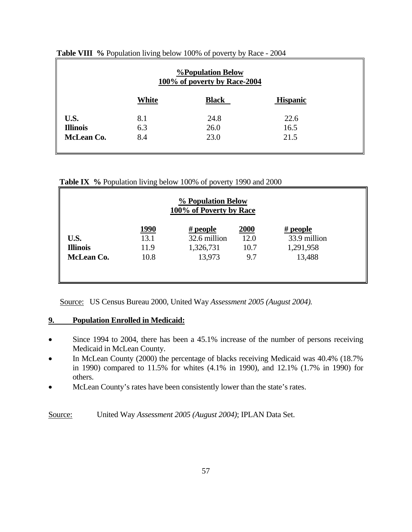| <b><i><u>%Population Below</u></i></b><br>100% of poverty by Race-2004 |              |              |                 |  |  |  |
|------------------------------------------------------------------------|--------------|--------------|-----------------|--|--|--|
|                                                                        | <b>White</b> | <b>Black</b> | <b>Hispanic</b> |  |  |  |
| U.S.                                                                   | 8.1          | 24.8         | 22.6            |  |  |  |
| <b>Illinois</b>                                                        | 6.3          | 26.0         | 16.5            |  |  |  |
| McLean Co.                                                             | 8.4          | 23.0         | 21.5            |  |  |  |
|                                                                        |              |              |                 |  |  |  |

**Table VIII %** Population living below 100% of poverty by Race - 2004

**Table IX %** Population living below 100% of poverty 1990 and 2000

| % Population Below<br>100% of Poverty by Race |               |              |      |              |  |  |  |  |
|-----------------------------------------------|---------------|--------------|------|--------------|--|--|--|--|
|                                               | <u> 1990 </u> | $#$ people   | 2000 | $#$ people   |  |  |  |  |
| U.S.                                          | 13.1          | 32.6 million | 12.0 | 33.9 million |  |  |  |  |
| <b>Illinois</b>                               | 11.9          | 1,326,731    | 10.7 | 1,291,958    |  |  |  |  |
| McLean Co.                                    | 10.8          | 13,973       | 9.7  | 13,488       |  |  |  |  |
|                                               |               |              |      |              |  |  |  |  |

Source: US Census Bureau 2000, United Way *Assessment 2005 (August 2004).* 

## **9. Population Enrolled in Medicaid:**

- Since 1994 to 2004, there has been a 45.1% increase of the number of persons receiving Medicaid in McLean County.
- In McLean County (2000) the percentage of blacks receiving Medicaid was 40.4% (18.7% in 1990) compared to 11.5% for whites (4.1% in 1990), and 12.1% (1.7% in 1990) for others.
- McLean County's rates have been consistently lower than the state's rates.

Source: United Way *Assessment 2005 (August 2004)*; IPLAN Data Set.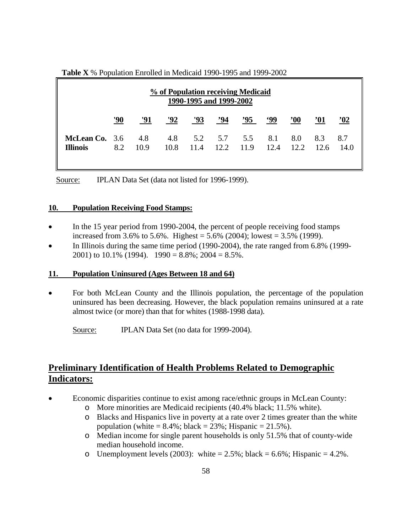| % of Population receiving Medicaid<br>1990-1995 and 1999-2002 |     |      |      |            |     |                                                    |            |             |            |             |
|---------------------------------------------------------------|-----|------|------|------------|-----|----------------------------------------------------|------------|-------------|------------|-------------|
|                                                               | '90 | '91  | '92  | <u>'93</u> | ,94 | <u><math>^{295}</math></u>                         | <u>'99</u> | $90^\circ$  | <u>'01</u> | '02         |
| <b>McLean Co.</b> 3.6 4.8<br><b>Illinois</b>                  | 8.2 | 10.9 | 10.8 |            |     | 4.8 5.2 5.7 5.5 8.1 8.0 8.3<br>11.4 12.2 11.9 12.4 |            | $12.2$ 12.6 |            | 8.7<br>14.0 |

**Table X** % Population Enrolled in Medicaid 1990-1995 and 1999-2002

Source: IPLAN Data Set (data not listed for 1996-1999).

#### **10. Population Receiving Food Stamps:**

- In the 15 year period from 1990-2004, the percent of people receiving food stamps increased from 3.6% to 5.6%. Highest =  $5.6\%$  (2004); lowest =  $3.5\%$  (1999).
- In Illinois during the same time period (1990-2004), the rate ranged from 6.8% (1999-2001) to 10.1% (1994).  $1990 = 8.8\%$ ;  $2004 = 8.5\%$ .

#### **11. Population Uninsured (Ages Between 18 and 64)**

• For both McLean County and the Illinois population, the percentage of the population uninsured has been decreasing. However, the black population remains uninsured at a rate almost twice (or more) than that for whites (1988-1998 data).

Source: **IPLAN Data Set** (no data for 1999-2004).

## **Preliminary Identification of Health Problems Related to Demographic Indicators:**

- Economic disparities continue to exist among race/ethnic groups in McLean County:
	- o More minorities are Medicaid recipients (40.4% black; 11.5% white).
	- o Blacks and Hispanics live in poverty at a rate over 2 times greater than the white population (white  $= 8.4\%$ ; black  $= 23\%$ ; Hispanic  $= 21.5\%$ ).
	- o Median income for single parent households is only 51.5% that of county-wide median household income.
	- o Unemployment levels (2003): white  $= 2.5\%$ ; black  $= 6.6\%$ ; Hispanic  $= 4.2\%$ .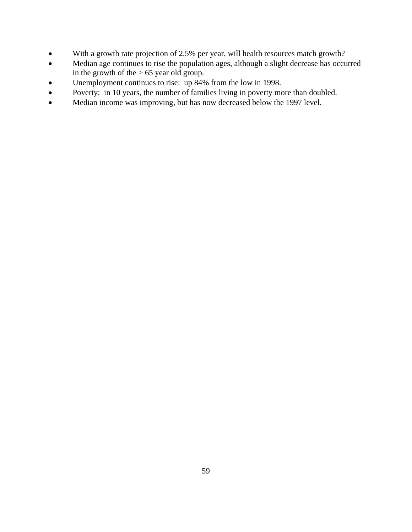- With a growth rate projection of 2.5% per year, will health resources match growth?
- Median age continues to rise the population ages, although a slight decrease has occurred in the growth of the  $> 65$  year old group.
- Unemployment continues to rise: up 84% from the low in 1998.
- Poverty: in 10 years, the number of families living in poverty more than doubled.
- Median income was improving, but has now decreased below the 1997 level.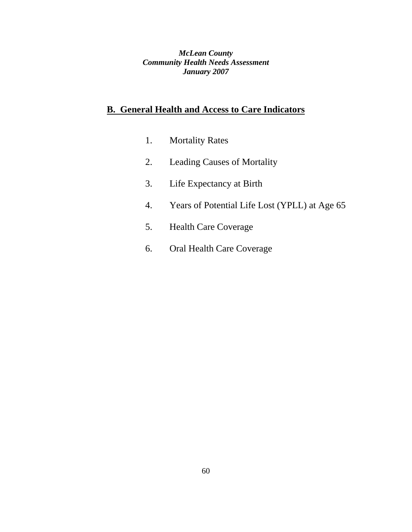*McLean County Community Health Needs Assessment January 2007*

## **B. General Health and Access to Care Indicators**

- 1. Mortality Rates
- 2. Leading Causes of Mortality
- 3. Life Expectancy at Birth
- 4. Years of Potential Life Lost (YPLL) at Age 65
- 5. Health Care Coverage
- 6. Oral Health Care Coverage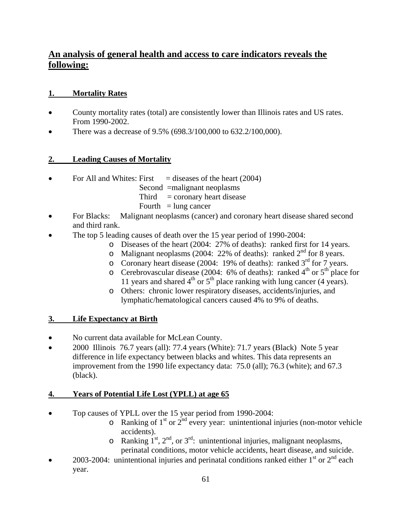## **An analysis of general health and access to care indicators reveals the following:**

## **1. Mortality Rates**

- County mortality rates (total) are consistently lower than Illinois rates and US rates. From 1990-2002.
- There was a decrease of 9.5% (698.3/100,000 to 632.2/100,000).

## **2. Leading Causes of Mortality**

- For All and Whites: First  $=$  diseases of the heart (2004)
	- Second =malignant neoplasms
	- $Third = concary heart disease$
	- Fourth  $=$  lung cancer
- For Blacks: Malignant neoplasms (cancer) and coronary heart disease shared second and third rank.
- The top 5 leading causes of death over the 15 year period of 1990-2004:
	- o Diseases of the heart (2004: 27% of deaths): ranked first for 14 years.
	- o Malignant neoplasms (2004: 22% of deaths): ranked  $2<sup>nd</sup>$  for 8 years.
	- o Coronary heart disease (2004: 19% of deaths): ranked  $3<sup>rd</sup>$  for 7 years.
	- o Cerebrovascular disease (2004: 6% of deaths): ranked 4<sup>th</sup> or 5<sup>th</sup> place for 11 years and shared  $4<sup>th</sup>$  or  $5<sup>th</sup>$  place ranking with lung cancer (4 years).
	- o Others: chronic lower respiratory diseases, accidents/injuries, and lymphatic/hematological cancers caused 4% to 9% of deaths.

## **3. Life Expectancy at Birth**

- No current data available for McLean County.
- 2000 Illinois 76.7 years (all): 77.4 years (White): 71.7 years (Black) Note 5 year difference in life expectancy between blacks and whites. This data represents an improvement from the 1990 life expectancy data: 75.0 (all); 76.3 (white); and 67.3 (black).

## **4. Years of Potential Life Lost (YPLL) at age 65**

- Top causes of YPLL over the 15 year period from 1990-2004:
	- $\circ$  Ranking of 1<sup>st</sup> or 2<sup>nd</sup> every year: unintentional injuries (non-motor vehicle accidents).
	- $\circ$  Ranking 1<sup>st</sup>, 2<sup>nd</sup>, or 3<sup>rd</sup>: unintentional injuries, malignant neoplasms, perinatal conditions, motor vehicle accidents, heart disease, and suicide.
- 2003-2004: unintentional injuries and perinatal conditions ranked either  $1<sup>st</sup>$  or  $2<sup>nd</sup>$  each year.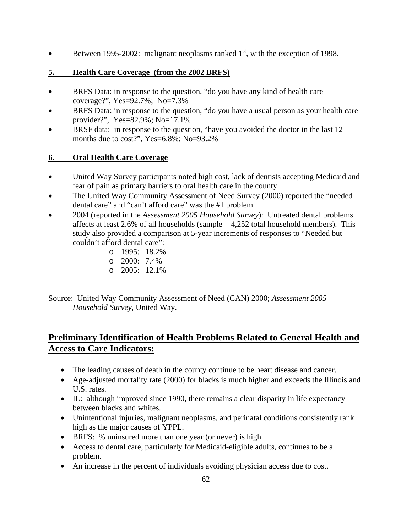• Between 1995-2002: malignant neoplasms ranked  $1<sup>st</sup>$ , with the exception of 1998.

## **5. Health Care Coverage (from the 2002 BRFS)**

- BRFS Data: in response to the question, "do you have any kind of health care coverage?", Yes=92.7%; No=7.3%
- BRFS Data: in response to the question, "do you have a usual person as your health care provider?", Yes=82.9%; No=17.1%
- BRSF data: in response to the question, "have you avoided the doctor in the last 12 months due to cost?", Yes=6.8%; No=93.2%

## **6. Oral Health Care Coverage**

- United Way Survey participants noted high cost, lack of dentists accepting Medicaid and fear of pain as primary barriers to oral health care in the county.
- The United Way Community Assessment of Need Survey (2000) reported the "needed dental care" and "can't afford care" was the #1 problem.
- 2004 (reported in the *Assessment 2005 Household Survey*): Untreated dental problems affects at least 2.6% of all households (sample  $= 4,252$  total household members). This study also provided a comparison at 5-year increments of responses to "Needed but couldn't afford dental care":
	- o 1995: 18.2%
	- o 2000: 7.4%
	- $\degree$  2005: 12.1%

Source: United Way Community Assessment of Need (CAN) 2000; *Assessment 2005 Household Survey*, United Way.

## **Preliminary Identification of Health Problems Related to General Health and Access to Care Indicators:**

- The leading causes of death in the county continue to be heart disease and cancer.
- Age-adjusted mortality rate (2000) for blacks is much higher and exceeds the Illinois and U.S. rates.
- IL: although improved since 1990, there remains a clear disparity in life expectancy between blacks and whites.
- Unintentional injuries, malignant neoplasms, and perinatal conditions consistently rank high as the major causes of YPPL.
- BRFS: % uninsured more than one year (or never) is high.
- Access to dental care, particularly for Medicaid-eligible adults, continues to be a problem.
- An increase in the percent of individuals avoiding physician access due to cost.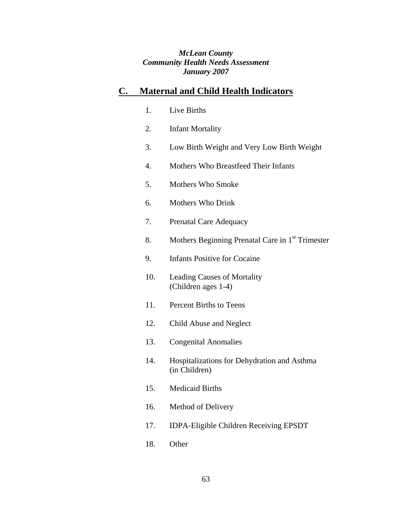#### *McLean County Community Health Needs Assessment January 2007*

## **C. Maternal and Child Health Indicators**

- 1. Live Births
- 2. Infant Mortality
- 3. Low Birth Weight and Very Low Birth Weight
- 4. Mothers Who Breastfeed Their Infants
- 5. Mothers Who Smoke
- 6. Mothers Who Drink
- 7. Prenatal Care Adequacy
- 8. Mothers Beginning Prenatal Care in 1<sup>st</sup> Trimester
- 9. Infants Positive for Cocaine
- 10. Leading Causes of Mortality (Children ages 1-4)
- 11. Percent Births to Teens
- 12. Child Abuse and Neglect
- 13. Congenital Anomalies
- 14. Hospitalizations for Dehydration and Asthma (in Children)
- 15. Medicaid Births
- 16. Method of Delivery
- 17. IDPA-Eligible Children Receiving EPSDT
- 18. Other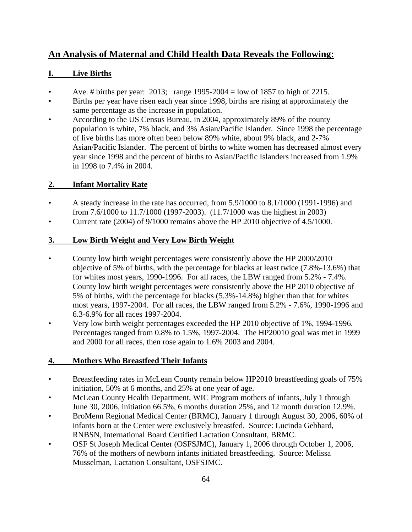## **An Analysis of Maternal and Child Health Data Reveals the Following:**

## **I. Live Births**

- Ave. # births per year: 2013; range  $1995-2004 = \text{low of } 1857$  to high of 2215.
- Births per year have risen each year since 1998, births are rising at approximately the same percentage as the increase in population.
- According to the US Census Bureau, in 2004, approximately 89% of the county population is white, 7% black, and 3% Asian/Pacific Islander. Since 1998 the percentage of live births has more often been below 89% white, about 9% black, and 2-7% Asian/Pacific Islander. The percent of births to white women has decreased almost every year since 1998 and the percent of births to Asian/Pacific Islanders increased from 1.9% in 1998 to 7.4% in 2004.

## **2. Infant Mortality Rate**

- A steady increase in the rate has occurred, from 5.9/1000 to 8.1/1000 (1991-1996) and from 7.6/1000 to 11.7/1000 (1997-2003). (11.7/1000 was the highest in 2003)
- Current rate (2004) of 9/1000 remains above the HP 2010 objective of 4.5/1000.

## **3. Low Birth Weight and Very Low Birth Weight**

- County low birth weight percentages were consistently above the HP 2000/2010 objective of 5% of births, with the percentage for blacks at least twice (7.8%-13.6%) that for whites most years, 1990-1996. For all races, the LBW ranged from 5.2% - 7.4%. County low birth weight percentages were consistently above the HP 2010 objective of 5% of births, with the percentage for blacks (5.3%-14.8%) higher than that for whites most years, 1997-2004. For all races, the LBW ranged from 5.2% - 7.6%, 1990-1996 and 6.3-6.9% for all races 1997-2004.
- Very low birth weight percentages exceeded the HP 2010 objective of 1%, 1994-1996. Percentages ranged from 0.8% to 1.5%, 1997-2004. The HP20010 goal was met in 1999 and 2000 for all races, then rose again to 1.6% 2003 and 2004.

## **4. Mothers Who Breastfeed Their Infants**

- Breastfeeding rates in McLean County remain below HP2010 breastfeeding goals of 75% initiation, 50% at 6 months, and 25% at one year of age.
- McLean County Health Department, WIC Program mothers of infants, July 1 through June 30, 2006, initiation 66.5%, 6 months duration 25%, and 12 month duration 12.9%.
- BroMenn Regional Medical Center (BRMC), January 1 through August 30, 2006, 60% of infants born at the Center were exclusively breastfed. Source: Lucinda Gebhard, RNBSN, International Board Certified Lactation Consultant, BRMC.
- OSF St Joseph Medical Center (OSFSJMC), January 1, 2006 through October 1, 2006, 76% of the mothers of newborn infants initiated breastfeeding. Source: Melissa Musselman, Lactation Consultant, OSFSJMC.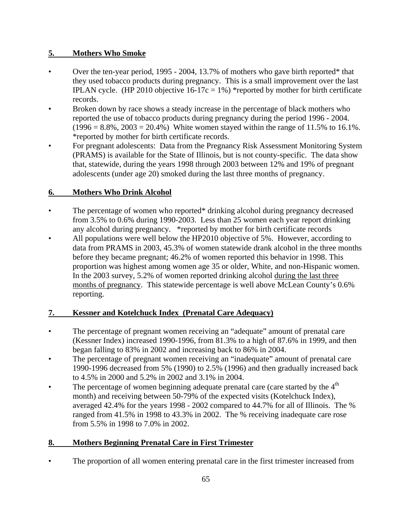## **5. Mothers Who Smoke**

- Over the ten-year period, 1995 2004, 13.7% of mothers who gave birth reported\* that they used tobacco products during pregnancy. This is a small improvement over the last IPLAN cycle. (HP 2010 objective  $16-17c = 1\%$ ) \*reported by mother for birth certificate records.
- Broken down by race shows a steady increase in the percentage of black mothers who reported the use of tobacco products during pregnancy during the period 1996 - 2004.  $(1996 = 8.8\%, 2003 = 20.4\%)$  White women stayed within the range of 11.5% to 16.1%. \*reported by mother for birth certificate records.
- For pregnant adolescents: Data from the Pregnancy Risk Assessment Monitoring System (PRAMS) is available for the State of Illinois, but is not county-specific. The data show that, statewide, during the years 1998 through 2003 between 12% and 19% of pregnant adolescents (under age 20) smoked during the last three months of pregnancy.

## **6. Mothers Who Drink Alcohol**

- The percentage of women who reported\* drinking alcohol during pregnancy decreased from 3.5% to 0.6% during 1990-2003. Less than 25 women each year report drinking any alcohol during pregnancy. \*reported by mother for birth certificate records
- All populations were well below the HP2010 objective of 5%. However, according to data from PRAMS in 2003, 45.3% of women statewide drank alcohol in the three months before they became pregnant; 46.2% of women reported this behavior in 1998. This proportion was highest among women age 35 or older, White, and non-Hispanic women. In the 2003 survey, 5.2% of women reported drinking alcohol during the last three months of pregnancy. This statewide percentage is well above McLean County's 0.6% reporting.

## **7. Kessner and Kotelchuck Index (Prenatal Care Adequacy)**

- The percentage of pregnant women receiving an "adequate" amount of prenatal care (Kessner Index) increased 1990-1996, from 81.3% to a high of 87.6% in 1999, and then began falling to 83% in 2002 and increasing back to 86% in 2004.
- The percentage of pregnant women receiving an "inadequate" amount of prenatal care 1990-1996 decreased from 5% (1990) to 2.5% (1996) and then gradually increased back to 4.5% in 2000 and 5.2% in 2002 and 3.1% in 2004.
- The percentage of women beginning adequate prenatal care (care started by the  $4<sup>th</sup>$ month) and receiving between 50-79% of the expected visits (Kotelchuck Index), averaged 42.4% for the years 1998 - 2002 compared to 44.7% for all of Illinois. The % ranged from 41.5% in 1998 to 43.3% in 2002. The % receiving inadequate care rose from 5.5% in 1998 to 7.0% in 2002.

## **8. Mothers Beginning Prenatal Care in First Trimester**

• The proportion of all women entering prenatal care in the first trimester increased from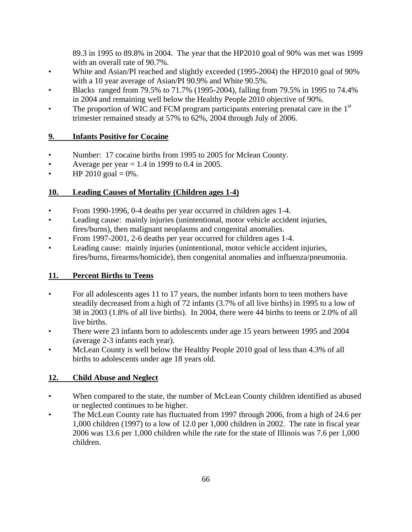89.3 in 1995 to 89.8% in 2004. The year that the HP2010 goal of 90% was met was 1999 with an overall rate of 90.7%.

- White and Asian/PI reached and slightly exceeded (1995-2004) the HP2010 goal of 90% with a 10 year average of Asian/PI 90.9% and White 90.5%.
- Blacks ranged from 79.5% to 71.7% (1995-2004), falling from 79.5% in 1995 to 74.4% in 2004 and remaining well below the Healthy People 2010 objective of 90%.
- The proportion of WIC and FCM program participants entering prenatal care in the  $1<sup>st</sup>$ trimester remained steady at 57% to 62%, 2004 through July of 2006.

## **9. Infants Positive for Cocaine**

- Number: 17 cocaine births from 1995 to 2005 for Mclean County.
- Average per year  $= 1.4$  in 1999 to 0.4 in 2005.
- $HP 2010$  goal = 0%.

## **10. Leading Causes of Mortality (Children ages 1-4)**

- From 1990-1996, 0-4 deaths per year occurred in children ages 1-4.
- Leading cause: mainly injuries (unintentional, motor vehicle accident injuries, fires/burns), then malignant neoplasms and congenital anomalies.
- From 1997-2001, 2-6 deaths per year occurred for children ages 1-4.
- Leading cause: mainly injuries (unintentional, motor vehicle accident injuries, fires/burns, firearms/homicide), then congenital anomalies and influenza/pneumonia.

## **11. Percent Births to Teens**

- For all adolescents ages 11 to 17 years, the number infants born to teen mothers have steadily decreased from a high of 72 infants (3.7% of all live births) in 1995 to a low of 38 in 2003 (1.8% of all live births). In 2004, there were 44 births to teens or 2.0% of all live births.
- There were 23 infants born to adolescents under age 15 years between 1995 and 2004 (average 2-3 infants each year).
- McLean County is well below the Healthy People 2010 goal of less than 4.3% of all births to adolescents under age 18 years old.

## **12. Child Abuse and Neglect**

- When compared to the state, the number of McLean County children identified as abused or neglected continues to be higher.
- The McLean County rate has fluctuated from 1997 through 2006, from a high of 24.6 per 1,000 children (1997) to a low of 12.0 per 1,000 children in 2002. The rate in fiscal year 2006 was 13.6 per 1,000 children while the rate for the state of Illinois was 7.6 per 1,000 children.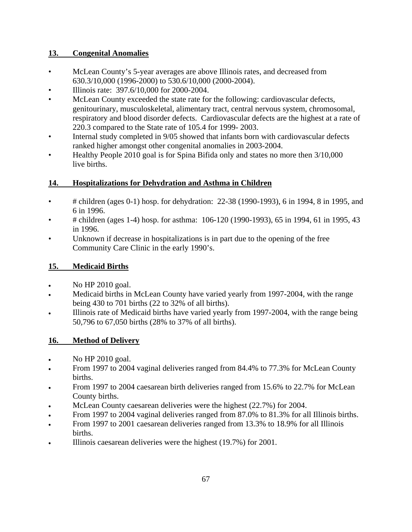## **13. Congenital Anomalies**

- McLean County's 5-year averages are above Illinois rates, and decreased from 630.3/10,000 (1996-2000) to 530.6/10,000 (2000-2004).
- Illinois rate: 397.6/10,000 for 2000-2004.
- McLean County exceeded the state rate for the following: cardiovascular defects, genitourinary, musculoskeletal, alimentary tract, central nervous system, chromosomal, respiratory and blood disorder defects. Cardiovascular defects are the highest at a rate of 220.3 compared to the State rate of 105.4 for 1999- 2003.
- Internal study completed in 9/05 showed that infants born with cardiovascular defects ranked higher amongst other congenital anomalies in 2003-2004.
- Healthy People 2010 goal is for Spina Bifida only and states no more then 3/10,000 live births.

## **14. Hospitalizations for Dehydration and Asthma in Children**

- # children (ages 0-1) hosp. for dehydration: 22-38 (1990-1993), 6 in 1994, 8 in 1995, and 6 in 1996.
- # children (ages 1-4) hosp. for asthma: 106-120 (1990-1993), 65 in 1994, 61 in 1995, 43 in 1996.
- Unknown if decrease in hospitalizations is in part due to the opening of the free Community Care Clinic in the early 1990's.

## **15. Medicaid Births**

- No HP 2010 goal.
- Medicaid births in McLean County have varied yearly from 1997-2004, with the range being 430 to 701 births (22 to 32% of all births).
- Illinois rate of Medicaid births have varied yearly from 1997-2004, with the range being 50,796 to 67,050 births (28% to 37% of all births).

## **16. Method of Delivery**

- No HP 2010 goal.
- From 1997 to 2004 vaginal deliveries ranged from 84.4% to 77.3% for McLean County births.
- From 1997 to 2004 caesarean birth deliveries ranged from 15.6% to 22.7% for McLean County births.
- McLean County caesarean deliveries were the highest (22.7%) for 2004.
- From 1997 to 2004 vaginal deliveries ranged from 87.0% to 81.3% for all Illinois births.
- From 1997 to 2001 caesarean deliveries ranged from 13.3% to 18.9% for all Illinois births.
- Illinois caesarean deliveries were the highest (19.7%) for 2001.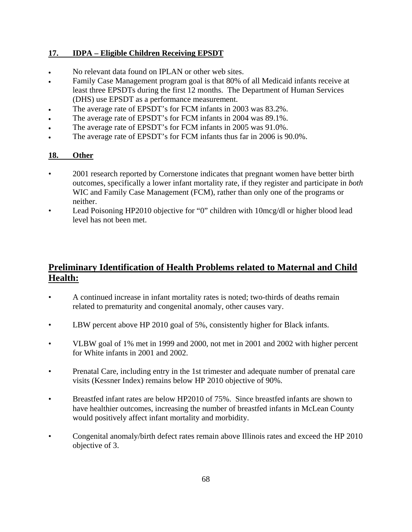#### **17. IDPA – Eligible Children Receiving EPSDT**

- No relevant data found on IPLAN or other web sites.
- Family Case Management program goal is that 80% of all Medicaid infants receive at least three EPSDTs during the first 12 months. The Department of Human Services (DHS) use EPSDT as a performance measurement.
- The average rate of EPSDT's for FCM infants in 2003 was 83.2%.
- The average rate of EPSDT's for FCM infants in 2004 was 89.1%.
- The average rate of EPSDT's for FCM infants in 2005 was 91.0%.
- The average rate of EPSDT's for FCM infants thus far in 2006 is 90.0%.

#### **18. Other**

- 2001 research reported by Cornerstone indicates that pregnant women have better birth outcomes, specifically a lower infant mortality rate, if they register and participate in *both* WIC and Family Case Management (FCM), rather than only one of the programs or neither.
- Lead Poisoning HP2010 objective for "0" children with 10mcg/dl or higher blood lead level has not been met.

## **Preliminary Identification of Health Problems related to Maternal and Child Health:**

- A continued increase in infant mortality rates is noted; two-thirds of deaths remain related to prematurity and congenital anomaly, other causes vary.
- LBW percent above HP 2010 goal of 5%, consistently higher for Black infants.
- VLBW goal of 1% met in 1999 and 2000, not met in 2001 and 2002 with higher percent for White infants in 2001 and 2002.
- Prenatal Care, including entry in the 1st trimester and adequate number of prenatal care visits (Kessner Index) remains below HP 2010 objective of 90%.
- Breastfed infant rates are below HP2010 of 75%. Since breastfed infants are shown to have healthier outcomes, increasing the number of breastfed infants in McLean County would positively affect infant mortality and morbidity.
- Congenital anomaly/birth defect rates remain above Illinois rates and exceed the HP 2010 objective of 3.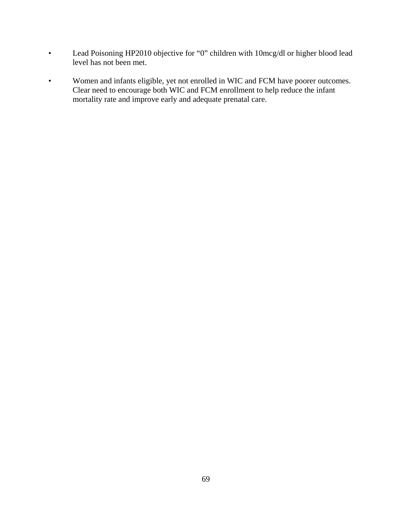- Lead Poisoning HP2010 objective for "0" children with 10mcg/dl or higher blood lead level has not been met.
- Women and infants eligible, yet not enrolled in WIC and FCM have poorer outcomes. Clear need to encourage both WIC and FCM enrollment to help reduce the infant mortality rate and improve early and adequate prenatal care.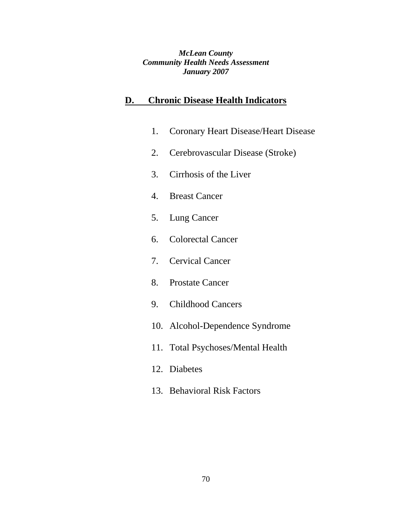*McLean County Community Health Needs Assessment January 2007*

## **D. Chronic Disease Health Indicators**

- 1. Coronary Heart Disease/Heart Disease
- 2. Cerebrovascular Disease (Stroke)
- 3. Cirrhosis of the Liver
- 4. Breast Cancer
- 5. Lung Cancer
- 6. Colorectal Cancer
- 7. Cervical Cancer
- 8. Prostate Cancer
- 9. Childhood Cancers
- 10. Alcohol-Dependence Syndrome
- 11. Total Psychoses/Mental Health
- 12. Diabetes
- 13. Behavioral Risk Factors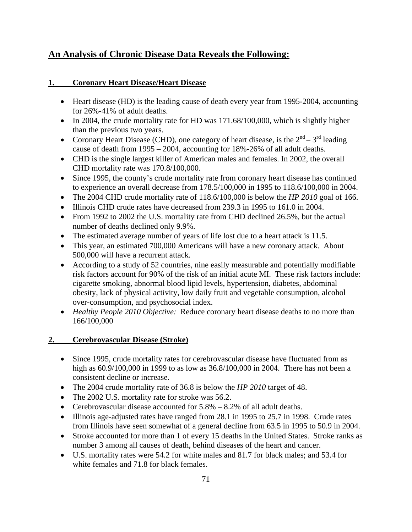## **An Analysis of Chronic Disease Data Reveals the Following:**

## **1. Coronary Heart Disease/Heart Disease**

- Heart disease (HD) is the leading cause of death every year from 1995-2004, accounting for 26%-41% of adult deaths.
- In 2004, the crude mortality rate for HD was 171.68/100,000, which is slightly higher than the previous two years.
- Coronary Heart Disease (CHD), one category of heart disease, is the  $2^{nd} 3^{rd}$  leading cause of death from 1995 – 2004, accounting for 18%-26% of all adult deaths.
- CHD is the single largest killer of American males and females. In 2002, the overall CHD mortality rate was 170.8/100,000.
- Since 1995, the county's crude mortality rate from coronary heart disease has continued to experience an overall decrease from 178.5/100,000 in 1995 to 118.6/100,000 in 2004.
- The 2004 CHD crude mortality rate of 118.6/100,000 is below the *HP 2010* goal of 166.
- Illinois CHD crude rates have decreased from 239.3 in 1995 to 161.0 in 2004.
- From 1992 to 2002 the U.S. mortality rate from CHD declined 26.5%, but the actual number of deaths declined only 9.9%.
- The estimated average number of years of life lost due to a heart attack is 11.5.
- This year, an estimated 700,000 Americans will have a new coronary attack. About 500,000 will have a recurrent attack.
- According to a study of 52 countries, nine easily measurable and potentially modifiable risk factors account for 90% of the risk of an initial acute MI. These risk factors include: cigarette smoking, abnormal blood lipid levels, hypertension, diabetes, abdominal obesity, lack of physical activity, low daily fruit and vegetable consumption, alcohol over-consumption, and psychosocial index.
- *Healthy People 2010 Objective:* Reduce coronary heart disease deaths to no more than 166/100,000

## **2. Cerebrovascular Disease (Stroke)**

- Since 1995, crude mortality rates for cerebrovascular disease have fluctuated from as high as 60.9/100,000 in 1999 to as low as 36.8/100,000 in 2004. There has not been a consistent decline or increase.
- The 2004 crude mortality rate of 36.8 is below the *HP 2010* target of 48.
- The 2002 U.S. mortality rate for stroke was 56.2.
- Cerebrovascular disease accounted for  $5.8\% 8.2\%$  of all adult deaths.
- Illinois age-adjusted rates have ranged from 28.1 in 1995 to 25.7 in 1998. Crude rates from Illinois have seen somewhat of a general decline from 63.5 in 1995 to 50.9 in 2004.
- Stroke accounted for more than 1 of every 15 deaths in the United States. Stroke ranks as number 3 among all causes of death, behind diseases of the heart and cancer.
- U.S. mortality rates were 54.2 for white males and 81.7 for black males; and 53.4 for white females and 71.8 for black females.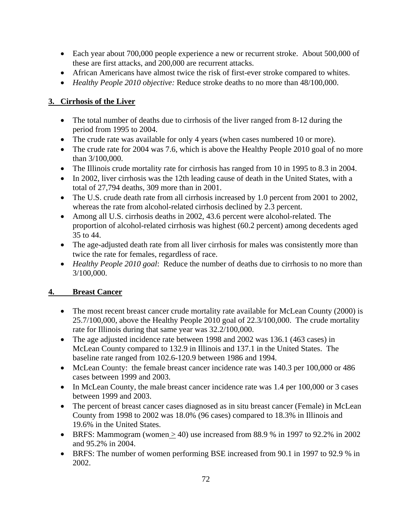- Each year about 700,000 people experience a new or recurrent stroke. About 500,000 of these are first attacks, and 200,000 are recurrent attacks.
- African Americans have almost twice the risk of first-ever stroke compared to whites.
- *Healthy People 2010 objective:* Reduce stroke deaths to no more than 48/100,000.

## **3. Cirrhosis of the Liver**

- The total number of deaths due to cirrhosis of the liver ranged from 8-12 during the period from 1995 to 2004.
- The crude rate was available for only 4 years (when cases numbered 10 or more).
- The crude rate for 2004 was 7.6, which is above the Healthy People 2010 goal of no more than 3/100,000.
- The Illinois crude mortality rate for cirrhosis has ranged from 10 in 1995 to 8.3 in 2004.
- In 2002, liver cirrhosis was the 12th leading cause of death in the United States, with a total of 27,794 deaths, 309 more than in 2001.
- The U.S. crude death rate from all cirrhosis increased by 1.0 percent from 2001 to 2002, whereas the rate from alcohol-related cirrhosis declined by 2.3 percent.
- Among all U.S. cirrhosis deaths in 2002, 43.6 percent were alcohol-related. The proportion of alcohol-related cirrhosis was highest (60.2 percent) among decedents aged 35 to 44.
- The age-adjusted death rate from all liver cirrhosis for males was consistently more than twice the rate for females, regardless of race.
- *Healthy People 2010 goal:* Reduce the number of deaths due to cirrhosis to no more than 3/100,000.

# **4. Breast Cancer**

- The most recent breast cancer crude mortality rate available for McLean County (2000) is 25.7/100,000, above the Healthy People 2010 goal of 22.3/100,000. The crude mortality rate for Illinois during that same year was 32.2/100,000.
- The age adjusted incidence rate between 1998 and 2002 was 136.1 (463 cases) in McLean County compared to 132.9 in Illinois and 137.1 in the United States. The baseline rate ranged from 102.6-120.9 between 1986 and 1994.
- McLean County: the female breast cancer incidence rate was 140.3 per 100,000 or 486 cases between 1999 and 2003.
- In McLean County, the male breast cancer incidence rate was 1.4 per 100,000 or 3 cases between 1999 and 2003.
- The percent of breast cancer cases diagnosed as in situ breast cancer (Female) in McLean County from 1998 to 2002 was 18.0% (96 cases) compared to 18.3% in Illinois and 19.6% in the United States.
- BRFS: Mammogram (women  $> 40$ ) use increased from 88.9 % in 1997 to 92.2% in 2002 and 95.2% in 2004.
- BRFS: The number of women performing BSE increased from 90.1 in 1997 to 92.9 % in 2002.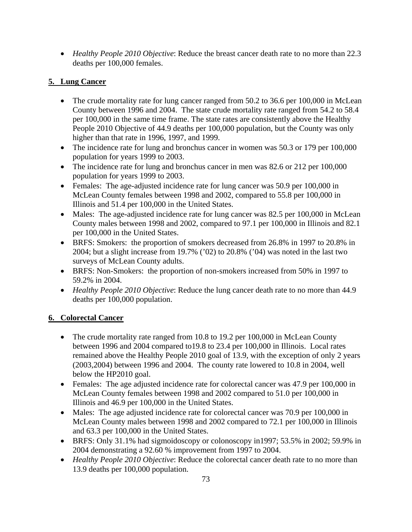• *Healthy People 2010 Objective*: Reduce the breast cancer death rate to no more than 22.3 deaths per 100,000 females.

## **5. Lung Cancer**

- The crude mortality rate for lung cancer ranged from 50.2 to 36.6 per 100,000 in McLean County between 1996 and 2004. The state crude mortality rate ranged from 54.2 to 58.4 per 100,000 in the same time frame. The state rates are consistently above the Healthy People 2010 Objective of 44.9 deaths per 100,000 population, but the County was only higher than that rate in 1996, 1997, and 1999.
- The incidence rate for lung and bronchus cancer in women was 50.3 or 179 per 100,000 population for years 1999 to 2003.
- The incidence rate for lung and bronchus cancer in men was 82.6 or 212 per 100,000 population for years 1999 to 2003.
- Females: The age-adjusted incidence rate for lung cancer was 50.9 per 100,000 in McLean County females between 1998 and 2002, compared to 55.8 per 100,000 in Illinois and 51.4 per 100,000 in the United States.
- Males: The age-adjusted incidence rate for lung cancer was 82.5 per 100,000 in McLean County males between 1998 and 2002, compared to 97.1 per 100,000 in Illinois and 82.1 per 100,000 in the United States.
- BRFS: Smokers: the proportion of smokers decreased from 26.8% in 1997 to 20.8% in 2004; but a slight increase from 19.7% ('02) to 20.8% ('04) was noted in the last two surveys of McLean County adults.
- BRFS: Non-Smokers: the proportion of non-smokers increased from 50% in 1997 to 59.2% in 2004.
- *Healthy People 2010 Objective*: Reduce the lung cancer death rate to no more than 44.9 deaths per 100,000 population.

# **6. Colorectal Cancer**

- The crude mortality rate ranged from 10.8 to 19.2 per 100,000 in McLean County between 1996 and 2004 compared to19.8 to 23.4 per 100,000 in Illinois. Local rates remained above the Healthy People 2010 goal of 13.9, with the exception of only 2 years (2003,2004) between 1996 and 2004. The county rate lowered to 10.8 in 2004, well below the HP2010 goal.
- Females: The age adjusted incidence rate for colorectal cancer was 47.9 per 100,000 in McLean County females between 1998 and 2002 compared to 51.0 per 100,000 in Illinois and 46.9 per 100,000 in the United States.
- Males: The age adjusted incidence rate for colorectal cancer was 70.9 per 100,000 in McLean County males between 1998 and 2002 compared to 72.1 per 100,000 in Illinois and 63.3 per 100,000 in the United States.
- BRFS: Only 31.1% had sigmoidoscopy or colonoscopy in 1997; 53.5% in 2002; 59.9% in 2004 demonstrating a 92.60 % improvement from 1997 to 2004.
- *Healthy People 2010 Objective*: Reduce the colorectal cancer death rate to no more than 13.9 deaths per 100,000 population.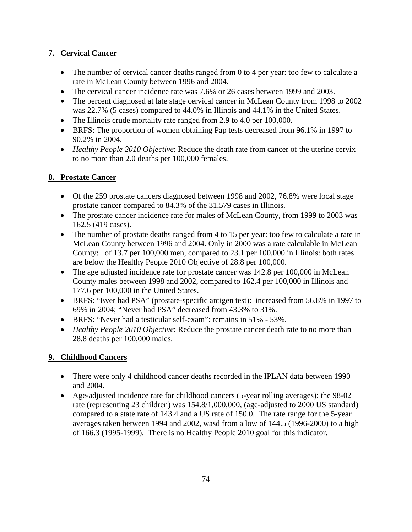## **7. Cervical Cancer**

- The number of cervical cancer deaths ranged from 0 to 4 per year: too few to calculate a rate in McLean County between 1996 and 2004.
- The cervical cancer incidence rate was 7.6% or 26 cases between 1999 and 2003.
- The percent diagnosed at late stage cervical cancer in McLean County from 1998 to 2002 was 22.7% (5 cases) compared to 44.0% in Illinois and 44.1% in the United States.
- The Illinois crude mortality rate ranged from 2.9 to 4.0 per 100,000.
- BRFS: The proportion of women obtaining Pap tests decreased from 96.1% in 1997 to 90.2% in 2004.
- *Healthy People 2010 Objective*: Reduce the death rate from cancer of the uterine cervix to no more than 2.0 deaths per 100,000 females.

## **8. Prostate Cancer**

- Of the 259 prostate cancers diagnosed between 1998 and 2002, 76.8% were local stage prostate cancer compared to 84.3% of the 31,579 cases in Illinois.
- The prostate cancer incidence rate for males of McLean County, from 1999 to 2003 was 162.5 (419 cases).
- The number of prostate deaths ranged from 4 to 15 per year: too few to calculate a rate in McLean County between 1996 and 2004. Only in 2000 was a rate calculable in McLean County: of 13.7 per 100,000 men, compared to 23.1 per 100,000 in Illinois: both rates are below the Healthy People 2010 Objective of 28.8 per 100,000.
- The age adjusted incidence rate for prostate cancer was 142.8 per 100,000 in McLean County males between 1998 and 2002, compared to 162.4 per 100,000 in Illinois and 177.6 per 100,000 in the United States.
- BRFS: "Ever had PSA" (prostate-specific antigen test): increased from 56.8% in 1997 to 69% in 2004; "Never had PSA" decreased from 43.3% to 31%.
- BRFS: "Never had a testicular self-exam": remains in 51% 53%.
- *Healthy People 2010 Objective*: Reduce the prostate cancer death rate to no more than 28.8 deaths per 100,000 males.

# **9. Childhood Cancers**

- There were only 4 childhood cancer deaths recorded in the IPLAN data between 1990 and 2004.
- Age-adjusted incidence rate for childhood cancers (5-year rolling averages): the 98-02 rate (representing 23 children) was 154.8/1,000,000, (age-adjusted to 2000 US standard) compared to a state rate of 143.4 and a US rate of 150.0. The rate range for the 5-year averages taken between 1994 and 2002, wasd from a low of 144.5 (1996-2000) to a high of 166.3 (1995-1999). There is no Healthy People 2010 goal for this indicator.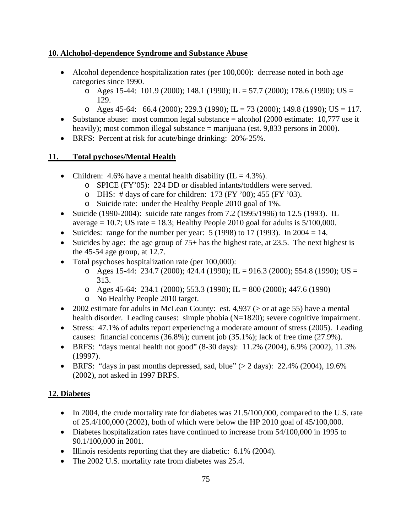#### **10. Alchohol-dependence Syndrome and Substance Abuse**

- Alcohol dependence hospitalization rates (per 100,000): decrease noted in both age categories since 1990.
	- o Ages 15-44: 101.9 (2000); 148.1 (1990); IL = 57.7 (2000); 178.6 (1990); US = 129.
	- $\alpha$  Ages 45-64: 66.4 (2000); 229.3 (1990); IL = 73 (2000); 149.8 (1990); US = 117.
- Substance abuse: most common legal substance  $=$  alcohol (2000 estimate: 10,777 use it heavily); most common illegal substance = marijuana (est. 9,833 persons in 2000).
- BRFS: Percent at risk for acute/binge drinking: 20%-25%.

### **11. Total pychoses/Mental Health**

- Children: 4.6% have a mental health disability (IL =  $4.3\%$ ).
	- o SPICE (FY'05): 224 DD or disabled infants/toddlers were served.
	- $\circ$  DHS: # days of care for children: 173 (FY '00); 455 (FY '03).
	- o Suicide rate: under the Healthy People 2010 goal of 1%.
- Suicide (1990-2004): suicide rate ranges from 7.2 (1995/1996) to 12.5 (1993). IL average  $= 10.7$ ; US rate  $= 18.3$ ; Healthy People 2010 goal for adults is  $5/100,000$ .
- Suicides: range for the number per year:  $5(1998)$  to  $17(1993)$ . In  $2004 = 14$ .
- Suicides by age: the age group of  $75+$  has the highest rate, at 23.5. The next highest is the 45-54 age group, at 12.7.
- Total psychoses hospitalization rate (per 100,000):
	- o Ages 15-44: 234.7 (2000); 424.4 (1990); IL = 916.3 (2000); 554.8 (1990); US = 313.
	- o Ages 45-64: 234.1 (2000); 553.3 (1990); IL = 800 (2000); 447.6 (1990)
	- o No Healthy People 2010 target.
- 2002 estimate for adults in McLean County: est.  $4,937$  ( $>$  or at age 55) have a mental health disorder. Leading causes: simple phobia (N=1820); severe cognitive impairment.
- Stress: 47.1% of adults report experiencing a moderate amount of stress (2005). Leading causes: financial concerns (36.8%); current job (35.1%); lack of free time (27.9%).
- BRFS: "days mental health not good" (8-30 days): 11.2% (2004), 6.9% (2002), 11.3% (19997).
- BRFS: "days in past months depressed, sad, blue" ( $> 2$  days): 22.4% (2004), 19.6% (2002), not asked in 1997 BRFS.

# **12. Diabetes**

- In 2004, the crude mortality rate for diabetes was  $21.5/100,000$ , compared to the U.S. rate of 25.4/100,000 (2002), both of which were below the HP 2010 goal of 45/100,000.
- Diabetes hospitalization rates have continued to increase from 54/100,000 in 1995 to 90.1/100,000 in 2001.
- Illinois residents reporting that they are diabetic: 6.1% (2004).
- The 2002 U.S. mortality rate from diabetes was 25.4.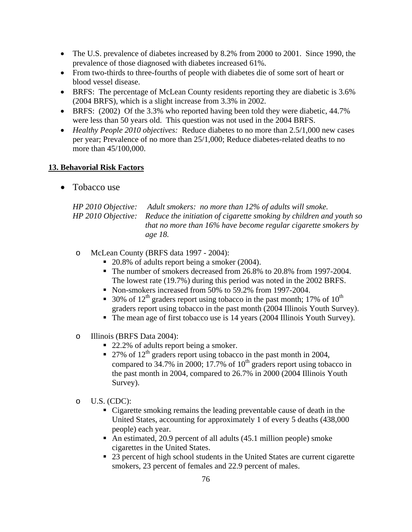- The U.S. prevalence of diabetes increased by 8.2% from 2000 to 2001. Since 1990, the prevalence of those diagnosed with diabetes increased 61%.
- From two-thirds to three-fourths of people with diabetes die of some sort of heart or blood vessel disease.
- BRFS: The percentage of McLean County residents reporting they are diabetic is 3.6% (2004 BRFS), which is a slight increase from 3.3% in 2002.
- BRFS: (2002) Of the 3.3% who reported having been told they were diabetic, 44.7% were less than 50 years old. This question was not used in the 2004 BRFS.
- *Healthy People 2010 objectives:* Reduce diabetes to no more than 2.5/1,000 new cases per year; Prevalence of no more than 25/1,000; Reduce diabetes-related deaths to no more than 45/100,000.

#### **13. Behavorial Risk Factors**

• Tobacco use

| HP 2010 Objective: Adult smokers: no more than 12% of adults will smoke.               |  |  |  |  |
|----------------------------------------------------------------------------------------|--|--|--|--|
| HP 2010 Objective: Reduce the initiation of cigarette smoking by children and youth so |  |  |  |  |
| that no more than $16\%$ have become regular cigarette smokers by                      |  |  |  |  |
| age 18.                                                                                |  |  |  |  |

- o McLean County (BRFS data 1997 2004):
	- 20.8% of adults report being a smoker (2004).
	- The number of smokers decreased from 26.8% to 20.8% from 1997-2004. The lowest rate (19.7%) during this period was noted in the 2002 BRFS.
	- Non-smokers increased from 50% to 59.2% from 1997-2004.
	- 30% of  $12<sup>th</sup>$  graders report using tobacco in the past month; 17% of  $10<sup>th</sup>$ graders report using tobacco in the past month (2004 Illinois Youth Survey).
	- The mean age of first tobacco use is 14 years (2004 Illinois Youth Survey).
- o Illinois (BRFS Data 2004):
	- 22.2% of adults report being a smoker.
	- 27% of  $12<sup>th</sup>$  graders report using tobacco in the past month in 2004, compared to  $34.7\%$  in 2000; 17.7% of  $10<sup>th</sup>$  graders report using tobacco in the past month in 2004, compared to 26.7% in 2000 (2004 Illinois Youth Survey).
- $O$  U.S. (CDC):
	- Cigarette smoking remains the leading preventable cause of death in the United States, accounting for approximately 1 of every 5 deaths (438,000 people) each year.
	- An estimated, 20.9 percent of all adults (45.1 million people) smoke cigarettes in the United States.
	- 23 percent of high school students in the United States are current cigarette smokers, 23 percent of females and 22.9 percent of males.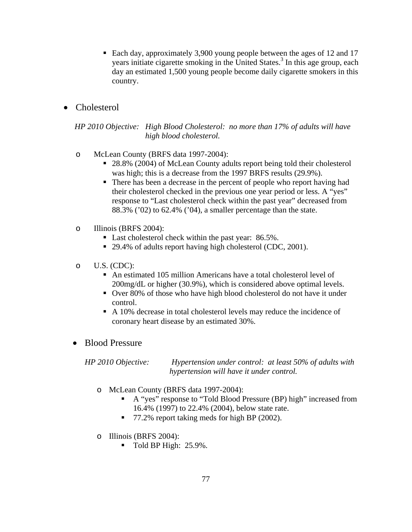- Each day, approximately 3,900 young people between the ages of 12 and 17 years initiate cigarette smoking in the United States.<sup>3</sup> In this age group, each day an estimated 1,500 young people become daily cigarette smokers in this country.
- Cholesterol

 *HP 2010 Objective: High Blood Cholesterol: no more than 17% of adults will have high blood cholesterol.* 

- o McLean County (BRFS data 1997-2004):
	- 28.8% (2004) of McLean County adults report being told their cholesterol was high; this is a decrease from the 1997 BRFS results (29.9%).
	- There has been a decrease in the percent of people who report having had their cholesterol checked in the previous one year period or less. A "yes" response to "Last cholesterol check within the past year" decreased from 88.3% ('02) to 62.4% ('04), a smaller percentage than the state.
- o Illinois (BRFS 2004):
	- Last cholesterol check within the past year: 86.5%.
	- 29.4% of adults report having high cholesterol (CDC, 2001).
- o U.S. (CDC):
	- An estimated 105 million Americans have a total cholesterol level of 200mg/dL or higher (30.9%), which is considered above optimal levels.
	- Over 80% of those who have high blood cholesterol do not have it under control.
	- A 10% decrease in total cholesterol levels may reduce the incidence of coronary heart disease by an estimated 30%.

### • Blood Pressure

*HP 2010 Objective: Hypertension under control: at least 50% of adults with hypertension will have it under control.* 

- o McLean County (BRFS data 1997-2004):
	- A "yes" response to "Told Blood Pressure (BP) high" increased from 16.4% (1997) to 22.4% (2004), below state rate.
	- 77.2% report taking meds for high BP (2002).
- o Illinois (BRFS 2004):
	- $\blacksquare$  Told BP High: 25.9%.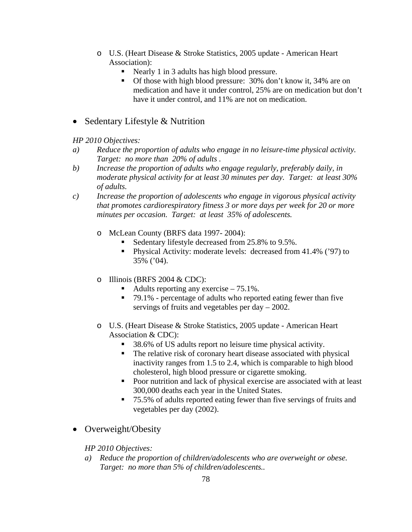- o U.S. (Heart Disease & Stroke Statistics, 2005 update American Heart Association):
	- Nearly 1 in 3 adults has high blood pressure.
	- Of those with high blood pressure: 30% don't know it, 34% are on medication and have it under control, 25% are on medication but don't have it under control, and 11% are not on medication.

# • Sedentary Lifestyle & Nutrition

## *HP 2010 Objectives:*

- *a) Reduce the proportion of adults who engage in no leisure-time physical activity. Target: no more than 20% of adults .*
- *b) Increase the proportion of adults who engage regularly, preferably daily, in moderate physical activity for at least 30 minutes per day. Target: at least 30% of adults.*
- *c) Increase the proportion of adolescents who engage in vigorous physical activity that promotes cardiorespiratory fitness 3 or more days per week for 20 or more minutes per occasion. Target: at least 35% of adolescents.* 
	- o McLean County (BRFS data 1997- 2004):
		- Sedentary lifestyle decreased from 25.8% to 9.5%.
		- Physical Activity: moderate levels: decreased from 41.4% ('97) to 35% ('04).
	- o Illinois (BRFS 2004  $&$  CDC):
		- Adults reporting any exercise  $-75.1\%$ .
		- 79.1% percentage of adults who reported eating fewer than five servings of fruits and vegetables per day – 2002.
	- o U.S. (Heart Disease & Stroke Statistics, 2005 update American Heart Association & CDC):
		- 38.6% of US adults report no leisure time physical activity.
		- The relative risk of coronary heart disease associated with physical inactivity ranges from 1.5 to 2.4, which is comparable to high blood cholesterol, high blood pressure or cigarette smoking.
		- Poor nutrition and lack of physical exercise are associated with at least 300,000 deaths each year in the United States.
		- 75.5% of adults reported eating fewer than five servings of fruits and vegetables per day (2002).
- Overweight/Obesity

*HP 2010 Objectives:* 

*a) Reduce the proportion of children/adolescents who are overweight or obese. Target: no more than 5% of children/adolescents..*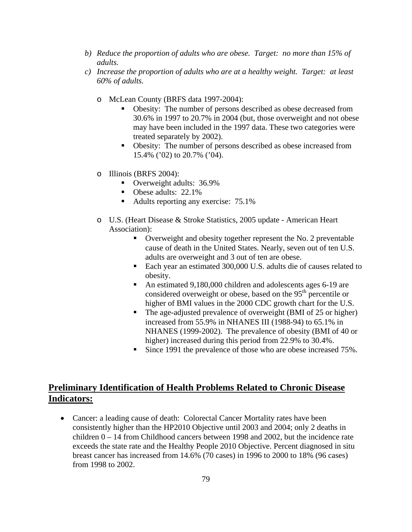- *b) Reduce the proportion of adults who are obese. Target: no more than 15% of adults.*
- *c) Increase the proportion of adults who are at a healthy weight. Target: at least 60% of adults.* 
	- o McLean County (BRFS data 1997-2004):
		- Obesity: The number of persons described as obese decreased from 30.6% in 1997 to 20.7% in 2004 (but, those overweight and not obese may have been included in the 1997 data. These two categories were treated separately by 2002).
		- Obesity: The number of persons described as obese increased from 15.4% ('02) to 20.7% ('04).
	- o Illinois (BRFS 2004):
		- Overweight adults: 36.9%
		- Obese adults: 22.1%
		- Adults reporting any exercise: 75.1%
	- o U.S. (Heart Disease & Stroke Statistics, 2005 update American Heart Association):
		- Overweight and obesity together represent the No. 2 preventable cause of death in the United States. Nearly, seven out of ten U.S. adults are overweight and 3 out of ten are obese.
		- Each year an estimated 300,000 U.S. adults die of causes related to obesity.
		- An estimated 9,180,000 children and adolescents ages 6-19 are considered overweight or obese, based on the 95<sup>th</sup> percentile or higher of BMI values in the 2000 CDC growth chart for the U.S.
		- The age-adjusted prevalence of overweight (BMI of 25 or higher) increased from 55.9% in NHANES III (1988-94) to 65.1% in NHANES (1999-2002).The prevalence of obesity (BMI of 40 or higher) increased during this period from 22.9% to 30.4%.
		- Since 1991 the prevalence of those who are obese increased 75%.

# **Preliminary Identification of Health Problems Related to Chronic Disease Indicators:**

• Cancer: a leading cause of death: Colorectal Cancer Mortality rates have been consistently higher than the HP2010 Objective until 2003 and 2004; only 2 deaths in children  $0 - 14$  from Childhood cancers between 1998 and 2002, but the incidence rate exceeds the state rate and the Healthy People 2010 Objective. Percent diagnosed in situ breast cancer has increased from 14.6% (70 cases) in 1996 to 2000 to 18% (96 cases) from 1998 to 2002.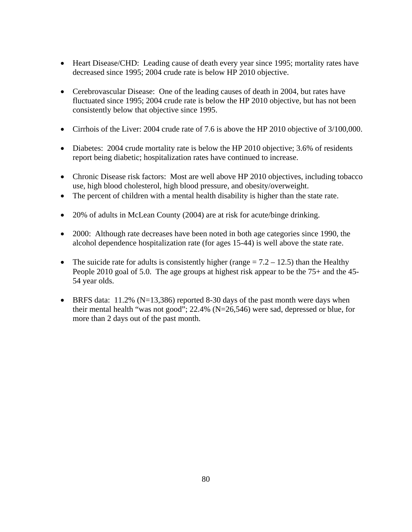- Heart Disease/CHD: Leading cause of death every year since 1995; mortality rates have decreased since 1995; 2004 crude rate is below HP 2010 objective.
- Cerebrovascular Disease: One of the leading causes of death in 2004, but rates have fluctuated since 1995; 2004 crude rate is below the HP 2010 objective, but has not been consistently below that objective since 1995.
- Cirrhois of the Liver: 2004 crude rate of 7.6 is above the HP 2010 objective of 3/100,000.
- Diabetes: 2004 crude mortality rate is below the HP 2010 objective; 3.6% of residents report being diabetic; hospitalization rates have continued to increase.
- Chronic Disease risk factors: Most are well above HP 2010 objectives, including tobacco use, high blood cholesterol, high blood pressure, and obesity/overweight.
- The percent of children with a mental health disability is higher than the state rate.
- 20% of adults in McLean County (2004) are at risk for acute/binge drinking.
- 2000: Although rate decreases have been noted in both age categories since 1990, the alcohol dependence hospitalization rate (for ages 15-44) is well above the state rate.
- The suicide rate for adults is consistently higher (range  $= 7.2 12.5$ ) than the Healthy People 2010 goal of 5.0. The age groups at highest risk appear to be the 75+ and the 45- 54 year olds.
- BRFS data:  $11.2\%$  (N=13,386) reported 8-30 days of the past month were days when their mental health "was not good"; 22.4% (N=26,546) were sad, depressed or blue, for more than 2 days out of the past month.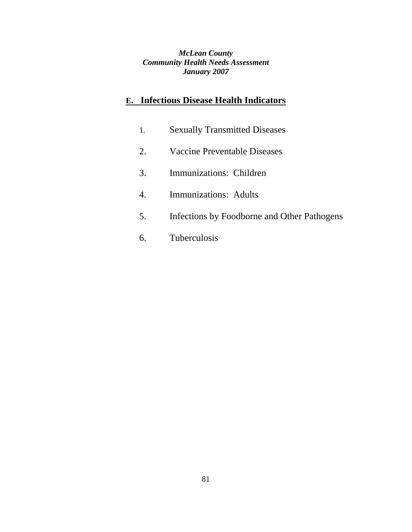*McLean County Community Health Needs Assessment January 2007*

# **E. Infectious Disease Health Indicators**

- 1. Sexually Transmitted Diseases
- 2. Vaccine Preventable Diseases
- 3. Immunizations: Children
- 4. Immunizations: Adults
- 5. Infections by Foodborne and Other Pathogens
- 6. Tuberculosis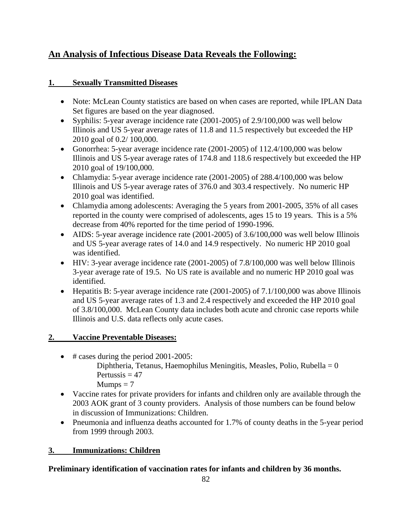# **An Analysis of Infectious Disease Data Reveals the Following:**

## **1. Sexually Transmitted Diseases**

- Note: McLean County statistics are based on when cases are reported, while IPLAN Data Set figures are based on the year diagnosed.
- Syphilis: 5-year average incidence rate (2001-2005) of 2.9/100,000 was well below Illinois and US 5-year average rates of 11.8 and 11.5 respectively but exceeded the HP 2010 goal of 0.2/ 100,000.
- Gonorrhea: 5-year average incidence rate (2001-2005) of 112.4/100,000 was below Illinois and US 5-year average rates of 174.8 and 118.6 respectively but exceeded the HP 2010 goal of 19/100,000.
- Chlamydia: 5-year average incidence rate (2001-2005) of 288.4/100,000 was below Illinois and US 5-year average rates of 376.0 and 303.4 respectively. No numeric HP 2010 goal was identified.
- Chlamydia among adolescents: Averaging the 5 years from 2001-2005, 35% of all cases reported in the county were comprised of adolescents, ages 15 to 19 years. This is a 5% decrease from 40% reported for the time period of 1990-1996.
- AIDS: 5-year average incidence rate (2001-2005) of 3.6/100,000 was well below Illinois and US 5-year average rates of 14.0 and 14.9 respectively. No numeric HP 2010 goal was identified.
- HIV: 3-year average incidence rate (2001-2005) of 7.8/100,000 was well below Illinois 3-year average rate of 19.5. No US rate is available and no numeric HP 2010 goal was identified.
- Hepatitis B: 5-year average incidence rate (2001-2005) of 7.1/100,000 was above Illinois and US 5-year average rates of 1.3 and 2.4 respectively and exceeded the HP 2010 goal of 3.8/100,000. McLean County data includes both acute and chronic case reports while Illinois and U.S. data reflects only acute cases.

# **2. Vaccine Preventable Diseases:**

- # cases during the period 2001-2005: Diphtheria, Tetanus, Haemophilus Meningitis, Measles, Polio, Rubella =  $0$ Pertussis  $= 47$  $Mumps = 7$
- Vaccine rates for private providers for infants and children only are available through the 2003 AOK grant of 3 county providers. Analysis of those numbers can be found below in discussion of Immunizations: Children.
- Pneumonia and influenza deaths accounted for 1.7% of county deaths in the 5-year period from 1999 through 2003.

# **3. Immunizations: Children**

# **Preliminary identification of vaccination rates for infants and children by 36 months.**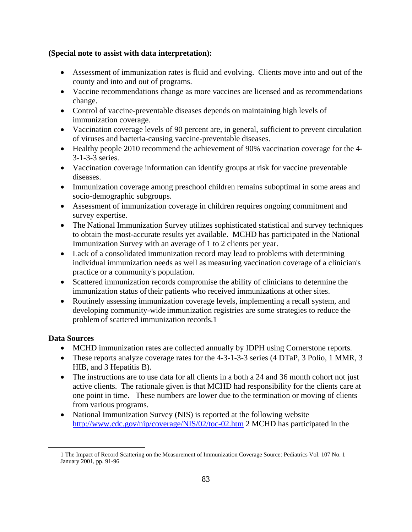#### **(Special note to assist with data interpretation):**

- Assessment of immunization rates is fluid and evolving. Clients move into and out of the county and into and out of programs.
- Vaccine recommendations change as more vaccines are licensed and as recommendations change.
- Control of vaccine-preventable diseases depends on maintaining high levels of immunization coverage.
- Vaccination coverage levels of 90 percent are, in general, sufficient to prevent circulation of viruses and bacteria-causing vaccine-preventable diseases.
- Healthy people 2010 recommend the achievement of 90% vaccination coverage for the 4-3-1-3-3 series.
- Vaccination coverage information can identify groups at risk for vaccine preventable diseases.
- Immunization coverage among preschool children remains suboptimal in some areas and socio-demographic subgroups.
- Assessment of immunization coverage in children requires ongoing commitment and survey expertise.
- The National Immunization Survey utilizes sophisticated statistical and survey techniques to obtain the most-accurate results yet available. MCHD has participated in the National Immunization Survey with an average of 1 to 2 clients per year.
- Lack of a consolidated immunization record may lead to problems with determining individual immunization needs as well as measuring vaccination coverage of a clinician's practice or a community's population.
- Scattered immunization records compromise the ability of clinicians to determine the immunization status of their patients who received immunizations at other sites.
- Routinely assessing immunization coverage levels, implementing a recall system, and developing community-wide immunization registries are some strategies to reduce the problem of scattered immunization records.1

### **Data Sources**

- MCHD immunization rates are collected annually by IDPH using Cornerstone reports.
- These reports analyze coverage rates for the 4-3-1-3-3 series (4 DTaP, 3 Polio, 1 MMR, 3 HIB, and 3 Hepatitis B).
- The instructions are to use data for all clients in a both a 24 and 36 month cohort not just active clients. The rationale given is that MCHD had responsibility for the clients care at one point in time. These numbers are lower due to the termination or moving of clients from various programs.
- National Immunization Survey (NIS) is reported at the following website http://www.cdc.gov/nip/coverage/NIS/02/toc-02.htm 2 MCHD has participated in the

 <sup>1</sup> The Impact of Record Scattering on the Measurement of Immunization Coverage Source: Pediatrics Vol. 107 No. 1 January 2001, pp. 91-96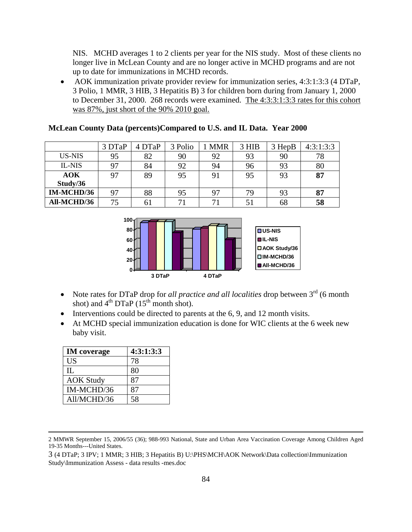NIS. MCHD averages 1 to 2 clients per year for the NIS study. Most of these clients no longer live in McLean County and are no longer active in MCHD programs and are not up to date for immunizations in MCHD records.

• AOK immunization private provider review for immunization series, 4:3:1:3:3 (4 DTaP, 3 Polio, 1 MMR, 3 HIB, 3 Hepatitis B) 3 for children born during from January 1, 2000 to December 31, 2000. 268 records were examined. The 4:3:3:1:3:3 rates for this cohort was 87%, just short of the 90% 2010 goal.

**McLean County Data (percents)Compared to U.S. and IL Data. Year 2000** 

|                   | 3 DTaP | 4 DTaP | 3 Polio | <b>MMR</b> | 3 HIB | 3 HepB | 4:3:1:3:3 |
|-------------------|--------|--------|---------|------------|-------|--------|-----------|
| US-NIS            | 95     | 82     | 90      | 92         | 93    | 90     | 78        |
| IL-NIS            | 97     | 84     | 92      | 94         | 96    | 93     | 80        |
| <b>AOK</b>        | 97     | 89     | 95      | 91         | 95    | 93     | 87        |
| Study/36          |        |        |         |            |       |        |           |
| <b>IM-MCHD/36</b> | 97     | 88     | 95      | 97         | 79    | 93     | 87        |
| All-MCHD/36       | 75     | 61     | 71      | 71         | 51    | 68     | 58        |



- Note rates for DTaP drop for *all practice and all localities* drop between 3<sup>rd</sup> (6 month shot) and  $4<sup>th</sup> DTaP (15<sup>th</sup> month shot).$
- Interventions could be directed to parents at the 6, 9, and 12 month visits.
- At MCHD special immunization education is done for WIC clients at the 6 week new baby visit.

| <b>IM</b> coverage | 4:3:1:3:3 |  |  |  |
|--------------------|-----------|--|--|--|
| US                 | 78        |  |  |  |
| $\Pi$ .            | 80        |  |  |  |
| <b>AOK Study</b>   | 87        |  |  |  |
| IM-MCHD/36         | 87        |  |  |  |
| All/MCHD/36        | 58        |  |  |  |

 <sup>2</sup> MMWR September 15, 2006/55 (36); 988-993 National, State and Urban Area Vaccination Coverage Among Children Aged 19-35 Months---United States.

<sup>3 (4</sup> DTaP; 3 IPV; 1 MMR; 3 HIB; 3 Hepatitis B) U:\PHS\MCH\AOK Network\Data collection\Immunization Study\Immunization Assess - data results -mes.doc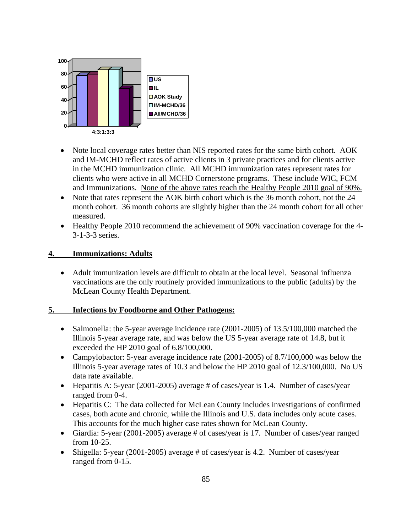

- Note local coverage rates better than NIS reported rates for the same birth cohort. AOK and IM-MCHD reflect rates of active clients in 3 private practices and for clients active in the MCHD immunization clinic. All MCHD immunization rates represent rates for clients who were active in all MCHD Cornerstone programs. These include WIC, FCM and Immunizations. None of the above rates reach the Healthy People 2010 goal of 90%.
- Note that rates represent the AOK birth cohort which is the 36 month cohort, not the 24 month cohort. 36 month cohorts are slightly higher than the 24 month cohort for all other measured.
- Healthy People 2010 recommend the achievement of 90% vaccination coverage for the 4- 3-1-3-3 series.

#### **4. Immunizations: Adults**

• Adult immunization levels are difficult to obtain at the local level. Seasonal influenza vaccinations are the only routinely provided immunizations to the public (adults) by the McLean County Health Department.

#### **5. Infections by Foodborne and Other Pathogens:**

- Salmonella: the 5-year average incidence rate (2001-2005) of 13.5/100,000 matched the Illinois 5-year average rate, and was below the US 5-year average rate of 14.8, but it exceeded the HP 2010 goal of 6.8/100,000.
- Campylobactor: 5-year average incidence rate (2001-2005) of 8.7/100,000 was below the Illinois 5-year average rates of 10.3 and below the HP 2010 goal of 12.3/100,000. No US data rate available.
- Hepatitis A: 5-year (2001-2005) average # of cases/year is 1.4. Number of cases/year ranged from 0-4.
- Hepatitis C: The data collected for McLean County includes investigations of confirmed cases, both acute and chronic, while the Illinois and U.S. data includes only acute cases. This accounts for the much higher case rates shown for McLean County.
- Giardia: 5-year (2001-2005) average # of cases/year is 17. Number of cases/year ranged from 10-25.
- Shigella: 5-year (2001-2005) average # of cases/year is 4.2. Number of cases/year ranged from 0-15.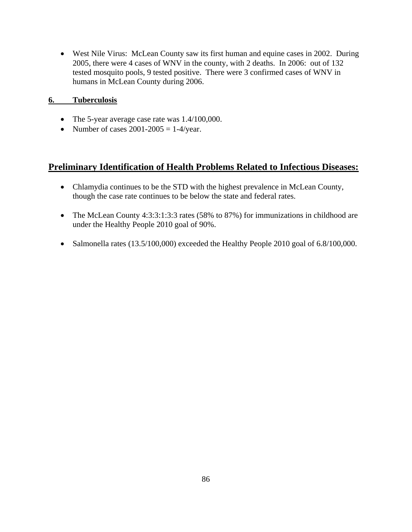• West Nile Virus: McLean County saw its first human and equine cases in 2002. During 2005, there were 4 cases of WNV in the county, with 2 deaths. In 2006: out of 132 tested mosquito pools, 9 tested positive. There were 3 confirmed cases of WNV in humans in McLean County during 2006.

#### **6. Tuberculosis**

- The 5-year average case rate was 1.4/100,000.
- Number of cases  $2001 2005 = 1 4$ /year.

# **Preliminary Identification of Health Problems Related to Infectious Diseases:**

- Chlamydia continues to be the STD with the highest prevalence in McLean County, though the case rate continues to be below the state and federal rates.
- The McLean County 4:3:3:1:3:3 rates (58% to 87%) for immunizations in childhood are under the Healthy People 2010 goal of 90%.
- Salmonella rates (13.5/100,000) exceeded the Healthy People 2010 goal of 6.8/100,000.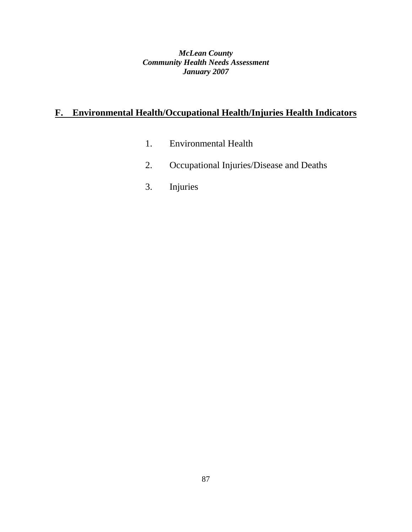*McLean County Community Health Needs Assessment January 2007*

# **F. Environmental Health/Occupational Health/Injuries Health Indicators**

- 1. Environmental Health
- 2. Occupational Injuries/Disease and Deaths
- 3. Injuries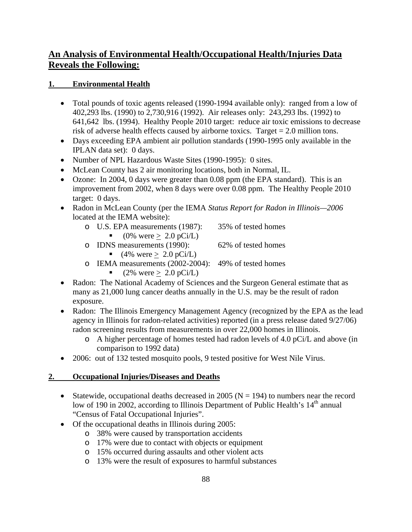# **An Analysis of Environmental Health/Occupational Health/Injuries Data Reveals the Following:**

### **1. Environmental Health**

- Total pounds of toxic agents released (1990-1994 available only): ranged from a low of 402,293 lbs. (1990) to 2,730,916 (1992). Air releases only: 243,293 lbs. (1992) to 641,642 lbs. (1994). Healthy People 2010 target: reduce air toxic emissions to decrease risk of adverse health effects caused by airborne toxics. Target = 2.0 million tons.
- Days exceeding EPA ambient air pollution standards (1990-1995 only available in the IPLAN data set): 0 days.
- Number of NPL Hazardous Waste Sites (1990-1995): 0 sites.
- McLean County has 2 air monitoring locations, both in Normal, IL.
- Ozone: In 2004, 0 days were greater than 0.08 ppm (the EPA standard). This is an improvement from 2002, when 8 days were over 0.08 ppm. The Healthy People 2010 target: 0 days.
- Radon in McLean County (per the IEMA *Status Report for Radon in Illinois—2006*  located at the IEMA website):
	- o U.S. EPA measurements (1987): 35% of tested homes
		- $(0\% \text{ were} > 2.0 \text{ pCi/L})$

o IDNS measurements (1990): 62% of tested homes

- $(4\% \text{ were} \geq 2.0 \text{ pCi/L})$
- o IEMA measurements (2002-2004): 49% of tested homes
	- $(2\% \text{ were } \geq 2.0 \text{ pCi/L})$
- Radon: The National Academy of Sciences and the Surgeon General estimate that as many as 21,000 lung cancer deaths annually in the U.S. may be the result of radon exposure.
- Radon: The Illinois Emergency Management Agency (recognized by the EPA as the lead agency in Illinois for radon-related activities) reported (in a press release dated 9/27/06) radon screening results from measurements in over 22,000 homes in Illinois.
	- o A higher percentage of homes tested had radon levels of 4.0 pCi/L and above (in comparison to 1992 data)
- 2006: out of 132 tested mosquito pools, 9 tested positive for West Nile Virus.

### **2. Occupational Injuries/Diseases and Deaths**

- Statewide, occupational deaths decreased in 2005 ( $N = 194$ ) to numbers near the record low of 190 in 2002, according to Illinois Department of Public Health's  $14<sup>th</sup>$  annual "Census of Fatal Occupational Injuries".
- Of the occupational deaths in Illinois during 2005:
	- o 38% were caused by transportation accidents
	- o 17% were due to contact with objects or equipment
	- o 15% occurred during assaults and other violent acts
	- o 13% were the result of exposures to harmful substances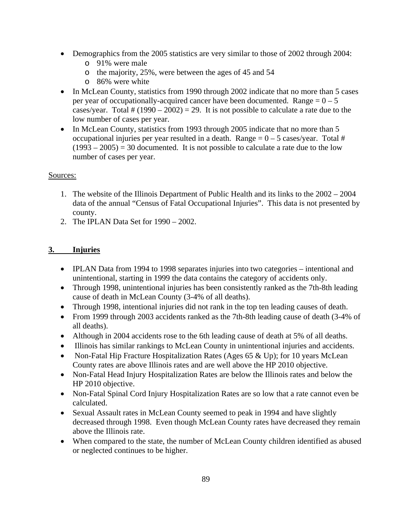- Demographics from the 2005 statistics are very similar to those of 2002 through 2004:
	- o 91% were male
	- o the majority, 25%, were between the ages of 45 and 54
	- o 86% were white
- In McLean County, statistics from 1990 through 2002 indicate that no more than 5 cases per year of occupationally-acquired cancer have been documented. Range  $= 0 - 5$ cases/year. Total  $\# (1990 - 2002) = 29$ . It is not possible to calculate a rate due to the low number of cases per year.
- In McLean County, statistics from 1993 through 2005 indicate that no more than 5 occupational injuries per year resulted in a death. Range  $= 0 - 5$  cases/year. Total #  $(1993 – 2005) = 30$  documented. It is not possible to calculate a rate due to the low number of cases per year.

### Sources:

- 1. The website of the Illinois Department of Public Health and its links to the 2002 2004 data of the annual "Census of Fatal Occupational Injuries". This data is not presented by county.
- 2. The IPLAN Data Set for 1990 2002.

# **3. Injuries**

- IPLAN Data from 1994 to 1998 separates injuries into two categories intentional and unintentional, starting in 1999 the data contains the category of accidents only.
- Through 1998, unintentional injuries has been consistently ranked as the 7th-8th leading cause of death in McLean County (3-4% of all deaths).
- Through 1998, intentional injuries did not rank in the top ten leading causes of death.
- From 1999 through 2003 accidents ranked as the 7th-8th leading cause of death (3-4% of all deaths).
- Although in 2004 accidents rose to the 6th leading cause of death at 5% of all deaths.
- Illinois has similar rankings to McLean County in unintentional injuries and accidents.
- Non-Fatal Hip Fracture Hospitalization Rates (Ages  $65 \& \text{Up}$ ); for 10 years McLean County rates are above Illinois rates and are well above the HP 2010 objective.
- Non-Fatal Head Injury Hospitalization Rates are below the Illinois rates and below the HP 2010 objective.
- Non-Fatal Spinal Cord Injury Hospitalization Rates are so low that a rate cannot even be calculated.
- Sexual Assault rates in McLean County seemed to peak in 1994 and have slightly decreased through 1998. Even though McLean County rates have decreased they remain above the Illinois rate.
- When compared to the state, the number of McLean County children identified as abused or neglected continues to be higher.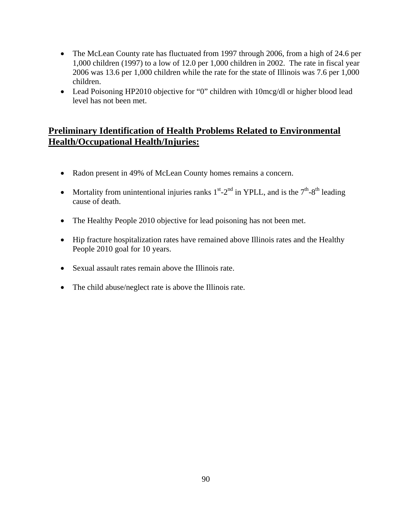- The McLean County rate has fluctuated from 1997 through 2006, from a high of 24.6 per 1,000 children (1997) to a low of 12.0 per 1,000 children in 2002. The rate in fiscal year 2006 was 13.6 per 1,000 children while the rate for the state of Illinois was 7.6 per 1,000 children.
- Lead Poisoning HP2010 objective for "0" children with 10mcg/dl or higher blood lead level has not been met.

# **Preliminary Identification of Health Problems Related to Environmental Health/Occupational Health/Injuries:**

- Radon present in 49% of McLean County homes remains a concern.
- Mortality from unintentional injuries ranks  $1<sup>st</sup> 2<sup>nd</sup>$  in YPLL, and is the  $7<sup>th</sup> 8<sup>th</sup>$  leading cause of death.
- The Healthy People 2010 objective for lead poisoning has not been met.
- Hip fracture hospitalization rates have remained above Illinois rates and the Healthy People 2010 goal for 10 years.
- Sexual assault rates remain above the Illinois rate.
- The child abuse/neglect rate is above the Illinois rate.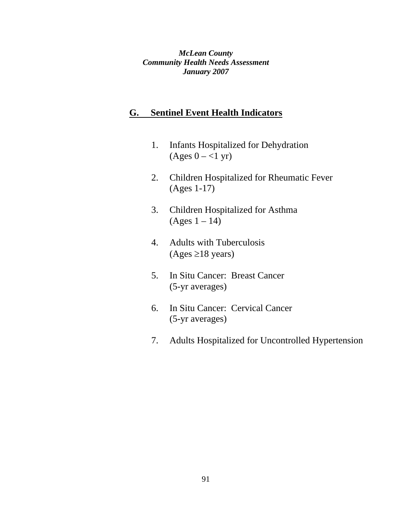*McLean County Community Health Needs Assessment January 2007*

# **G. Sentinel Event Health Indicators**

- 1. Infants Hospitalized for Dehydration  $(Ages 0 - <1 yr)$
- 2. Children Hospitalized for Rheumatic Fever (Ages 1-17)
- 3. Children Hospitalized for Asthma  $(Ages 1 – 14)$
- 4. Adults with Tuberculosis  $(Ages \geq 18 \text{ years})$
- 5. In Situ Cancer: Breast Cancer (5-yr averages)
- 6. In Situ Cancer: Cervical Cancer (5-yr averages)
- 7. Adults Hospitalized for Uncontrolled Hypertension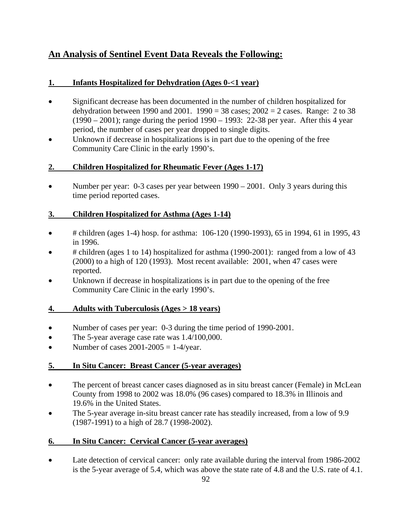# **An Analysis of Sentinel Event Data Reveals the Following:**

### **1. Infants Hospitalized for Dehydration (Ages 0-<1 year)**

- Significant decrease has been documented in the number of children hospitalized for dehydration between 1990 and 2001. 1990 = 38 cases;  $2002 = 2$  cases. Range: 2 to 38 (1990 – 2001); range during the period 1990 – 1993: 22-38 per year. After this 4 year period, the number of cases per year dropped to single digits.
- Unknown if decrease in hospitalizations is in part due to the opening of the free Community Care Clinic in the early 1990's.

### **2. Children Hospitalized for Rheumatic Fever (Ages 1-17)**

• Number per year: 0-3 cases per year between 1990 – 2001. Only 3 years during this time period reported cases.

## **3. Children Hospitalized for Asthma (Ages 1-14)**

- # children (ages 1-4) hosp. for asthma:  $106-120$  (1990-1993), 65 in 1994, 61 in 1995, 43 in 1996.
- # children (ages 1 to 14) hospitalized for asthma (1990-2001): ranged from a low of 43 (2000) to a high of 120 (1993). Most recent available: 2001, when 47 cases were reported.
- Unknown if decrease in hospitalizations is in part due to the opening of the free Community Care Clinic in the early 1990's.

### **4. Adults with Tuberculosis (Ages > 18 years)**

- Number of cases per year: 0-3 during the time period of 1990-2001.
- The 5-year average case rate was 1.4/100,000.
- Number of cases  $2001-2005 = 1-4$ /year.

### **5. In Situ Cancer: Breast Cancer (5-year averages)**

- The percent of breast cancer cases diagnosed as in situ breast cancer (Female) in McLean County from 1998 to 2002 was 18.0% (96 cases) compared to 18.3% in Illinois and 19.6% in the United States.
- The 5-year average in-situ breast cancer rate has steadily increased, from a low of 9.9 (1987-1991) to a high of 28.7 (1998-2002).

# **6. In Situ Cancer: Cervical Cancer (5-year averages)**

• Late detection of cervical cancer: only rate available during the interval from 1986-2002 is the 5-year average of 5.4, which was above the state rate of 4.8 and the U.S. rate of 4.1.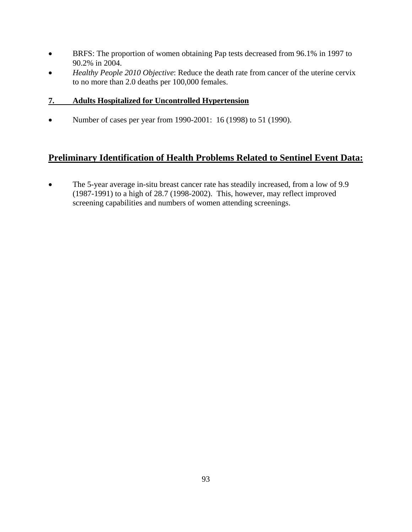- BRFS: The proportion of women obtaining Pap tests decreased from 96.1% in 1997 to 90.2% in 2004.
- *Healthy People 2010 Objective*: Reduce the death rate from cancer of the uterine cervix to no more than 2.0 deaths per 100,000 females.

### **7. Adults Hospitalized for Uncontrolled Hypertension**

• Number of cases per year from 1990-2001: 16 (1998) to 51 (1990).

# **Preliminary Identification of Health Problems Related to Sentinel Event Data:**

• The 5-year average in-situ breast cancer rate has steadily increased, from a low of 9.9 (1987-1991) to a high of 28.7 (1998-2002). This, however, may reflect improved screening capabilities and numbers of women attending screenings.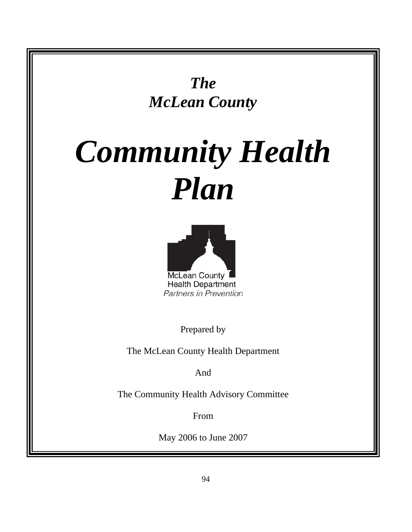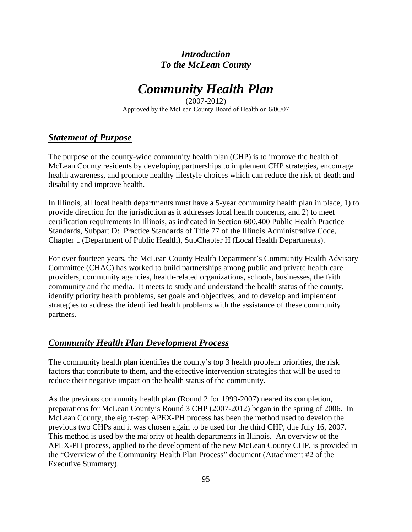# *Introduction To the McLean County*

# *Community Health Plan*

(2007-2012) Approved by the McLean County Board of Health on 6/06/07

# *Statement of Purpose*

The purpose of the county-wide community health plan (CHP) is to improve the health of McLean County residents by developing partnerships to implement CHP strategies, encourage health awareness, and promote healthy lifestyle choices which can reduce the risk of death and disability and improve health.

In Illinois, all local health departments must have a 5-year community health plan in place, 1) to provide direction for the jurisdiction as it addresses local health concerns, and 2) to meet certification requirements in Illinois, as indicated in Section 600.400 Public Health Practice Standards, Subpart D: Practice Standards of Title 77 of the Illinois Administrative Code, Chapter 1 (Department of Public Health), SubChapter H (Local Health Departments).

For over fourteen years, the McLean County Health Department's Community Health Advisory Committee (CHAC) has worked to build partnerships among public and private health care providers, community agencies, health-related organizations, schools, businesses, the faith community and the media. It meets to study and understand the health status of the county, identify priority health problems, set goals and objectives, and to develop and implement strategies to address the identified health problems with the assistance of these community partners.

# *Community Health Plan Development Process*

The community health plan identifies the county's top 3 health problem priorities, the risk factors that contribute to them, and the effective intervention strategies that will be used to reduce their negative impact on the health status of the community.

As the previous community health plan (Round 2 for 1999-2007) neared its completion, preparations for McLean County's Round 3 CHP (2007-2012) began in the spring of 2006. In McLean County, the eight-step APEX-PH process has been the method used to develop the previous two CHPs and it was chosen again to be used for the third CHP, due July 16, 2007. This method is used by the majority of health departments in Illinois. An overview of the APEX-PH process, applied to the development of the new McLean County CHP, is provided in the "Overview of the Community Health Plan Process" document (Attachment #2 of the Executive Summary).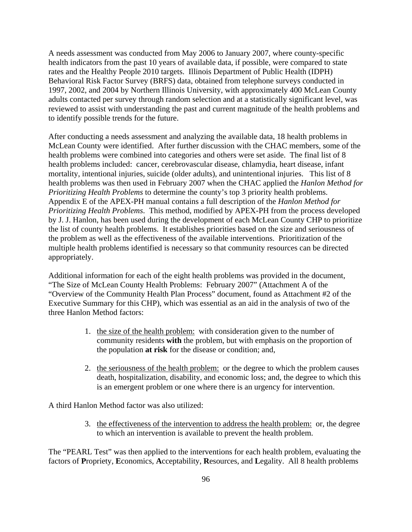A needs assessment was conducted from May 2006 to January 2007, where county-specific health indicators from the past 10 years of available data, if possible, were compared to state rates and the Healthy People 2010 targets. Illinois Department of Public Health (IDPH) Behavioral Risk Factor Survey (BRFS) data, obtained from telephone surveys conducted in 1997, 2002, and 2004 by Northern Illinois University, with approximately 400 McLean County adults contacted per survey through random selection and at a statistically significant level, was reviewed to assist with understanding the past and current magnitude of the health problems and to identify possible trends for the future.

After conducting a needs assessment and analyzing the available data, 18 health problems in McLean County were identified. After further discussion with the CHAC members, some of the health problems were combined into categories and others were set aside. The final list of 8 health problems included: cancer, cerebrovascular disease, chlamydia, heart disease, infant mortality, intentional injuries, suicide (older adults), and unintentional injuries. This list of 8 health problems was then used in February 2007 when the CHAC applied the *Hanlon Method for Prioritizing Health Problems* to determine the county's top 3 priority health problems. Appendix E of the APEX-PH manual contains a full description of the *Hanlon Method for Prioritizing Health Problems*. This method, modified by APEX-PH from the process developed by J. J. Hanlon, has been used during the development of each McLean County CHP to prioritize the list of county health problems. It establishes priorities based on the size and seriousness of the problem as well as the effectiveness of the available interventions. Prioritization of the multiple health problems identified is necessary so that community resources can be directed appropriately.

Additional information for each of the eight health problems was provided in the document, "The Size of McLean County Health Problems: February 2007" (Attachment A of the "Overview of the Community Health Plan Process" document, found as Attachment #2 of the Executive Summary for this CHP), which was essential as an aid in the analysis of two of the three Hanlon Method factors:

- 1. the size of the health problem: with consideration given to the number of community residents **with** the problem, but with emphasis on the proportion of the population **at risk** for the disease or condition; and,
- 2. the seriousness of the health problem: or the degree to which the problem causes death, hospitalization, disability, and economic loss; and, the degree to which this is an emergent problem or one where there is an urgency for intervention.

A third Hanlon Method factor was also utilized:

3. the effectiveness of the intervention to address the health problem: or, the degree to which an intervention is available to prevent the health problem.

The "PEARL Test" was then applied to the interventions for each health problem, evaluating the factors of **P**ropriety, **E**conomics, **A**cceptability, **R**esources, and **L**egality. All 8 health problems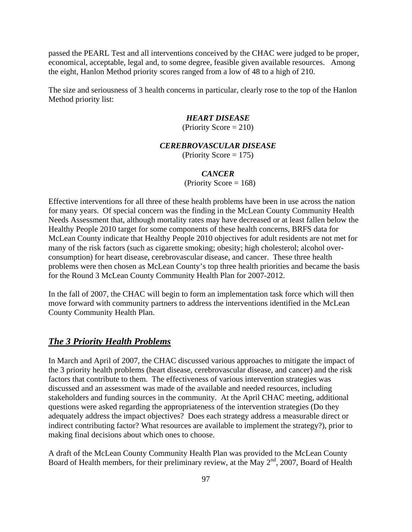passed the PEARL Test and all interventions conceived by the CHAC were judged to be proper, economical, acceptable, legal and, to some degree, feasible given available resources. Among the eight, Hanlon Method priority scores ranged from a low of 48 to a high of 210.

The size and seriousness of 3 health concerns in particular, clearly rose to the top of the Hanlon Method priority list:

#### *HEART DISEASE*

(Priority Score  $= 210$ )

#### *CEREBROVASCULAR DISEASE*

 $(Priority Score = 175)$ 

#### *CANCER*

(Priority Score  $= 168$ )

Effective interventions for all three of these health problems have been in use across the nation for many years. Of special concern was the finding in the McLean County Community Health Needs Assessment that, although mortality rates may have decreased or at least fallen below the Healthy People 2010 target for some components of these health concerns, BRFS data for McLean County indicate that Healthy People 2010 objectives for adult residents are not met for many of the risk factors (such as cigarette smoking; obesity; high cholesterol; alcohol overconsumption) for heart disease, cerebrovascular disease, and cancer. These three health problems were then chosen as McLean County's top three health priorities and became the basis for the Round 3 McLean County Community Health Plan for 2007-2012.

In the fall of 2007, the CHAC will begin to form an implementation task force which will then move forward with community partners to address the interventions identified in the McLean County Community Health Plan.

#### *The 3 Priority Health Problems*

In March and April of 2007, the CHAC discussed various approaches to mitigate the impact of the 3 priority health problems (heart disease, cerebrovascular disease, and cancer) and the risk factors that contribute to them. The effectiveness of various intervention strategies was discussed and an assessment was made of the available and needed resources, including stakeholders and funding sources in the community. At the April CHAC meeting, additional questions were asked regarding the appropriateness of the intervention strategies (Do they adequately address the impact objectives? Does each strategy address a measurable direct or indirect contributing factor? What resources are available to implement the strategy?), prior to making final decisions about which ones to choose.

A draft of the McLean County Community Health Plan was provided to the McLean County Board of Health members, for their preliminary review, at the May 2<sup>nd</sup>, 2007, Board of Health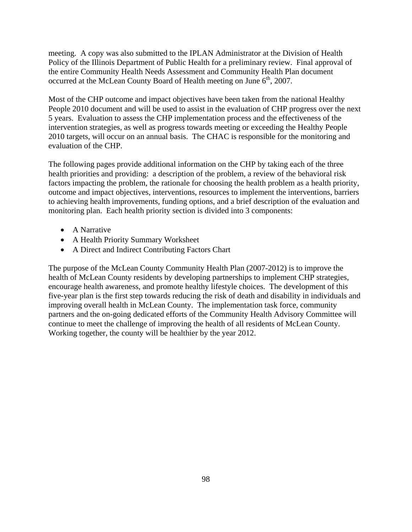meeting. A copy was also submitted to the IPLAN Administrator at the Division of Health Policy of the Illinois Department of Public Health for a preliminary review. Final approval of the entire Community Health Needs Assessment and Community Health Plan document occurred at the McLean County Board of Health meeting on June  $6<sup>th</sup>$ , 2007.

Most of the CHP outcome and impact objectives have been taken from the national Healthy People 2010 document and will be used to assist in the evaluation of CHP progress over the next 5 years. Evaluation to assess the CHP implementation process and the effectiveness of the intervention strategies, as well as progress towards meeting or exceeding the Healthy People 2010 targets, will occur on an annual basis. The CHAC is responsible for the monitoring and evaluation of the CHP.

The following pages provide additional information on the CHP by taking each of the three health priorities and providing: a description of the problem, a review of the behavioral risk factors impacting the problem, the rationale for choosing the health problem as a health priority, outcome and impact objectives, interventions, resources to implement the interventions, barriers to achieving health improvements, funding options, and a brief description of the evaluation and monitoring plan. Each health priority section is divided into 3 components:

- A Narrative
- A Health Priority Summary Worksheet
- A Direct and Indirect Contributing Factors Chart

The purpose of the McLean County Community Health Plan (2007-2012) is to improve the health of McLean County residents by developing partnerships to implement CHP strategies, encourage health awareness, and promote healthy lifestyle choices. The development of this five-year plan is the first step towards reducing the risk of death and disability in individuals and improving overall health in McLean County. The implementation task force, community partners and the on-going dedicated efforts of the Community Health Advisory Committee will continue to meet the challenge of improving the health of all residents of McLean County. Working together, the county will be healthier by the year 2012.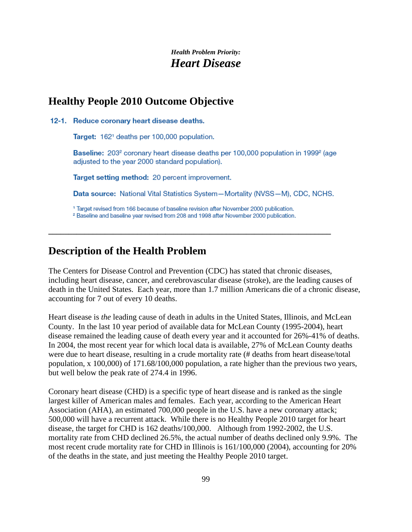# **Healthy People 2010 Outcome Objective**

12-1. Reduce coronary heart disease deaths.

Target: 162<sup>1</sup> deaths per 100,000 population.

Baseline: 203<sup>2</sup> coronary heart disease deaths per 100,000 population in 1999<sup>2</sup> (age adjusted to the year 2000 standard population).

Target setting method: 20 percent improvement.

Data source: National Vital Statistics System-Mortality (NVSS-M), CDC, NCHS.

<sup>1</sup> Target revised from 166 because of baseline revision after November 2000 publication.

<sup>2</sup> Baseline and baseline year revised from 208 and 1998 after November 2000 publication.

**\_\_\_\_\_\_\_\_\_\_\_\_\_\_\_\_\_\_\_\_\_\_\_\_\_\_\_\_\_\_\_\_\_\_\_\_\_\_\_\_\_\_\_\_\_\_\_\_\_\_\_\_\_\_\_\_\_\_\_\_\_\_\_\_\_\_\_\_\_\_** 

# **Description of the Health Problem**

The Centers for Disease Control and Prevention (CDC) has stated that chronic diseases, including heart disease, cancer, and cerebrovascular disease (stroke), are the leading causes of death in the United States. Each year, more than 1.7 million Americans die of a chronic disease, accounting for 7 out of every 10 deaths.

Heart disease is *the* leading cause of death in adults in the United States, Illinois, and McLean County. In the last 10 year period of available data for McLean County (1995-2004), heart disease remained the leading cause of death every year and it accounted for 26%-41% of deaths. In 2004, the most recent year for which local data is available, 27% of McLean County deaths were due to heart disease, resulting in a crude mortality rate (# deaths from heart disease/total population, x 100,000) of 171.68/100,000 population, a rate higher than the previous two years, but well below the peak rate of 274.4 in 1996.

Coronary heart disease (CHD) is a specific type of heart disease and is ranked as the single largest killer of American males and females. Each year, according to the American Heart Association (AHA), an estimated 700,000 people in the U.S. have a new coronary attack; 500,000 will have a recurrent attack. While there is no Healthy People 2010 target for heart disease, the target for CHD is 162 deaths/100,000. Although from 1992-2002, the U.S. mortality rate from CHD declined 26.5%, the actual number of deaths declined only 9.9%. The most recent crude mortality rate for CHD in Illinois is 161/100,000 (2004), accounting for 20% of the deaths in the state, and just meeting the Healthy People 2010 target.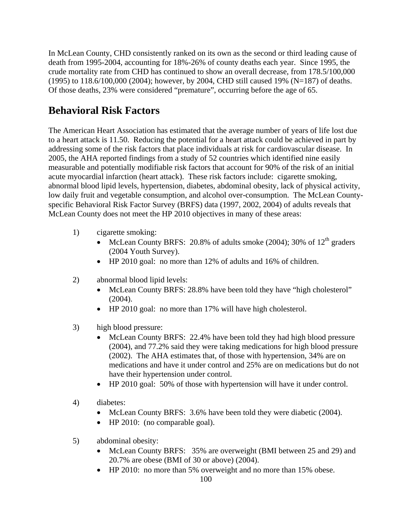In McLean County, CHD consistently ranked on its own as the second or third leading cause of death from 1995-2004, accounting for 18%-26% of county deaths each year. Since 1995, the crude mortality rate from CHD has continued to show an overall decrease, from 178.5/100,000 (1995) to 118.6/100,000 (2004); however, by 2004, CHD still caused 19% (N=187) of deaths. Of those deaths, 23% were considered "premature", occurring before the age of 65.

# **Behavioral Risk Factors**

The American Heart Association has estimated that the average number of years of life lost due to a heart attack is 11.50. Reducing the potential for a heart attack could be achieved in part by addressing some of the risk factors that place individuals at risk for cardiovascular disease. In 2005, the AHA reported findings from a study of 52 countries which identified nine easily measurable and potentially modifiable risk factors that account for 90% of the risk of an initial acute myocardial infarction (heart attack). These risk factors include: cigarette smoking, abnormal blood lipid levels, hypertension, diabetes, abdominal obesity, lack of physical activity, low daily fruit and vegetable consumption, and alcohol over-consumption. The McLean Countyspecific Behavioral Risk Factor Survey (BRFS) data (1997, 2002, 2004) of adults reveals that McLean County does not meet the HP 2010 objectives in many of these areas:

- 1) cigarette smoking:
	- McLean County BRFS: 20.8% of adults smoke (2004); 30% of  $12<sup>th</sup>$  graders (2004 Youth Survey).
	- HP 2010 goal: no more than 12% of adults and 16% of children.
- 2) abnormal blood lipid levels:
	- McLean County BRFS: 28.8% have been told they have "high cholesterol" (2004).
	- HP 2010 goal: no more than 17% will have high cholesterol.
- 3) high blood pressure:
	- McLean County BRFS: 22.4% have been told they had high blood pressure (2004), and 77.2% said they were taking medications for high blood pressure (2002). The AHA estimates that, of those with hypertension, 34% are on medications and have it under control and 25% are on medications but do not have their hypertension under control.
	- HP 2010 goal: 50% of those with hypertension will have it under control.
- 4) diabetes:
	- McLean County BRFS: 3.6% have been told they were diabetic (2004).
	- HP 2010: (no comparable goal).
- 5) abdominal obesity:
	- McLean County BRFS: 35% are overweight (BMI between 25 and 29) and 20.7% are obese (BMI of 30 or above) (2004).
	- HP 2010: no more than 5% overweight and no more than 15% obese.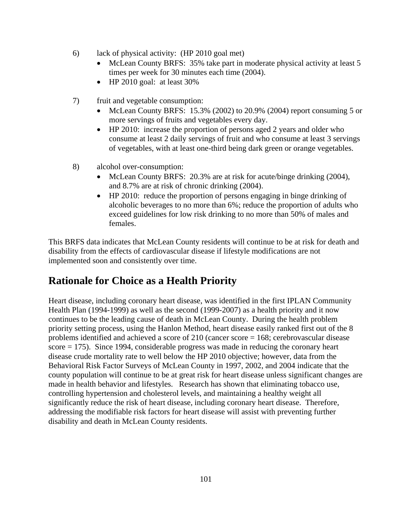- 6) lack of physical activity: (HP 2010 goal met)
	- McLean County BRFS: 35% take part in moderate physical activity at least 5 times per week for 30 minutes each time (2004).
	- HP 2010 goal: at least 30%
- 7) fruit and vegetable consumption:
	- McLean County BRFS: 15.3% (2002) to 20.9% (2004) report consuming 5 or more servings of fruits and vegetables every day.
	- HP 2010: increase the proportion of persons aged 2 years and older who consume at least 2 daily servings of fruit and who consume at least 3 servings of vegetables, with at least one-third being dark green or orange vegetables.
- 8) alcohol over-consumption:
	- McLean County BRFS: 20.3% are at risk for acute/binge drinking (2004), and 8.7% are at risk of chronic drinking (2004).
	- HP 2010: reduce the proportion of persons engaging in binge drinking of alcoholic beverages to no more than 6%; reduce the proportion of adults who exceed guidelines for low risk drinking to no more than 50% of males and females.

This BRFS data indicates that McLean County residents will continue to be at risk for death and disability from the effects of cardiovascular disease if lifestyle modifications are not implemented soon and consistently over time.

# **Rationale for Choice as a Health Priority**

Heart disease, including coronary heart disease, was identified in the first IPLAN Community Health Plan (1994-1999) as well as the second (1999-2007) as a health priority and it now continues to be the leading cause of death in McLean County. During the health problem priority setting process, using the Hanlon Method, heart disease easily ranked first out of the 8 problems identified and achieved a score of 210 (cancer score = 168; cerebrovascular disease score = 175). Since 1994, considerable progress was made in reducing the coronary heart disease crude mortality rate to well below the HP 2010 objective; however, data from the Behavioral Risk Factor Surveys of McLean County in 1997, 2002, and 2004 indicate that the county population will continue to be at great risk for heart disease unless significant changes are made in health behavior and lifestyles. Research has shown that eliminating tobacco use, controlling hypertension and cholesterol levels, and maintaining a healthy weight all significantly reduce the risk of heart disease, including coronary heart disease. Therefore, addressing the modifiable risk factors for heart disease will assist with preventing further disability and death in McLean County residents.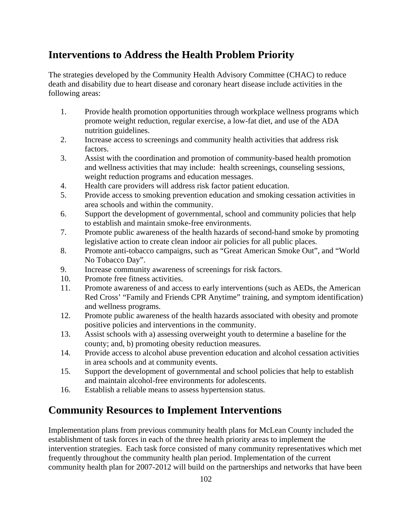# **Interventions to Address the Health Problem Priority**

The strategies developed by the Community Health Advisory Committee (CHAC) to reduce death and disability due to heart disease and coronary heart disease include activities in the following areas:

- 1. Provide health promotion opportunities through workplace wellness programs which promote weight reduction, regular exercise, a low-fat diet, and use of the ADA nutrition guidelines.
- 2. Increase access to screenings and community health activities that address risk factors.
- 3. Assist with the coordination and promotion of community-based health promotion and wellness activities that may include: health screenings, counseling sessions, weight reduction programs and education messages.
- 4. Health care providers will address risk factor patient education.
- 5. Provide access to smoking prevention education and smoking cessation activities in area schools and within the community.
- 6. Support the development of governmental, school and community policies that help to establish and maintain smoke-free environments.
- 7. Promote public awareness of the health hazards of second-hand smoke by promoting legislative action to create clean indoor air policies for all public places.
- 8. Promote anti-tobacco campaigns, such as "Great American Smoke Out", and "World No Tobacco Day".
- 9. Increase community awareness of screenings for risk factors.
- 10. Promote free fitness activities.
- 11. Promote awareness of and access to early interventions (such as AEDs, the American Red Cross' "Family and Friends CPR Anytime" training, and symptom identification) and wellness programs.
- 12. Promote public awareness of the health hazards associated with obesity and promote positive policies and interventions in the community.
- 13. Assist schools with a) assessing overweight youth to determine a baseline for the county; and, b) promoting obesity reduction measures.
- 14. Provide access to alcohol abuse prevention education and alcohol cessation activities in area schools and at community events.
- 15. Support the development of governmental and school policies that help to establish and maintain alcohol-free environments for adolescents.
- 16. Establish a reliable means to assess hypertension status.

# **Community Resources to Implement Interventions**

Implementation plans from previous community health plans for McLean County included the establishment of task forces in each of the three health priority areas to implement the intervention strategies. Each task force consisted of many community representatives which met frequently throughout the community health plan period. Implementation of the current community health plan for 2007-2012 will build on the partnerships and networks that have been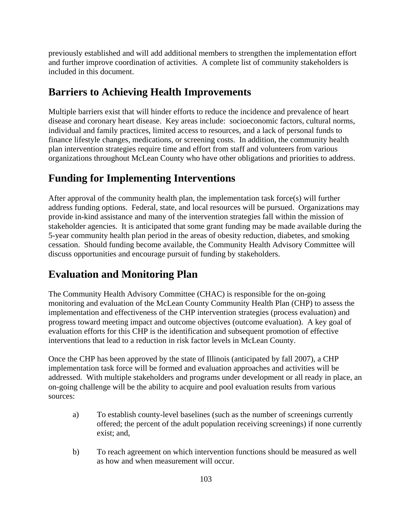previously established and will add additional members to strengthen the implementation effort and further improve coordination of activities. A complete list of community stakeholders is included in this document.

# **Barriers to Achieving Health Improvements**

Multiple barriers exist that will hinder efforts to reduce the incidence and prevalence of heart disease and coronary heart disease. Key areas include: socioeconomic factors, cultural norms, individual and family practices, limited access to resources, and a lack of personal funds to finance lifestyle changes, medications, or screening costs. In addition, the community health plan intervention strategies require time and effort from staff and volunteers from various organizations throughout McLean County who have other obligations and priorities to address.

# **Funding for Implementing Interventions**

After approval of the community health plan, the implementation task force(s) will further address funding options. Federal, state, and local resources will be pursued. Organizations may provide in-kind assistance and many of the intervention strategies fall within the mission of stakeholder agencies. It is anticipated that some grant funding may be made available during the 5-year community health plan period in the areas of obesity reduction, diabetes, and smoking cessation. Should funding become available, the Community Health Advisory Committee will discuss opportunities and encourage pursuit of funding by stakeholders.

# **Evaluation and Monitoring Plan**

The Community Health Advisory Committee (CHAC) is responsible for the on-going monitoring and evaluation of the McLean County Community Health Plan (CHP) to assess the implementation and effectiveness of the CHP intervention strategies (process evaluation) and progress toward meeting impact and outcome objectives (outcome evaluation). A key goal of evaluation efforts for this CHP is the identification and subsequent promotion of effective interventions that lead to a reduction in risk factor levels in McLean County.

Once the CHP has been approved by the state of Illinois (anticipated by fall 2007), a CHP implementation task force will be formed and evaluation approaches and activities will be addressed. With multiple stakeholders and programs under development or all ready in place, an on-going challenge will be the ability to acquire and pool evaluation results from various sources:

- a) To establish county-level baselines (such as the number of screenings currently offered; the percent of the adult population receiving screenings) if none currently exist; and,
- b) To reach agreement on which intervention functions should be measured as well as how and when measurement will occur.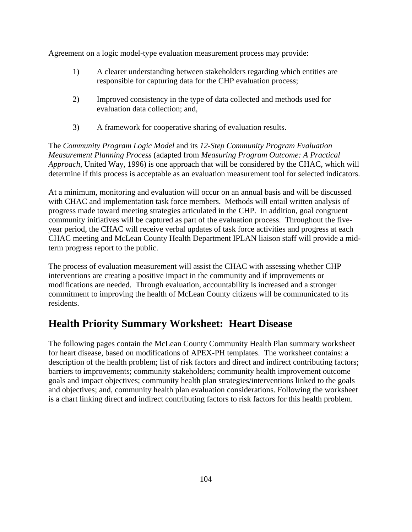Agreement on a logic model-type evaluation measurement process may provide:

- 1) A clearer understanding between stakeholders regarding which entities are responsible for capturing data for the CHP evaluation process;
- 2) Improved consistency in the type of data collected and methods used for evaluation data collection; and,
- 3) A framework for cooperative sharing of evaluation results.

The *Community Program Logic Model* and its *12-Step Community Program Evaluation Measurement Planning Process* (adapted from *Measuring Program Outcome: A Practical Approach*, United Way, 1996) is one approach that will be considered by the CHAC, which will determine if this process is acceptable as an evaluation measurement tool for selected indicators.

At a minimum, monitoring and evaluation will occur on an annual basis and will be discussed with CHAC and implementation task force members. Methods will entail written analysis of progress made toward meeting strategies articulated in the CHP. In addition, goal congruent community initiatives will be captured as part of the evaluation process. Throughout the fiveyear period, the CHAC will receive verbal updates of task force activities and progress at each CHAC meeting and McLean County Health Department IPLAN liaison staff will provide a midterm progress report to the public.

The process of evaluation measurement will assist the CHAC with assessing whether CHP interventions are creating a positive impact in the community and if improvements or modifications are needed. Through evaluation, accountability is increased and a stronger commitment to improving the health of McLean County citizens will be communicated to its residents.

# **Health Priority Summary Worksheet: Heart Disease**

The following pages contain the McLean County Community Health Plan summary worksheet for heart disease, based on modifications of APEX-PH templates. The worksheet contains: a description of the health problem; list of risk factors and direct and indirect contributing factors; barriers to improvements; community stakeholders; community health improvement outcome goals and impact objectives; community health plan strategies/interventions linked to the goals and objectives; and, community health plan evaluation considerations. Following the worksheet is a chart linking direct and indirect contributing factors to risk factors for this health problem.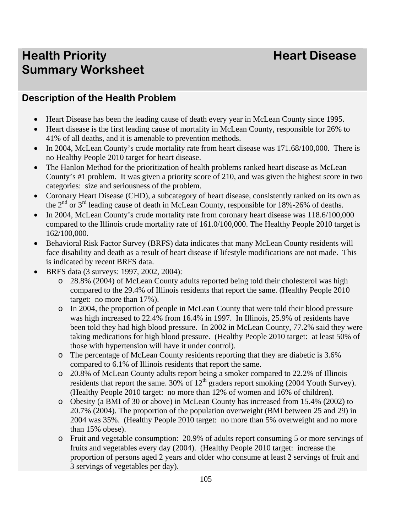# **Health Priority Allen Access 2018 19:00 Heart Disease Summary Worksheet**

# **Description of the Health Problem**

- Heart Disease has been the leading cause of death every year in McLean County since 1995.
- Heart disease is the first leading cause of mortality in McLean County, responsible for 26% to 41% of all deaths, and it is amenable to prevention methods.
- In 2004, McLean County's crude mortality rate from heart disease was 171.68/100,000. There is no Healthy People 2010 target for heart disease.
- The Hanlon Method for the prioritization of health problems ranked heart disease as McLean County's #1 problem. It was given a priority score of 210, and was given the highest score in two categories: size and seriousness of the problem.
- Coronary Heart Disease (CHD), a subcategory of heart disease, consistently ranked on its own as the  $2^{nd}$  or  $3^{rd}$  leading cause of death in McLean County, responsible for 18%-26% of deaths.
- In 2004, McLean County's crude mortality rate from coronary heart disease was  $118.6/100.000$ compared to the Illinois crude mortality rate of 161.0/100,000. The Healthy People 2010 target is 162/100,000.
- Behavioral Risk Factor Survey (BRFS) data indicates that many McLean County residents will face disability and death as a result of heart disease if lifestyle modifications are not made. This is indicated by recent BRFS data.
- BRFS data (3 surveys: 1997, 2002, 2004):
	- o 28.8% (2004) of McLean County adults reported being told their cholesterol was high compared to the 29.4% of Illinois residents that report the same. (Healthy People 2010 target: no more than 17%).
	- o In 2004, the proportion of people in McLean County that were told their blood pressure was high increased to 22.4% from 16.4% in 1997. In Illinois, 25.9% of residents have been told they had high blood pressure. In 2002 in McLean County, 77.2% said they were taking medications for high blood pressure. (Healthy People 2010 target: at least 50% of those with hypertension will have it under control).
	- o The percentage of McLean County residents reporting that they are diabetic is 3.6% compared to 6.1% of Illinois residents that report the same.
	- o 20.8% of McLean County adults report being a smoker compared to 22.2% of Illinois residents that report the same.  $30\%$  of  $12<sup>th</sup>$  graders report smoking (2004 Youth Survey). (Healthy People 2010 target: no more than 12% of women and 16% of children).
	- o Obesity (a BMI of 30 or above) in McLean County has increased from 15.4% (2002) to 20.7% (2004). The proportion of the population overweight (BMI between 25 and 29) in 2004 was 35%. (Healthy People 2010 target: no more than 5% overweight and no more than 15% obese).
	- o Fruit and vegetable consumption: 20.9% of adults report consuming 5 or more servings of fruits and vegetables every day (2004). (Healthy People 2010 target: increase the proportion of persons aged 2 years and older who consume at least 2 servings of fruit and 3 servings of vegetables per day).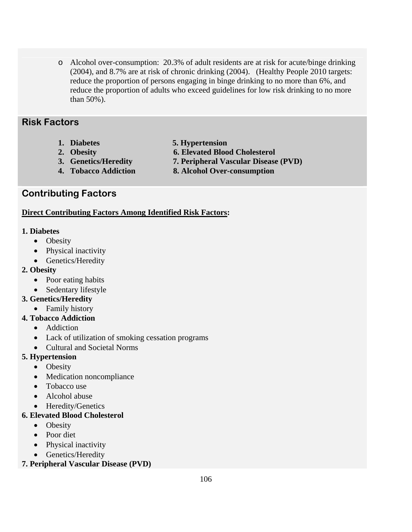o Alcohol over-consumption: 20.3% of adult residents are at risk for acute/binge drinking (2004), and 8.7% are at risk of chronic drinking (2004). (Healthy People 2010 targets: reduce the proportion of persons engaging in binge drinking to no more than 6%, and reduce the proportion of adults who exceed guidelines for low risk drinking to no more than 50%).

# **Risk Factors**

- 
- **1. Diabetes 5. Hypertension**
- 
- 
- **2. Obesity 6. Elevated Blood Cholesterol** 
	-
- **3. Genetics/Heredity 7. Peripheral Vascular Disease (PVD)**
- 
- **4. Tobacco Addiction 8. Alcohol Over-consumption**

# **Contributing Factors**

## **Direct Contributing Factors Among Identified Risk Factors:**

## **1. Diabetes**

- Obesity
- Physical inactivity
- Genetics/Heredity

# **2. Obesity**

- Poor eating habits
- Sedentary lifestyle

# **3. Genetics/Heredity**

• Family history

# **4. Tobacco Addiction**

- Addiction
- Lack of utilization of smoking cessation programs
- Cultural and Societal Norms

# **5. Hypertension**

- Obesity
- Medication noncompliance
- Tobacco use
- Alcohol abuse
- Heredity/Genetics

### **6. Elevated Blood Cholesterol**

- Obesity
- Poor diet
- Physical inactivity
- Genetics/Heredity

### **7. Peripheral Vascular Disease (PVD)**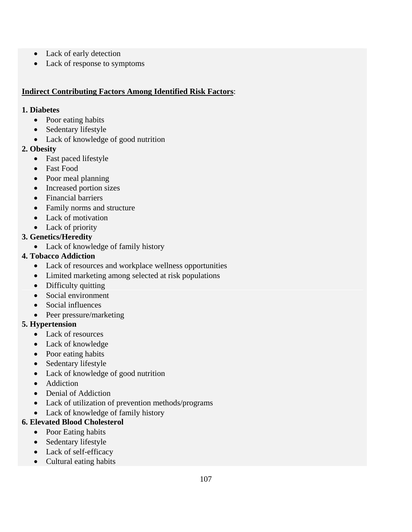- Lack of early detection
- Lack of response to symptoms

## **Indirect Contributing Factors Among Identified Risk Factors**:

#### **1. Diabetes**

- Poor eating habits
- Sedentary lifestyle
- Lack of knowledge of good nutrition

## **2. Obesity**

- Fast paced lifestyle
- Fast Food
- Poor meal planning
- Increased portion sizes
- Financial barriers
- Family norms and structure
- Lack of motivation
- Lack of priority

# **3. Genetics/Heredity**

• Lack of knowledge of family history

# **4. Tobacco Addiction**

- Lack of resources and workplace wellness opportunities
- Limited marketing among selected at risk populations
- Difficulty quitting
- Social environment
- Social influences
- Peer pressure/marketing

# **5. Hypertension**

- Lack of resources
- Lack of knowledge
- Poor eating habits
- Sedentary lifestyle
- Lack of knowledge of good nutrition
- Addiction
- Denial of Addiction
- Lack of utilization of prevention methods/programs
- Lack of knowledge of family history

# **6. Elevated Blood Cholesterol**

- Poor Eating habits
- Sedentary lifestyle
- Lack of self-efficacy
- Cultural eating habits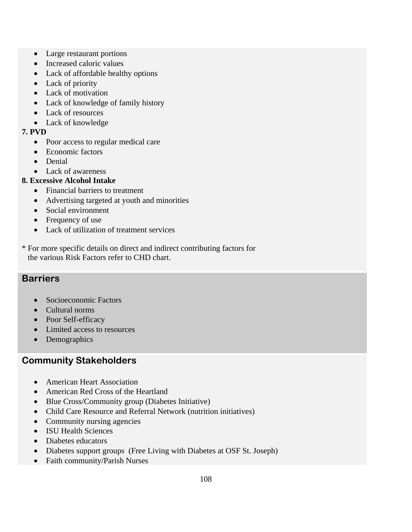- Large restaurant portions
- Increased caloric values
- Lack of affordable healthy options
- Lack of priority
- Lack of motivation
- Lack of knowledge of family history
- Lack of resources
- Lack of knowledge

#### **7. PVD**

- Poor access to regular medical care
- Economic factors
- Denial
- Lack of awareness

# **8. Excessive Alcohol Intake**

- Financial barriers to treatment
- Advertising targeted at youth and minorities
- Social environment
- Frequency of use
- Lack of utilization of treatment services
- \* For more specific details on direct and indirect contributing factors for the various Risk Factors refer to CHD chart.

# **Barriers**

- Socioeconomic Factors
- Cultural norms
- Poor Self-efficacy
- Limited access to resources
- Demographics

# **Community Stakeholders**

- American Heart Association
- American Red Cross of the Heartland
- Blue Cross/Community group (Diabetes Initiative)
- Child Care Resource and Referral Network (nutrition initiatives)
- Community nursing agencies
- ISU Health Sciences
- Diabetes educators
- Diabetes support groups (Free Living with Diabetes at OSF St. Joseph)
- Faith community/Parish Nurses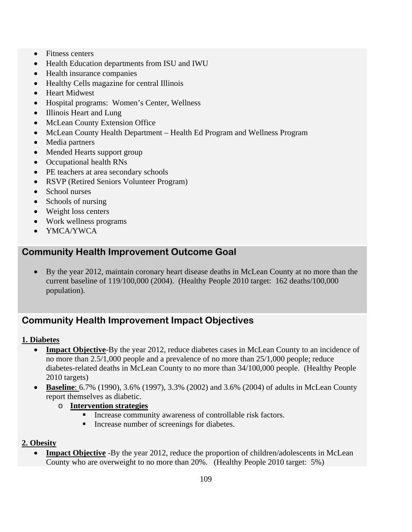- Fitness centers
- Health Education departments from ISU and IWU
- Health insurance companies
- Healthy Cells magazine for central Illinois
- Heart Midwest
- Hospital programs: Women's Center, Wellness
- Illinois Heart and Lung
- McLean County Extension Office
- McLean County Health Department Health Ed Program and Wellness Program
- Media partners
- Mended Hearts support group
- Occupational health RNs
- PE teachers at area secondary schools
- RSVP (Retired Seniors Volunteer Program)
- School nurses
- Schools of nursing
- Weight loss centers
- Work wellness programs
- YMCA/YWCA

# **Community Health Improvement Outcome Goal**

• By the year 2012, maintain coronary heart disease deaths in McLean County at no more than the current baseline of 119/100,000 (2004). (Healthy People 2010 target: 162 deaths/100,000 population).

# **Community Health Improvement Impact Objectives**

#### **1. Diabetes**

- **Impact Objective-By** the year 2012, reduce diabetes cases in McLean County to an incidence of no more than 2.5/1,000 people and a prevalence of no more than 25/1,000 people; reduce diabetes-related deaths in McLean County to no more than 34/100,000 people. (Healthy People 2010 targets)
- **Baseline**: 6.7% (1990), 3.6% (1997), 3.3% (2002) and 3.6% (2004) of adults in McLean County report themselves as diabetic.
	- o **Intervention strategies** 
		- Increase community awareness of controllable risk factors.
		- **Increase number of screenings for diabetes.**

#### **2. Obesity**

**Impact Objective** -By the year 2012, reduce the proportion of children/adolescents in McLean County who are overweight to no more than 20%. (Healthy People 2010 target: 5%)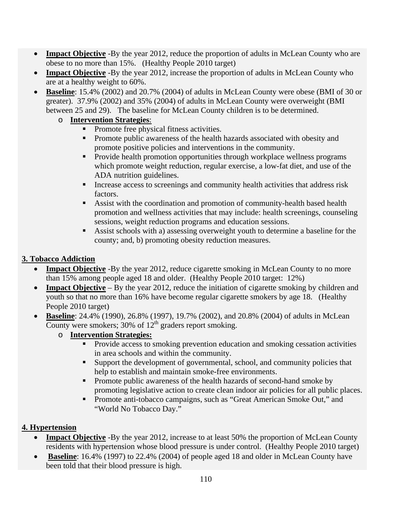- **Impact Objective** -By the year 2012, reduce the proportion of adults in McLean County who are obese to no more than 15%. (Healthy People 2010 target)
- **Impact Objective** -By the year 2012, increase the proportion of adults in McLean County who are at a healthy weight to 60%.
- **Baseline**: 15.4% (2002) and 20.7% (2004) of adults in McLean County were obese (BMI of 30 or greater). 37.9% (2002) and 35% (2004) of adults in McLean County were overweight (BMI between 25 and 29). The baseline for McLean County children is to be determined.

# o **Intervention Strategies**:

- Promote free physical fitness activities.
- **Promote public awareness of the health hazards associated with obesity and** promote positive policies and interventions in the community.
- **Provide health promotion opportunities through workplace wellness programs** which promote weight reduction, regular exercise, a low-fat diet, and use of the ADA nutrition guidelines.
- Increase access to screenings and community health activities that address risk factors.
- Assist with the coordination and promotion of community-health based health promotion and wellness activities that may include: health screenings, counseling sessions, weight reduction programs and education sessions.
- Assist schools with a) assessing overweight youth to determine a baseline for the county; and, b) promoting obesity reduction measures.

# **3. Tobacco Addiction**

- **Impact Objective** -By the year 2012, reduce cigarette smoking in McLean County to no more than 15% among people aged 18 and older. (Healthy People 2010 target: 12%)
- **Impact Objective** By the year 2012, reduce the initiation of cigarette smoking by children and youth so that no more than 16% have become regular cigarette smokers by age 18. (Healthy People 2010 target)
- **Baseline**: 24.4% (1990), 26.8% (1997), 19.7% (2002), and 20.8% (2004) of adults in McLean County were smokers; 30% of  $12<sup>th</sup>$  graders report smoking.
	- o **Intervention Strategies:** 
		- **Provide access to smoking prevention education and smoking cessation activities** in area schools and within the community.
		- Support the development of governmental, school, and community policies that help to establish and maintain smoke-free environments.
		- **Promote public awareness of the health hazards of second-hand smoke by** promoting legislative action to create clean indoor air policies for all public places.
		- **Promote anti-tobacco campaigns, such as "Great American Smoke Out," and** "World No Tobacco Day."

# **4. Hypertension**

- **Impact Objective** -By the year 2012, increase to at least 50% the proportion of McLean County residents with hypertension whose blood pressure is under control. (Healthy People 2010 target)
- **Baseline**: 16.4% (1997) to 22.4% (2004) of people aged 18 and older in McLean County have been told that their blood pressure is high.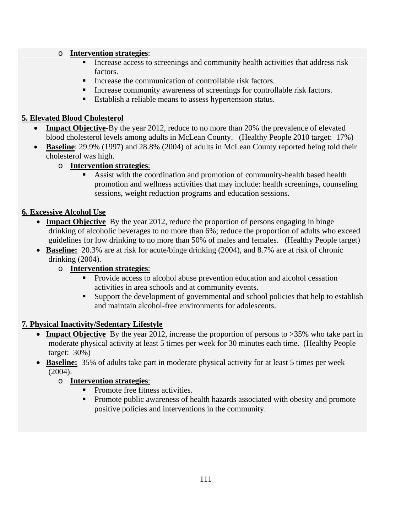#### o **Intervention strategies**:

- Increase access to screenings and community health activities that address risk factors.
- Increase the communication of controllable risk factors.
- Increase community awareness of screenings for controllable risk factors.
- Establish a reliable means to assess hypertension status.

#### **5. Elevated Blood Cholesterol**

- **Impact Objective-**By the year 2012, reduce to no more than 20% the prevalence of elevated blood cholesterol levels among adults in McLean County. (Healthy People 2010 target: 17%)
- **Baseline**: 29.9% (1997) and 28.8% (2004) of adults in McLean County reported being told their cholesterol was high.

#### o **Intervention strategies**:

 Assist with the coordination and promotion of community-health based health promotion and wellness activities that may include: health screenings, counseling sessions, weight reduction programs and education sessions.

#### **6. Excessive Alcohol Use**

- **Impact Objective** By the year 2012, reduce the proportion of persons engaging in binge drinking of alcoholic beverages to no more than 6%; reduce the proportion of adults who exceed guidelines for low drinking to no more than 50% of males and females. (Healthy People target)
- **Baseline:** 20.3% are at risk for acute/binge drinking (2004), and 8.7% are at risk of chronic drinking (2004).

#### o **Intervention strategies**:

- Provide access to alcohol abuse prevention education and alcohol cessation activities in area schools and at community events.
- Support the development of governmental and school policies that help to establish and maintain alcohol-free environments for adolescents.

# **7. Physical Inactivity/Sedentary Lifestyle**

- **Impact Objective** By the year 2012, increase the proportion of persons to >35% who take part in moderate physical activity at least 5 times per week for 30 minutes each time. (Healthy People target: 30%)
- **Baseline:** 35% of adults take part in moderate physical activity for at least 5 times per week (2004).

# o **Intervention strategies**:

- Promote free fitness activities.
- Promote public awareness of health hazards associated with obesity and promote positive policies and interventions in the community.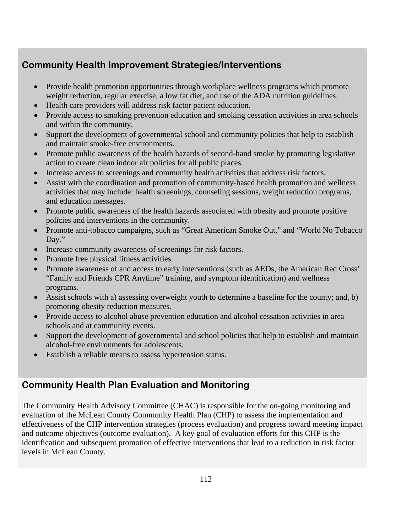# **Community Health Improvement Strategies/Interventions**

- Provide health promotion opportunities through workplace wellness programs which promote weight reduction, regular exercise, a low fat diet, and use of the ADA nutrition guidelines.
- Health care providers will address risk factor patient education.
- Provide access to smoking prevention education and smoking cessation activities in area schools and within the community.
- Support the development of governmental school and community policies that help to establish and maintain smoke-free environments.
- Promote public awareness of the health hazards of second-hand smoke by promoting legislative action to create clean indoor air policies for all public places.
- Increase access to screenings and community health activities that address risk factors.
- Assist with the coordination and promotion of community-based health promotion and wellness activities that may include: health screenings, counseling sessions, weight reduction programs, and education messages.
- Promote public awareness of the health hazards associated with obesity and promote positive policies and interventions in the community.
- Promote anti-tobacco campaigns, such as "Great American Smoke Out," and "World No Tobacco" Day."
- Increase community awareness of screenings for risk factors.
- Promote free physical fitness activities.
- Promote awareness of and access to early interventions (such as AEDs, the American Red Cross' "Family and Friends CPR Anytime" training, and symptom identification) and wellness programs.
- Assist schools with a) assessing overweight youth to determine a baseline for the county; and, b) promoting obesity reduction measures.
- Provide access to alcohol abuse prevention education and alcohol cessation activities in area schools and at community events.
- Support the development of governmental and school policies that help to establish and maintain alcohol-free environments for adolescents.
- Establish a reliable means to assess hypertension status.

# **Community Health Plan Evaluation and Monitoring**

The Community Health Advisory Committee (CHAC) is responsible for the on-going monitoring and evaluation of the McLean County Community Health Plan (CHP) to assess the implementation and effectiveness of the CHP intervention strategies (process evaluation) and progress toward meeting impact and outcome objectives (outcome evaluation). A key goal of evaluation efforts for this CHP is the identification and subsequent promotion of effective interventions that lead to a reduction in risk factor levels in McLean County.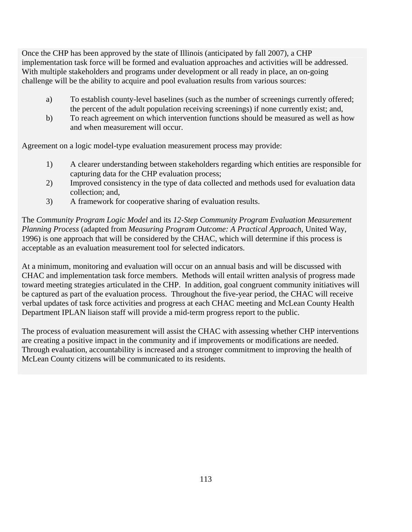Once the CHP has been approved by the state of Illinois (anticipated by fall 2007), a CHP implementation task force will be formed and evaluation approaches and activities will be addressed. With multiple stakeholders and programs under development or all ready in place, an on-going challenge will be the ability to acquire and pool evaluation results from various sources:

- a) To establish county-level baselines (such as the number of screenings currently offered; the percent of the adult population receiving screenings) if none currently exist; and,
- b) To reach agreement on which intervention functions should be measured as well as how and when measurement will occur.

Agreement on a logic model-type evaluation measurement process may provide:

- 1) A clearer understanding between stakeholders regarding which entities are responsible for capturing data for the CHP evaluation process;
- 2) Improved consistency in the type of data collected and methods used for evaluation data collection; and,
- 3) A framework for cooperative sharing of evaluation results.

The *Community Program Logic Model* and its *12-Step Community Program Evaluation Measurement Planning Process* (adapted from *Measuring Program Outcome: A Practical Approach*, United Way, 1996) is one approach that will be considered by the CHAC, which will determine if this process is acceptable as an evaluation measurement tool for selected indicators.

At a minimum, monitoring and evaluation will occur on an annual basis and will be discussed with CHAC and implementation task force members. Methods will entail written analysis of progress made toward meeting strategies articulated in the CHP. In addition, goal congruent community initiatives will be captured as part of the evaluation process. Throughout the five-year period, the CHAC will receive verbal updates of task force activities and progress at each CHAC meeting and McLean County Health Department IPLAN liaison staff will provide a mid-term progress report to the public.

The process of evaluation measurement will assist the CHAC with assessing whether CHP interventions are creating a positive impact in the community and if improvements or modifications are needed. Through evaluation, accountability is increased and a stronger commitment to improving the health of McLean County citizens will be communicated to its residents.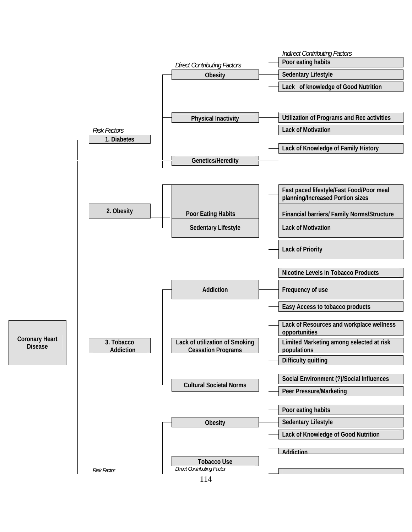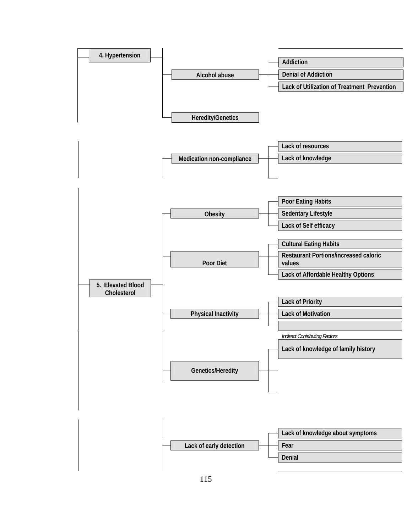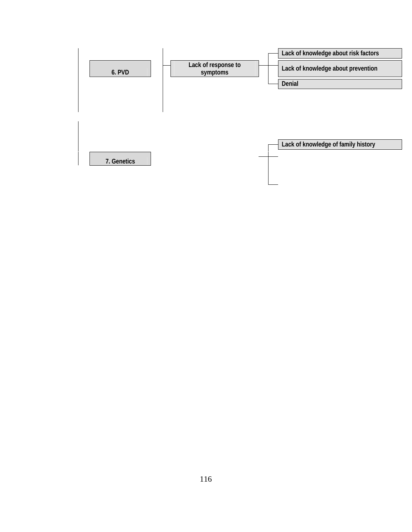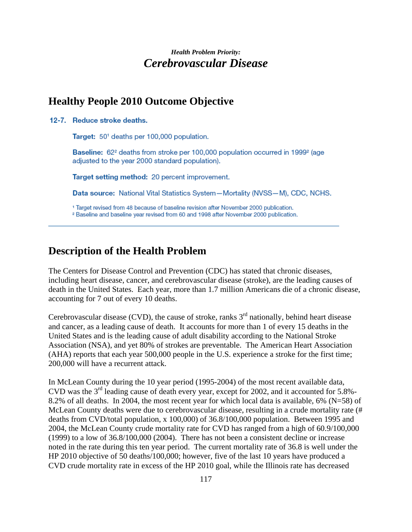# *Health Problem Priority: Cerebrovascular Disease*

# **Healthy People 2010 Outcome Objective**

12-7. Reduce stroke deaths.

Target: 50<sup>1</sup> deaths per 100,000 population.

Baseline: 62<sup>2</sup> deaths from stroke per 100,000 population occurred in 1999<sup>2</sup> (age adjusted to the year 2000 standard population).

Target setting method: 20 percent improvement.

Data source: National Vital Statistics System-Mortality (NVSS-M), CDC, NCHS.

<sup>1</sup> Target revised from 48 because of baseline revision after November 2000 publication.

<sup>2</sup> Baseline and baseline year revised from 60 and 1998 after November 2000 publication.

# **Description of the Health Problem**

The Centers for Disease Control and Prevention (CDC) has stated that chronic diseases, including heart disease, cancer, and cerebrovascular disease (stroke), are the leading causes of death in the United States. Each year, more than 1.7 million Americans die of a chronic disease, accounting for 7 out of every 10 deaths.

Cerebrovascular disease (CVD), the cause of stroke, ranks  $3<sup>rd</sup>$  nationally, behind heart disease and cancer, as a leading cause of death. It accounts for more than 1 of every 15 deaths in the United States and is the leading cause of adult disability according to the National Stroke Association (NSA), and yet 80% of strokes are preventable. The American Heart Association (AHA) reports that each year 500,000 people in the U.S. experience a stroke for the first time; 200,000 will have a recurrent attack.

In McLean County during the 10 year period (1995-2004) of the most recent available data, CVD was the 3rd leading cause of death every year, except for 2002, and it accounted for 5.8%- 8.2% of all deaths. In 2004, the most recent year for which local data is available, 6% (N=58) of McLean County deaths were due to cerebrovascular disease, resulting in a crude mortality rate (# deaths from CVD/total population, x 100,000) of 36.8/100,000 population. Between 1995 and 2004, the McLean County crude mortality rate for CVD has ranged from a high of 60.9/100,000 (1999) to a low of 36.8/100,000 (2004). There has not been a consistent decline or increase noted in the rate during this ten year period. The current mortality rate of 36.8 is well under the HP 2010 objective of 50 deaths/100,000; however, five of the last 10 years have produced a CVD crude mortality rate in excess of the HP 2010 goal, while the Illinois rate has decreased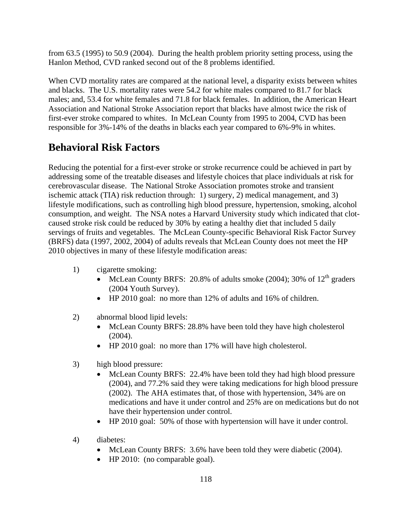from 63.5 (1995) to 50.9 (2004). During the health problem priority setting process, using the Hanlon Method, CVD ranked second out of the 8 problems identified.

When CVD mortality rates are compared at the national level, a disparity exists between whites and blacks. The U.S. mortality rates were 54.2 for white males compared to 81.7 for black males; and, 53.4 for white females and 71.8 for black females. In addition, the American Heart Association and National Stroke Association report that blacks have almost twice the risk of first-ever stroke compared to whites. In McLean County from 1995 to 2004, CVD has been responsible for 3%-14% of the deaths in blacks each year compared to 6%-9% in whites.

# **Behavioral Risk Factors**

Reducing the potential for a first-ever stroke or stroke recurrence could be achieved in part by addressing some of the treatable diseases and lifestyle choices that place individuals at risk for cerebrovascular disease. The National Stroke Association promotes stroke and transient ischemic attack (TIA) risk reduction through: 1) surgery, 2) medical management, and 3) lifestyle modifications, such as controlling high blood pressure, hypertension, smoking, alcohol consumption, and weight. The NSA notes a Harvard University study which indicated that clotcaused stroke risk could be reduced by 30% by eating a healthy diet that included 5 daily servings of fruits and vegetables. The McLean County-specific Behavioral Risk Factor Survey (BRFS) data (1997, 2002, 2004) of adults reveals that McLean County does not meet the HP 2010 objectives in many of these lifestyle modification areas:

- 1) cigarette smoking:
	- McLean County BRFS: 20.8% of adults smoke (2004); 30% of  $12<sup>th</sup>$  graders (2004 Youth Survey).
	- HP 2010 goal: no more than 12% of adults and 16% of children.
- 2) abnormal blood lipid levels:
	- McLean County BRFS: 28.8% have been told they have high cholesterol (2004).
	- HP 2010 goal: no more than 17% will have high cholesterol.
- 3) high blood pressure:
	- McLean County BRFS: 22.4% have been told they had high blood pressure (2004), and 77.2% said they were taking medications for high blood pressure (2002). The AHA estimates that, of those with hypertension, 34% are on medications and have it under control and 25% are on medications but do not have their hypertension under control.
	- HP 2010 goal: 50% of those with hypertension will have it under control.
- 4) diabetes:
	- McLean County BRFS: 3.6% have been told they were diabetic (2004).
	- HP 2010: (no comparable goal).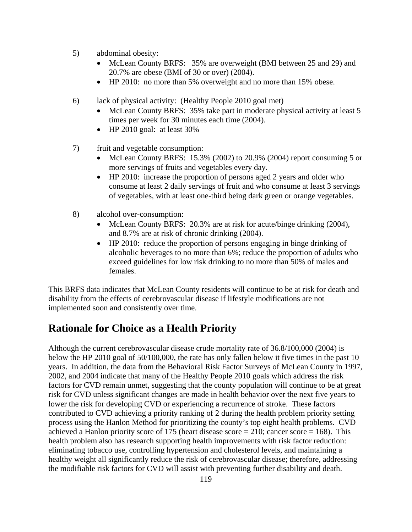- 5) abdominal obesity:
	- McLean County BRFS: 35% are overweight (BMI between 25 and 29) and 20.7% are obese (BMI of 30 or over) (2004).
	- HP 2010: no more than 5% overweight and no more than 15% obese.
- 6) lack of physical activity: (Healthy People 2010 goal met)
	- McLean County BRFS: 35% take part in moderate physical activity at least 5 times per week for 30 minutes each time (2004).
	- HP 2010 goal: at least 30%
- 7) fruit and vegetable consumption:
	- McLean County BRFS: 15.3% (2002) to 20.9% (2004) report consuming 5 or more servings of fruits and vegetables every day.
	- HP 2010: increase the proportion of persons aged 2 years and older who consume at least 2 daily servings of fruit and who consume at least 3 servings of vegetables, with at least one-third being dark green or orange vegetables.
- 8) alcohol over-consumption:
	- McLean County BRFS: 20.3% are at risk for acute/binge drinking (2004), and 8.7% are at risk of chronic drinking (2004).
	- HP 2010: reduce the proportion of persons engaging in binge drinking of alcoholic beverages to no more than 6%; reduce the proportion of adults who exceed guidelines for low risk drinking to no more than 50% of males and females.

This BRFS data indicates that McLean County residents will continue to be at risk for death and disability from the effects of cerebrovascular disease if lifestyle modifications are not implemented soon and consistently over time.

# **Rationale for Choice as a Health Priority**

Although the current cerebrovascular disease crude mortality rate of 36.8/100,000 (2004) is below the HP 2010 goal of 50/100,000, the rate has only fallen below it five times in the past 10 years. In addition, the data from the Behavioral Risk Factor Surveys of McLean County in 1997, 2002, and 2004 indicate that many of the Healthy People 2010 goals which address the risk factors for CVD remain unmet, suggesting that the county population will continue to be at great risk for CVD unless significant changes are made in health behavior over the next five years to lower the risk for developing CVD or experiencing a recurrence of stroke. These factors contributed to CVD achieving a priority ranking of 2 during the health problem priority setting process using the Hanlon Method for prioritizing the county's top eight health problems. CVD achieved a Hanlon priority score of 175 (heart disease score  $= 210$ ; cancer score  $= 168$ ). This health problem also has research supporting health improvements with risk factor reduction: eliminating tobacco use, controlling hypertension and cholesterol levels, and maintaining a healthy weight all significantly reduce the risk of cerebrovascular disease; therefore, addressing the modifiable risk factors for CVD will assist with preventing further disability and death.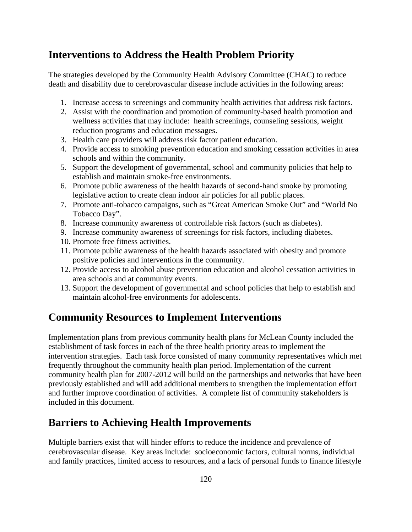# **Interventions to Address the Health Problem Priority**

The strategies developed by the Community Health Advisory Committee (CHAC) to reduce death and disability due to cerebrovascular disease include activities in the following areas:

- 1. Increase access to screenings and community health activities that address risk factors.
- 2. Assist with the coordination and promotion of community-based health promotion and wellness activities that may include: health screenings, counseling sessions, weight reduction programs and education messages.
- 3. Health care providers will address risk factor patient education.
- 4. Provide access to smoking prevention education and smoking cessation activities in area schools and within the community.
- 5. Support the development of governmental, school and community policies that help to establish and maintain smoke-free environments.
- 6. Promote public awareness of the health hazards of second-hand smoke by promoting legislative action to create clean indoor air policies for all public places.
- 7. Promote anti-tobacco campaigns, such as "Great American Smoke Out" and "World No Tobacco Day".
- 8. Increase community awareness of controllable risk factors (such as diabetes).
- 9. Increase community awareness of screenings for risk factors, including diabetes.
- 10. Promote free fitness activities.
- 11. Promote public awareness of the health hazards associated with obesity and promote positive policies and interventions in the community.
- 12. Provide access to alcohol abuse prevention education and alcohol cessation activities in area schools and at community events.
- 13. Support the development of governmental and school policies that help to establish and maintain alcohol-free environments for adolescents.

# **Community Resources to Implement Interventions**

Implementation plans from previous community health plans for McLean County included the establishment of task forces in each of the three health priority areas to implement the intervention strategies. Each task force consisted of many community representatives which met frequently throughout the community health plan period. Implementation of the current community health plan for 2007-2012 will build on the partnerships and networks that have been previously established and will add additional members to strengthen the implementation effort and further improve coordination of activities. A complete list of community stakeholders is included in this document.

# **Barriers to Achieving Health Improvements**

Multiple barriers exist that will hinder efforts to reduce the incidence and prevalence of cerebrovascular disease. Key areas include: socioeconomic factors, cultural norms, individual and family practices, limited access to resources, and a lack of personal funds to finance lifestyle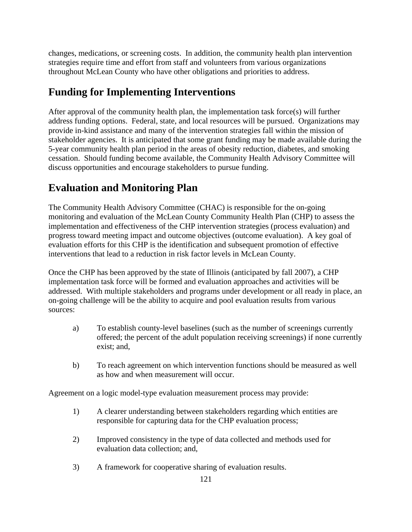changes, medications, or screening costs. In addition, the community health plan intervention strategies require time and effort from staff and volunteers from various organizations throughout McLean County who have other obligations and priorities to address.

# **Funding for Implementing Interventions**

After approval of the community health plan, the implementation task force(s) will further address funding options. Federal, state, and local resources will be pursued. Organizations may provide in-kind assistance and many of the intervention strategies fall within the mission of stakeholder agencies. It is anticipated that some grant funding may be made available during the 5-year community health plan period in the areas of obesity reduction, diabetes, and smoking cessation. Should funding become available, the Community Health Advisory Committee will discuss opportunities and encourage stakeholders to pursue funding.

# **Evaluation and Monitoring Plan**

The Community Health Advisory Committee (CHAC) is responsible for the on-going monitoring and evaluation of the McLean County Community Health Plan (CHP) to assess the implementation and effectiveness of the CHP intervention strategies (process evaluation) and progress toward meeting impact and outcome objectives (outcome evaluation). A key goal of evaluation efforts for this CHP is the identification and subsequent promotion of effective interventions that lead to a reduction in risk factor levels in McLean County.

Once the CHP has been approved by the state of Illinois (anticipated by fall 2007), a CHP implementation task force will be formed and evaluation approaches and activities will be addressed. With multiple stakeholders and programs under development or all ready in place, an on-going challenge will be the ability to acquire and pool evaluation results from various sources:

- a) To establish county-level baselines (such as the number of screenings currently offered; the percent of the adult population receiving screenings) if none currently exist; and,
- b) To reach agreement on which intervention functions should be measured as well as how and when measurement will occur.

Agreement on a logic model-type evaluation measurement process may provide:

- 1) A clearer understanding between stakeholders regarding which entities are responsible for capturing data for the CHP evaluation process;
- 2) Improved consistency in the type of data collected and methods used for evaluation data collection; and,
- 3) A framework for cooperative sharing of evaluation results.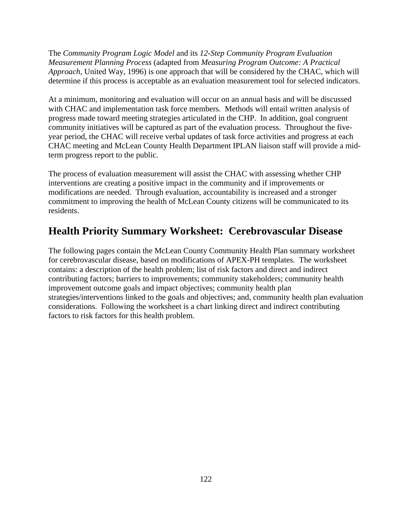The *Community Program Logic Model* and its *12-Step Community Program Evaluation Measurement Planning Process* (adapted from *Measuring Program Outcome: A Practical Approach*, United Way, 1996) is one approach that will be considered by the CHAC, which will determine if this process is acceptable as an evaluation measurement tool for selected indicators.

At a minimum, monitoring and evaluation will occur on an annual basis and will be discussed with CHAC and implementation task force members. Methods will entail written analysis of progress made toward meeting strategies articulated in the CHP. In addition, goal congruent community initiatives will be captured as part of the evaluation process. Throughout the fiveyear period, the CHAC will receive verbal updates of task force activities and progress at each CHAC meeting and McLean County Health Department IPLAN liaison staff will provide a midterm progress report to the public.

The process of evaluation measurement will assist the CHAC with assessing whether CHP interventions are creating a positive impact in the community and if improvements or modifications are needed. Through evaluation, accountability is increased and a stronger commitment to improving the health of McLean County citizens will be communicated to its residents.

# **Health Priority Summary Worksheet: Cerebrovascular Disease**

The following pages contain the McLean County Community Health Plan summary worksheet for cerebrovascular disease, based on modifications of APEX-PH templates. The worksheet contains: a description of the health problem; list of risk factors and direct and indirect contributing factors; barriers to improvements; community stakeholders; community health improvement outcome goals and impact objectives; community health plan strategies/interventions linked to the goals and objectives; and, community health plan evaluation considerations. Following the worksheet is a chart linking direct and indirect contributing factors to risk factors for this health problem.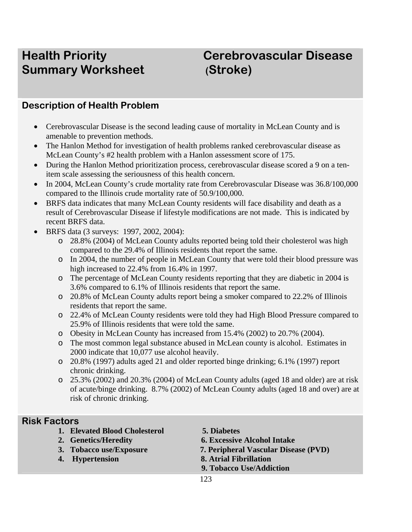# **Summary Worksheet (Stroke)**

# **Health Priority Cerebrovascular Disease**

# **Description of Health Problem**

- Cerebrovascular Disease is the second leading cause of mortality in McLean County and is amenable to prevention methods.
- The Hanlon Method for investigation of health problems ranked cerebrovascular disease as McLean County's #2 health problem with a Hanlon assessment score of 175.
- During the Hanlon Method prioritization process, cerebrovascular disease scored a 9 on a tenitem scale assessing the seriousness of this health concern.
- In 2004, McLean County's crude mortality rate from Cerebrovascular Disease was  $36.8/100,000$ compared to the Illinois crude mortality rate of 50.9/100,000.
- BRFS data indicates that many McLean County residents will face disability and death as a result of Cerebrovascular Disease if lifestyle modifications are not made. This is indicated by recent BRFS data.
- BRFS data (3 surveys: 1997, 2002, 2004):
	- o 28.8% (2004) of McLean County adults reported being told their cholesterol was high compared to the 29.4% of Illinois residents that report the same.
	- o In 2004, the number of people in McLean County that were told their blood pressure was high increased to 22.4% from 16.4% in 1997.
	- o The percentage of McLean County residents reporting that they are diabetic in 2004 is 3.6% compared to 6.1% of Illinois residents that report the same.
	- o 20.8% of McLean County adults report being a smoker compared to 22.2% of Illinois residents that report the same.
	- o 22.4% of McLean County residents were told they had High Blood Pressure compared to 25.9% of Illinois residents that were told the same.
	- o Obesity in McLean County has increased from 15.4% (2002) to 20.7% (2004).
	- o The most common legal substance abused in McLean county is alcohol. Estimates in 2000 indicate that 10,077 use alcohol heavily.
	- o 20.8% (1997) adults aged 21 and older reported binge drinking; 6.1% (1997) report chronic drinking.
	- o 25.3% (2002) and 20.3% (2004) of McLean County adults (aged 18 and older) are at risk of acute/binge drinking. 8.7% (2002) of McLean County adults (aged 18 and over) are at risk of chronic drinking.

# **Risk Factors**

- **1. Elevated Blood Cholesterol 5. Diabetes**
- 
- 
- 
- 
- **2. Genetics/Heredity 6. Excessive Alcohol Intake**
- **3. Tobacco use/Exposure 7. Peripheral Vascular Disease (PVD)**
- **4. Hypertension 8. Atrial Fibrillation** 
	- **9. Tobacco Use/Addiction**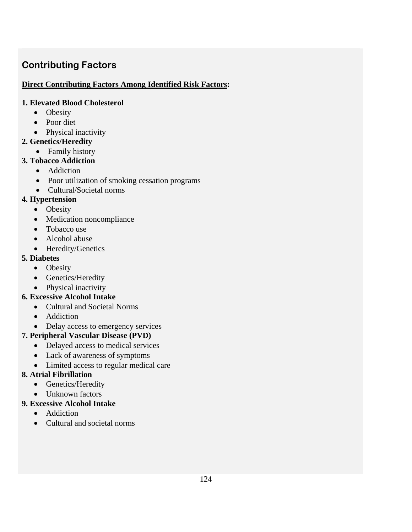# **Contributing Factors**

#### **Direct Contributing Factors Among Identified Risk Factors:**

#### **1. Elevated Blood Cholesterol**

- Obesity
- Poor diet
- Physical inactivity
- **2. Genetics/Heredity** 
	- Family history

# **3. Tobacco Addiction**

- Addiction
- Poor utilization of smoking cessation programs
- Cultural/Societal norms

# **4. Hypertension**

- Obesity
- Medication noncompliance
- Tobacco use
- Alcohol abuse
- Heredity/Genetics

# **5. Diabetes**

- Obesity
- Genetics/Heredity
- Physical inactivity

# **6. Excessive Alcohol Intake**

- Cultural and Societal Norms
- Addiction
- Delay access to emergency services

# **7. Peripheral Vascular Disease (PVD)**

- Delayed access to medical services
- Lack of awareness of symptoms
- Limited access to regular medical care

# **8. Atrial Fibrillation**

- Genetics/Heredity
- Unknown factors

# **9. Excessive Alcohol Intake**

- Addiction
- Cultural and societal norms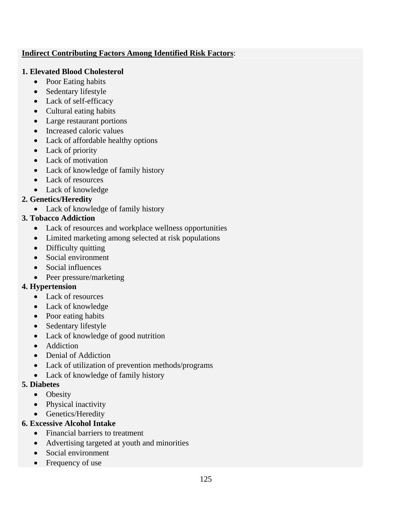#### **Indirect Contributing Factors Among Identified Risk Factors**:

#### **1. Elevated Blood Cholesterol**

- Poor Eating habits
- Sedentary lifestyle
- Lack of self-efficacy
- Cultural eating habits
- Large restaurant portions
- Increased caloric values
- Lack of affordable healthy options
- Lack of priority
- Lack of motivation
- Lack of knowledge of family history
- Lack of resources
- Lack of knowledge

# **2. Genetics/Heredity**

• Lack of knowledge of family history

# **3. Tobacco Addiction**

- Lack of resources and workplace wellness opportunities
- Limited marketing among selected at risk populations
- Difficulty quitting
- Social environment
- Social influences
- Peer pressure/marketing

# **4. Hypertension**

- Lack of resources
- Lack of knowledge
- Poor eating habits
- Sedentary lifestyle
- Lack of knowledge of good nutrition
- Addiction
- Denial of Addiction
- Lack of utilization of prevention methods/programs
- Lack of knowledge of family history

#### **5. Diabetes**

- Obesity
- Physical inactivity
- Genetics/Heredity

# **6. Excessive Alcohol Intake**

- Financial barriers to treatment
- Advertising targeted at youth and minorities
- Social environment
- Frequency of use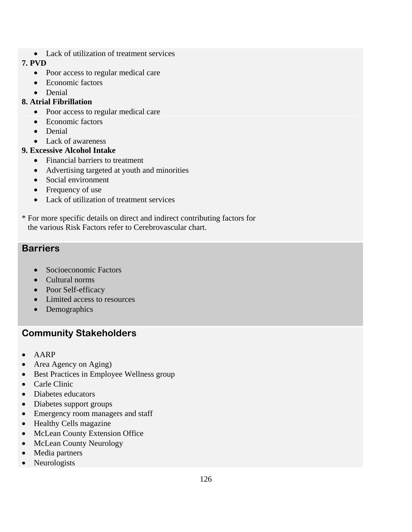• Lack of utilization of treatment services

#### **7. PVD**

- Poor access to regular medical care
- Economic factors
- Denial

# **8. Atrial Fibrillation**

- Poor access to regular medical care
- Economic factors
- Denial
- Lack of awareness

# **9. Excessive Alcohol Intake**

- Financial barriers to treatment
- Advertising targeted at youth and minorities
- Social environment
- Frequency of use
- Lack of utilization of treatment services
- \* For more specific details on direct and indirect contributing factors for the various Risk Factors refer to Cerebrovascular chart.

# **Barriers**

- Socioeconomic Factors
- Cultural norms
- Poor Self-efficacy
- Limited access to resources
- Demographics

# **Community Stakeholders**

- AARP
- Area Agency on Aging)
- Best Practices in Employee Wellness group
- Carle Clinic
- Diabetes educators
- Diabetes support groups
- Emergency room managers and staff
- Healthy Cells magazine
- McLean County Extension Office
- McLean County Neurology
- Media partners
- Neurologists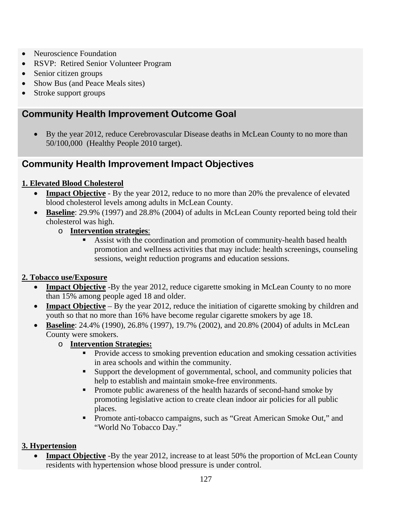- Neuroscience Foundation
- RSVP: Retired Senior Volunteer Program
- Senior citizen groups
- Show Bus (and Peace Meals sites)
- Stroke support groups

# **Community Health Improvement Outcome Goal**

• By the year 2012, reduce Cerebrovascular Disease deaths in McLean County to no more than 50/100,000 (Healthy People 2010 target).

# **Community Health Improvement Impact Objectives**

# **1. Elevated Blood Cholesterol**

- **Impact Objective** By the year 2012, reduce to no more than 20% the prevalence of elevated blood cholesterol levels among adults in McLean County.
- **Baseline**: 29.9% (1997) and 28.8% (2004) of adults in McLean County reported being told their cholesterol was high.
	- o **Intervention strategies**:
		- Assist with the coordination and promotion of community-health based health promotion and wellness activities that may include: health screenings, counseling sessions, weight reduction programs and education sessions.

# **2. Tobacco use/Exposure**

- **Impact Objective** -By the year 2012, reduce cigarette smoking in McLean County to no more than 15% among people aged 18 and older.
- **Impact Objective** By the year 2012, reduce the initiation of cigarette smoking by children and youth so that no more than 16% have become regular cigarette smokers by age 18.
- **Baseline**: 24.4% (1990), 26.8% (1997), 19.7% (2002), and 20.8% (2004) of adults in McLean County were smokers.
	- o **Intervention Strategies:** 
		- Provide access to smoking prevention education and smoking cessation activities in area schools and within the community.
		- Support the development of governmental, school, and community policies that help to establish and maintain smoke-free environments.
		- **Promote public awareness of the health hazards of second-hand smoke by** promoting legislative action to create clean indoor air policies for all public places.
		- **Promote anti-tobacco campaigns, such as "Great American Smoke Out," and** "World No Tobacco Day."

# **3. Hypertension**

**Impact Objective** -By the year 2012, increase to at least 50% the proportion of McLean County residents with hypertension whose blood pressure is under control.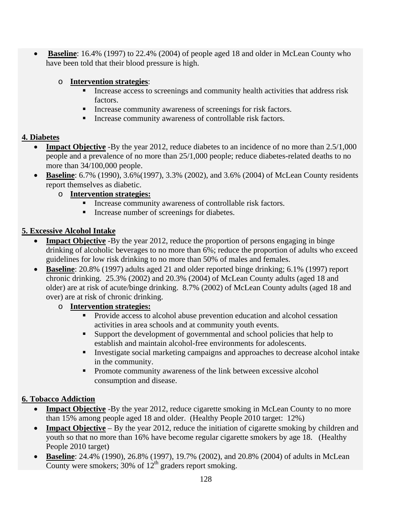• **Baseline**: 16.4% (1997) to 22.4% (2004) of people aged 18 and older in McLean County who have been told that their blood pressure is high.

#### o **Intervention strategies**:

- Increase access to screenings and community health activities that address risk factors.
- **Increase community awareness of screenings for risk factors.**
- **Increase community awareness of controllable risk factors.**

#### **4. Diabetes**

- **Impact Objective** -By the year 2012, reduce diabetes to an incidence of no more than 2.5/1,000 people and a prevalence of no more than 25/1,000 people; reduce diabetes-related deaths to no more than 34/100,000 people.
- **Baseline**: 6.7% (1990), 3.6%(1997), 3.3% (2002), and 3.6% (2004) of McLean County residents report themselves as diabetic.
	- o **Intervention strategies:** 
		- Increase community awareness of controllable risk factors.
		- Increase number of screenings for diabetes.

# **5. Excessive Alcohol Intake**

- **Impact Objective** -By the year 2012, reduce the proportion of persons engaging in binge drinking of alcoholic beverages to no more than 6%; reduce the proportion of adults who exceed guidelines for low risk drinking to no more than 50% of males and females.
- **Baseline**: 20.8% (1997) adults aged 21 and older reported binge drinking; 6.1% (1997) report chronic drinking. 25.3% (2002) and 20.3% (2004) of McLean County adults (aged 18 and older) are at risk of acute/binge drinking. 8.7% (2002) of McLean County adults (aged 18 and over) are at risk of chronic drinking.

#### o **Intervention strategies:**

- Provide access to alcohol abuse prevention education and alcohol cessation activities in area schools and at community youth events.
- Support the development of governmental and school policies that help to establish and maintain alcohol-free environments for adolescents.
- Investigate social marketing campaigns and approaches to decrease alcohol intake in the community.
- **Promote community awareness of the link between excessive alcohol** consumption and disease.

# **6. Tobacco Addiction**

- **Impact Objective** -By the year 2012, reduce cigarette smoking in McLean County to no more than 15% among people aged 18 and older. (Healthy People 2010 target: 12%)
- **Impact Objective** By the year 2012, reduce the initiation of cigarette smoking by children and youth so that no more than 16% have become regular cigarette smokers by age 18. (Healthy People 2010 target)
- **Baseline**: 24.4% (1990), 26.8% (1997), 19.7% (2002), and 20.8% (2004) of adults in McLean County were smokers;  $30\%$  of  $12<sup>th</sup>$  graders report smoking.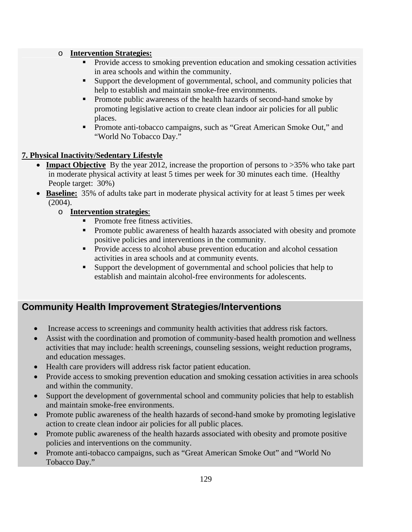#### o **Intervention Strategies:**

- Provide access to smoking prevention education and smoking cessation activities in area schools and within the community.
- Support the development of governmental, school, and community policies that help to establish and maintain smoke-free environments.
- **Promote public awareness of the health hazards of second-hand smoke by** promoting legislative action to create clean indoor air policies for all public places.
- **Promote anti-tobacco campaigns, such as "Great American Smoke Out," and** "World No Tobacco Day."

#### **7. Physical Inactivity/Sedentary Lifestyle**

- **Impact Objective** By the year 2012, increase the proportion of persons to >35% who take part in moderate physical activity at least 5 times per week for 30 minutes each time. (Healthy People target: 30%)
- **Baseline:** 35% of adults take part in moderate physical activity for at least 5 times per week (2004).
	- o **Intervention strategies**:
		- Promote free fitness activities.
		- Promote public awareness of health hazards associated with obesity and promote positive policies and interventions in the community.
		- Provide access to alcohol abuse prevention education and alcohol cessation activities in area schools and at community events.
		- Support the development of governmental and school policies that help to establish and maintain alcohol-free environments for adolescents.

# **Community Health Improvement Strategies/Interventions**

- Increase access to screenings and community health activities that address risk factors.
- Assist with the coordination and promotion of community-based health promotion and wellness activities that may include: health screenings, counseling sessions, weight reduction programs, and education messages.
- Health care providers will address risk factor patient education.
- Provide access to smoking prevention education and smoking cessation activities in area schools and within the community.
- Support the development of governmental school and community policies that help to establish and maintain smoke-free environments.
- Promote public awareness of the health hazards of second-hand smoke by promoting legislative action to create clean indoor air policies for all public places.
- Promote public awareness of the health hazards associated with obesity and promote positive policies and interventions on the community.
- Promote anti-tobacco campaigns, such as "Great American Smoke Out" and "World No Tobacco Day."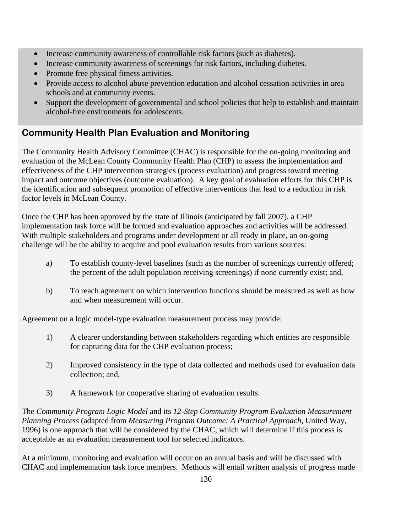- Increase community awareness of controllable risk factors (such as diabetes).
- Increase community awareness of screenings for risk factors, including diabetes.
- Promote free physical fitness activities.
- Provide access to alcohol abuse prevention education and alcohol cessation activities in area schools and at community events.
- Support the development of governmental and school policies that help to establish and maintain alcohol-free environments for adolescents.

# **Community Health Plan Evaluation and Monitoring**

The Community Health Advisory Committee (CHAC) is responsible for the on-going monitoring and evaluation of the McLean County Community Health Plan (CHP) to assess the implementation and effectiveness of the CHP intervention strategies (process evaluation) and progress toward meeting impact and outcome objectives (outcome evaluation). A key goal of evaluation efforts for this CHP is the identification and subsequent promotion of effective interventions that lead to a reduction in risk factor levels in McLean County.

Once the CHP has been approved by the state of Illinois (anticipated by fall 2007), a CHP implementation task force will be formed and evaluation approaches and activities will be addressed. With multiple stakeholders and programs under development or all ready in place, an on-going challenge will be the ability to acquire and pool evaluation results from various sources:

- a) To establish county-level baselines (such as the number of screenings currently offered; the percent of the adult population receiving screenings) if none currently exist; and,
- b) To reach agreement on which intervention functions should be measured as well as how and when measurement will occur.

Agreement on a logic model-type evaluation measurement process may provide:

- 1) A clearer understanding between stakeholders regarding which entities are responsible for capturing data for the CHP evaluation process;
- 2) Improved consistency in the type of data collected and methods used for evaluation data collection; and,
- 3) A framework for cooperative sharing of evaluation results.

The *Community Program Logic Model* and its *12-Step Community Program Evaluation Measurement Planning Process* (adapted from *Measuring Program Outcome: A Practical Approach*, United Way, 1996) is one approach that will be considered by the CHAC, which will determine if this process is acceptable as an evaluation measurement tool for selected indicators.

At a minimum, monitoring and evaluation will occur on an annual basis and will be discussed with CHAC and implementation task force members. Methods will entail written analysis of progress made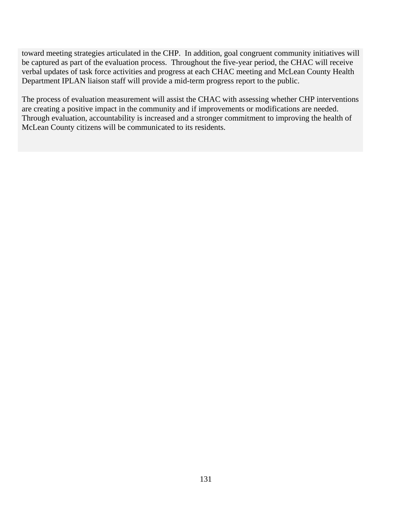toward meeting strategies articulated in the CHP. In addition, goal congruent community initiatives will be captured as part of the evaluation process. Throughout the five-year period, the CHAC will receive verbal updates of task force activities and progress at each CHAC meeting and McLean County Health Department IPLAN liaison staff will provide a mid-term progress report to the public.

The process of evaluation measurement will assist the CHAC with assessing whether CHP interventions are creating a positive impact in the community and if improvements or modifications are needed. Through evaluation, accountability is increased and a stronger commitment to improving the health of McLean County citizens will be communicated to its residents.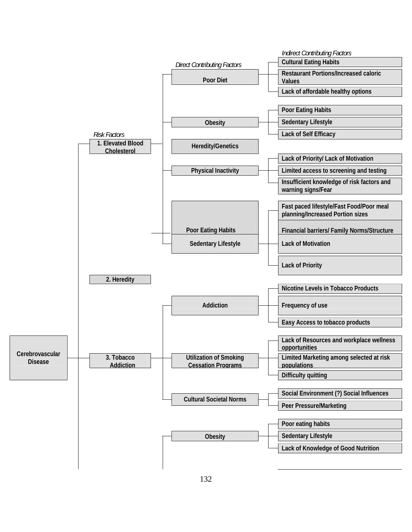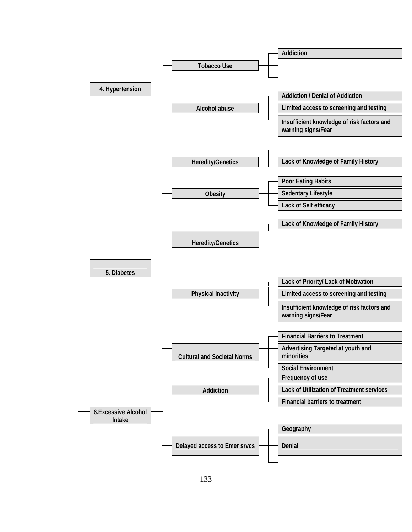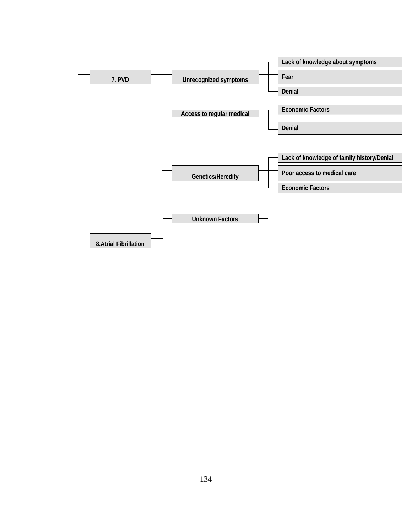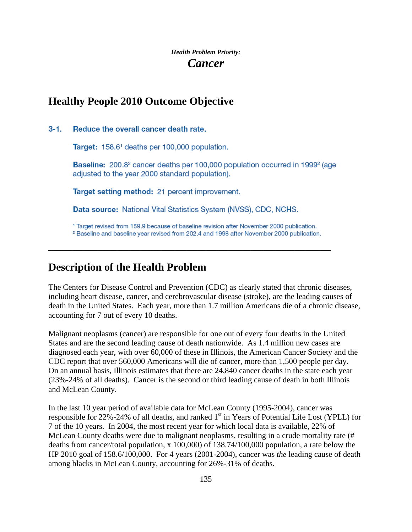# *Health Problem Priority: Cancer*

# **Healthy People 2010 Outcome Objective**

#### $3 - 1$ . Reduce the overall cancer death rate.

Target: 158.6<sup>1</sup> deaths per 100,000 population.

Baseline: 200.8<sup>2</sup> cancer deaths per 100,000 population occurred in 1999<sup>2</sup> (age adjusted to the year 2000 standard population).

Target setting method: 21 percent improvement.

Data source: National Vital Statistics System (NVSS), CDC, NCHS.

<sup>1</sup> Target revised from 159.9 because of baseline revision after November 2000 publication.

<sup>2</sup> Baseline and baseline year revised from 202.4 and 1998 after November 2000 publication.

**\_\_\_\_\_\_\_\_\_\_\_\_\_\_\_\_\_\_\_\_\_\_\_\_\_\_\_\_\_\_\_\_\_\_\_\_\_\_\_\_\_\_\_\_\_\_\_\_\_\_\_\_\_\_\_\_\_\_\_\_\_\_\_\_\_\_\_\_\_\_** 

# **Description of the Health Problem**

The Centers for Disease Control and Prevention (CDC) as clearly stated that chronic diseases, including heart disease, cancer, and cerebrovascular disease (stroke), are the leading causes of death in the United States. Each year, more than 1.7 million Americans die of a chronic disease, accounting for 7 out of every 10 deaths.

Malignant neoplasms (cancer) are responsible for one out of every four deaths in the United States and are the second leading cause of death nationwide. As 1.4 million new cases are diagnosed each year, with over 60,000 of these in Illinois, the American Cancer Society and the CDC report that over 560,000 Americans will die of cancer, more than 1,500 people per day. On an annual basis, Illinois estimates that there are 24,840 cancer deaths in the state each year (23%-24% of all deaths). Cancer is the second or third leading cause of death in both Illinois and McLean County.

In the last 10 year period of available data for McLean County (1995-2004), cancer was responsible for 22%-24% of all deaths, and ranked 1<sup>st</sup> in Years of Potential Life Lost (YPLL) for 7 of the 10 years. In 2004, the most recent year for which local data is available, 22% of McLean County deaths were due to malignant neoplasms, resulting in a crude mortality rate (# deaths from cancer/total population, x 100,000) of 138.74/100,000 population, a rate below the HP 2010 goal of 158.6/100,000. For 4 years (2001-2004), cancer was *the* leading cause of death among blacks in McLean County, accounting for 26%-31% of deaths.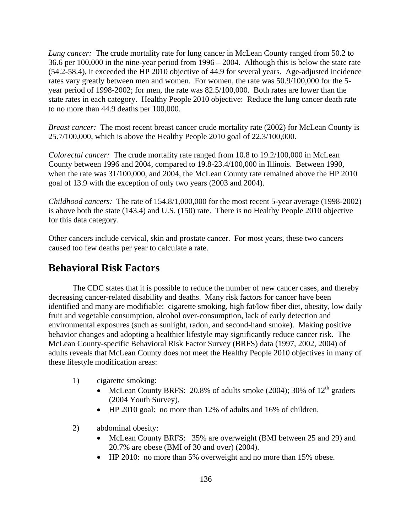*Lung cancer:* The crude mortality rate for lung cancer in McLean County ranged from 50.2 to 36.6 per 100,000 in the nine-year period from 1996 – 2004. Although this is below the state rate (54.2-58.4), it exceeded the HP 2010 objective of 44.9 for several years. Age-adjusted incidence rates vary greatly between men and women. For women, the rate was 50.9/100,000 for the 5 year period of 1998-2002; for men, the rate was 82.5/100,000. Both rates are lower than the state rates in each category. Healthy People 2010 objective: Reduce the lung cancer death rate to no more than 44.9 deaths per 100,000.

*Breast cancer:* The most recent breast cancer crude mortality rate (2002) for McLean County is 25.7/100,000, which is above the Healthy People 2010 goal of 22.3/100,000.

*Colorectal cancer:* The crude mortality rate ranged from 10.8 to 19.2/100,000 in McLean County between 1996 and 2004, compared to 19.8-23.4/100,000 in Illinois. Between 1990, when the rate was 31/100,000, and 2004, the McLean County rate remained above the HP 2010 goal of 13.9 with the exception of only two years (2003 and 2004).

*Childhood cancers:* The rate of 154.8/1,000,000 for the most recent 5-year average (1998-2002) is above both the state (143.4) and U.S. (150) rate. There is no Healthy People 2010 objective for this data category.

Other cancers include cervical, skin and prostate cancer. For most years, these two cancers caused too few deaths per year to calculate a rate.

# **Behavioral Risk Factors**

The CDC states that it is possible to reduce the number of new cancer cases, and thereby decreasing cancer-related disability and deaths. Many risk factors for cancer have been identified and many are modifiable: cigarette smoking, high fat/low fiber diet, obesity, low daily fruit and vegetable consumption, alcohol over-consumption, lack of early detection and environmental exposures (such as sunlight, radon, and second-hand smoke). Making positive behavior changes and adopting a healthier lifestyle may significantly reduce cancer risk. The McLean County-specific Behavioral Risk Factor Survey (BRFS) data (1997, 2002, 2004) of adults reveals that McLean County does not meet the Healthy People 2010 objectives in many of these lifestyle modification areas:

- 1) cigarette smoking:
	- McLean County BRFS: 20.8% of adults smoke (2004); 30% of  $12<sup>th</sup>$  graders (2004 Youth Survey).
	- HP 2010 goal: no more than 12% of adults and 16% of children.
- 2) abdominal obesity:
	- McLean County BRFS: 35% are overweight (BMI between 25 and 29) and 20.7% are obese (BMI of 30 and over) (2004).
	- HP 2010: no more than 5% overweight and no more than 15% obese.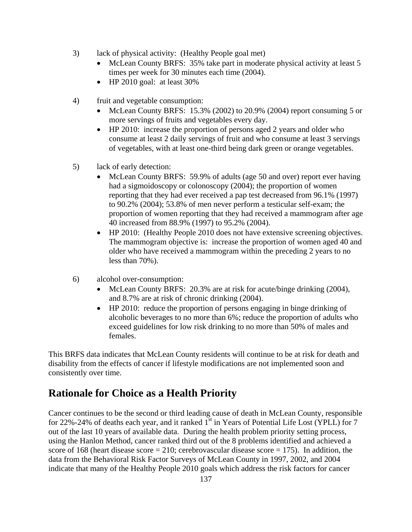- 3) lack of physical activity: (Healthy People goal met)
	- McLean County BRFS: 35% take part in moderate physical activity at least 5 times per week for 30 minutes each time (2004).
	- HP 2010 goal: at least 30%
- 4) fruit and vegetable consumption:
	- McLean County BRFS: 15.3% (2002) to 20.9% (2004) report consuming 5 or more servings of fruits and vegetables every day.
	- HP 2010: increase the proportion of persons aged 2 years and older who consume at least 2 daily servings of fruit and who consume at least 3 servings of vegetables, with at least one-third being dark green or orange vegetables.
- 5) lack of early detection:
	- McLean County BRFS: 59.9% of adults (age 50 and over) report ever having had a sigmoidoscopy or colonoscopy (2004); the proportion of women reporting that they had ever received a pap test decreased from 96.1% (1997) to 90.2% (2004); 53.8% of men never perform a testicular self-exam; the proportion of women reporting that they had received a mammogram after age 40 increased from 88.9% (1997) to 95.2% (2004).
	- HP 2010: (Healthy People 2010 does not have extensive screening objectives. The mammogram objective is: increase the proportion of women aged 40 and older who have received a mammogram within the preceding 2 years to no less than 70%).
- 6) alcohol over-consumption:
	- McLean County BRFS: 20.3% are at risk for acute/binge drinking (2004), and 8.7% are at risk of chronic drinking (2004).
	- HP 2010: reduce the proportion of persons engaging in binge drinking of alcoholic beverages to no more than 6%; reduce the proportion of adults who exceed guidelines for low risk drinking to no more than 50% of males and females.

This BRFS data indicates that McLean County residents will continue to be at risk for death and disability from the effects of cancer if lifestyle modifications are not implemented soon and consistently over time.

# **Rationale for Choice as a Health Priority**

Cancer continues to be the second or third leading cause of death in McLean County, responsible for 22%-24% of deaths each year, and it ranked  $1<sup>st</sup>$  in Years of Potential Life Lost (YPLL) for 7 out of the last 10 years of available data. During the health problem priority setting process, using the Hanlon Method, cancer ranked third out of the 8 problems identified and achieved a score of 168 (heart disease score  $= 210$ ; cerebrovascular disease score  $= 175$ ). In addition, the data from the Behavioral Risk Factor Surveys of McLean County in 1997, 2002, and 2004 indicate that many of the Healthy People 2010 goals which address the risk factors for cancer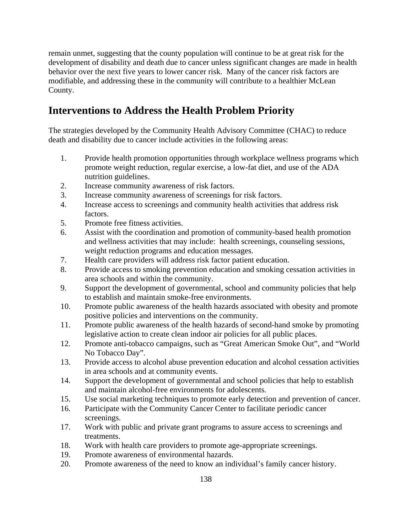remain unmet, suggesting that the county population will continue to be at great risk for the development of disability and death due to cancer unless significant changes are made in health behavior over the next five years to lower cancer risk. Many of the cancer risk factors are modifiable, and addressing these in the community will contribute to a healthier McLean County.

# **Interventions to Address the Health Problem Priority**

The strategies developed by the Community Health Advisory Committee (CHAC) to reduce death and disability due to cancer include activities in the following areas:

- 1. Provide health promotion opportunities through workplace wellness programs which promote weight reduction, regular exercise, a low-fat diet, and use of the ADA nutrition guidelines.
- 2. Increase community awareness of risk factors.
- 3. Increase community awareness of screenings for risk factors.
- 4. Increase access to screenings and community health activities that address risk factors.
- 5. Promote free fitness activities.
- 6. Assist with the coordination and promotion of community-based health promotion and wellness activities that may include: health screenings, counseling sessions, weight reduction programs and education messages.
- 7. Health care providers will address risk factor patient education.
- 8. Provide access to smoking prevention education and smoking cessation activities in area schools and within the community.
- 9. Support the development of governmental, school and community policies that help to establish and maintain smoke-free environments.
- 10. Promote public awareness of the health hazards associated with obesity and promote positive policies and interventions on the community.
- 11. Promote public awareness of the health hazards of second-hand smoke by promoting legislative action to create clean indoor air policies for all public places.
- 12. Promote anti-tobacco campaigns, such as "Great American Smoke Out", and "World No Tobacco Day".
- 13. Provide access to alcohol abuse prevention education and alcohol cessation activities in area schools and at community events.
- 14. Support the development of governmental and school policies that help to establish and maintain alcohol-free environments for adolescents.
- 15. Use social marketing techniques to promote early detection and prevention of cancer.
- 16. Participate with the Community Cancer Center to facilitate periodic cancer screenings.
- 17. Work with public and private grant programs to assure access to screenings and treatments.
- 18. Work with health care providers to promote age-appropriate screenings.
- 19. Promote awareness of environmental hazards.
- 20. Promote awareness of the need to know an individual's family cancer history.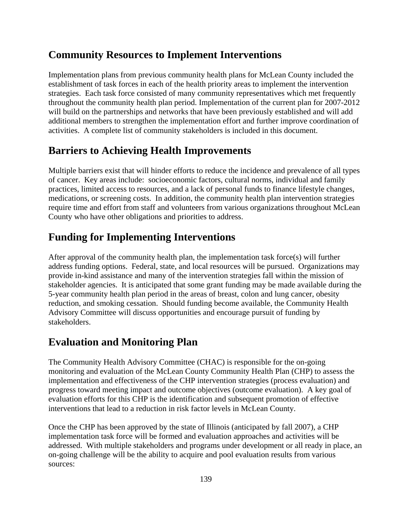# **Community Resources to Implement Interventions**

Implementation plans from previous community health plans for McLean County included the establishment of task forces in each of the health priority areas to implement the intervention strategies. Each task force consisted of many community representatives which met frequently throughout the community health plan period. Implementation of the current plan for 2007-2012 will build on the partnerships and networks that have been previously established and will add additional members to strengthen the implementation effort and further improve coordination of activities. A complete list of community stakeholders is included in this document.

# **Barriers to Achieving Health Improvements**

Multiple barriers exist that will hinder efforts to reduce the incidence and prevalence of all types of cancer. Key areas include: socioeconomic factors, cultural norms, individual and family practices, limited access to resources, and a lack of personal funds to finance lifestyle changes, medications, or screening costs. In addition, the community health plan intervention strategies require time and effort from staff and volunteers from various organizations throughout McLean County who have other obligations and priorities to address.

# **Funding for Implementing Interventions**

After approval of the community health plan, the implementation task force(s) will further address funding options. Federal, state, and local resources will be pursued. Organizations may provide in-kind assistance and many of the intervention strategies fall within the mission of stakeholder agencies. It is anticipated that some grant funding may be made available during the 5-year community health plan period in the areas of breast, colon and lung cancer, obesity reduction, and smoking cessation. Should funding become available, the Community Health Advisory Committee will discuss opportunities and encourage pursuit of funding by stakeholders.

# **Evaluation and Monitoring Plan**

The Community Health Advisory Committee (CHAC) is responsible for the on-going monitoring and evaluation of the McLean County Community Health Plan (CHP) to assess the implementation and effectiveness of the CHP intervention strategies (process evaluation) and progress toward meeting impact and outcome objectives (outcome evaluation). A key goal of evaluation efforts for this CHP is the identification and subsequent promotion of effective interventions that lead to a reduction in risk factor levels in McLean County.

Once the CHP has been approved by the state of Illinois (anticipated by fall 2007), a CHP implementation task force will be formed and evaluation approaches and activities will be addressed. With multiple stakeholders and programs under development or all ready in place, an on-going challenge will be the ability to acquire and pool evaluation results from various sources: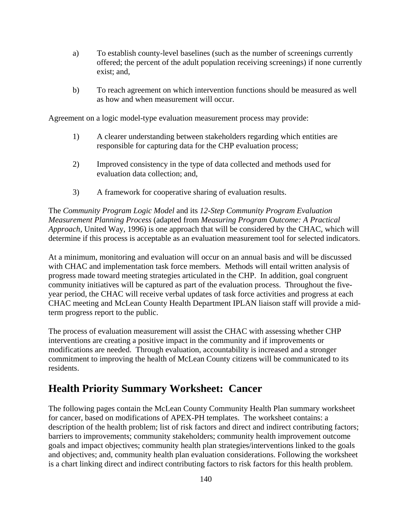- a) To establish county-level baselines (such as the number of screenings currently offered; the percent of the adult population receiving screenings) if none currently exist; and,
- b) To reach agreement on which intervention functions should be measured as well as how and when measurement will occur.

Agreement on a logic model-type evaluation measurement process may provide:

- 1) A clearer understanding between stakeholders regarding which entities are responsible for capturing data for the CHP evaluation process;
- 2) Improved consistency in the type of data collected and methods used for evaluation data collection; and,
- 3) A framework for cooperative sharing of evaluation results.

The *Community Program Logic Model* and its *12-Step Community Program Evaluation Measurement Planning Process* (adapted from *Measuring Program Outcome: A Practical Approach*, United Way, 1996) is one approach that will be considered by the CHAC, which will determine if this process is acceptable as an evaluation measurement tool for selected indicators.

At a minimum, monitoring and evaluation will occur on an annual basis and will be discussed with CHAC and implementation task force members. Methods will entail written analysis of progress made toward meeting strategies articulated in the CHP. In addition, goal congruent community initiatives will be captured as part of the evaluation process. Throughout the fiveyear period, the CHAC will receive verbal updates of task force activities and progress at each CHAC meeting and McLean County Health Department IPLAN liaison staff will provide a midterm progress report to the public.

The process of evaluation measurement will assist the CHAC with assessing whether CHP interventions are creating a positive impact in the community and if improvements or modifications are needed. Through evaluation, accountability is increased and a stronger commitment to improving the health of McLean County citizens will be communicated to its residents.

# **Health Priority Summary Worksheet: Cancer**

The following pages contain the McLean County Community Health Plan summary worksheet for cancer, based on modifications of APEX-PH templates. The worksheet contains: a description of the health problem; list of risk factors and direct and indirect contributing factors; barriers to improvements; community stakeholders; community health improvement outcome goals and impact objectives; community health plan strategies/interventions linked to the goals and objectives; and, community health plan evaluation considerations. Following the worksheet is a chart linking direct and indirect contributing factors to risk factors for this health problem.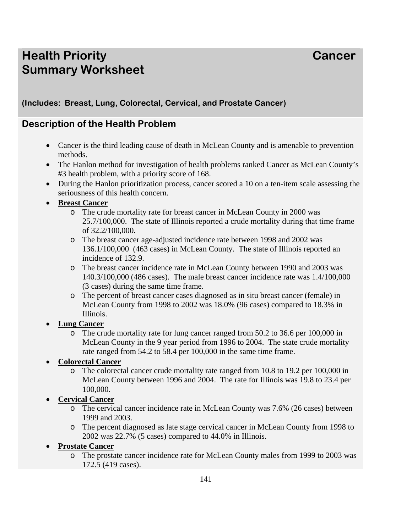# **Health Priority Cancer According Cancer Cancer Summary Worksheet**

# **(Includes: Breast, Lung, Colorectal, Cervical, and Prostate Cancer)**

# **Description of the Health Problem**

- Cancer is the third leading cause of death in McLean County and is amenable to prevention methods.
- The Hanlon method for investigation of health problems ranked Cancer as McLean County's #3 health problem, with a priority score of 168.
- During the Hanlon prioritization process, cancer scored a 10 on a ten-item scale assessing the seriousness of this health concern.

#### • **Breast Cancer**

- o The crude mortality rate for breast cancer in McLean County in 2000 was 25.7/100,000. The state of Illinois reported a crude mortality during that time frame of 32.2/100,000.
- o The breast cancer age-adjusted incidence rate between 1998 and 2002 was 136.1/100,000 (463 cases) in McLean County. The state of Illinois reported an incidence of 132.9.
- o The breast cancer incidence rate in McLean County between 1990 and 2003 was 140.3/100,000 (486 cases). The male breast cancer incidence rate was 1.4/100,000 (3 cases) during the same time frame.
- o The percent of breast cancer cases diagnosed as in situ breast cancer (female) in McLean County from 1998 to 2002 was 18.0% (96 cases) compared to 18.3% in Illinois.
- **Lung Cancer** 
	- o The crude mortality rate for lung cancer ranged from 50.2 to 36.6 per 100,000 in McLean County in the 9 year period from 1996 to 2004. The state crude mortality rate ranged from 54.2 to 58.4 per 100,000 in the same time frame.
- **Colorectal Cancer** 
	- o The colorectal cancer crude mortality rate ranged from 10.8 to 19.2 per 100,000 in McLean County between 1996 and 2004. The rate for Illinois was 19.8 to 23.4 per 100,000.
- **Cervical Cancer** 
	- o The cervical cancer incidence rate in McLean County was 7.6% (26 cases) between 1999 and 2003.
	- o The percent diagnosed as late stage cervical cancer in McLean County from 1998 to 2002 was 22.7% (5 cases) compared to 44.0% in Illinois.
- **Prostate Cancer** 
	- o The prostate cancer incidence rate for McLean County males from 1999 to 2003 was 172.5 (419 cases).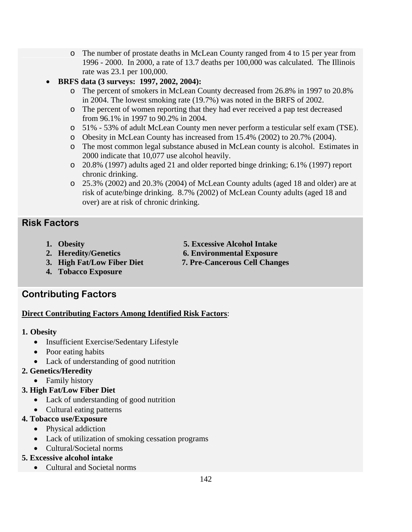- o The number of prostate deaths in McLean County ranged from 4 to 15 per year from 1996 - 2000. In 2000, a rate of 13.7 deaths per 100,000 was calculated. The Illinois rate was 23.1 per 100,000.
- **BRFS data (3 surveys: 1997, 2002, 2004):** 
	- o The percent of smokers in McLean County decreased from 26.8% in 1997 to 20.8% in 2004. The lowest smoking rate (19.7%) was noted in the BRFS of 2002.
	- o The percent of women reporting that they had ever received a pap test decreased from 96.1% in 1997 to 90.2% in 2004.
	- o 51% 53% of adult McLean County men never perform a testicular self exam (TSE).
	- o Obesity in McLean County has increased from 15.4% (2002) to 20.7% (2004).
	- o The most common legal substance abused in McLean county is alcohol. Estimates in 2000 indicate that 10,077 use alcohol heavily.
	- o 20.8% (1997) adults aged 21 and older reported binge drinking; 6.1% (1997) report chronic drinking.
	- o 25.3% (2002) and 20.3% (2004) of McLean County adults (aged 18 and older) are at risk of acute/binge drinking. 8.7% (2002) of McLean County adults (aged 18 and over) are at risk of chronic drinking.

# **Risk Factors**

- 
- **1. Obesity 5. Excessive Alcohol Intake**
- **2. Heredity/Genetics 6. Environmental Exposure**
- **3. High Fat/Low Fiber Diet 7. Pre-Cancerous Cell Changes**
- **4. Tobacco Exposure**

# **Contributing Factors**

#### **Direct Contributing Factors Among Identified Risk Factors**:

#### **1. Obesity**

- Insufficient Exercise/Sedentary Lifestyle
- Poor eating habits
- Lack of understanding of good nutrition

#### **2. Genetics/Heredity**

• Family history

#### **3. High Fat/Low Fiber Diet**

- Lack of understanding of good nutrition
- Cultural eating patterns

#### **4. Tobacco use/Exposure**

- Physical addiction
- Lack of utilization of smoking cessation programs
- Cultural/Societal norms

# **5. Excessive alcohol intake**

• Cultural and Societal norms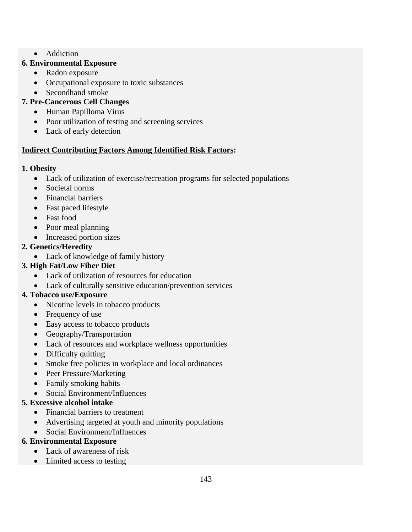• Addiction

#### **6. Environmental Exposure**

- Radon exposure
- Occupational exposure to toxic substances
- Secondhand smoke

# **7. Pre-Cancerous Cell Changes**

- Human Papilloma Virus
- Poor utilization of testing and screening services
- Lack of early detection

# **Indirect Contributing Factors Among Identified Risk Factors:**

# **1. Obesity**

- Lack of utilization of exercise/recreation programs for selected populations
- Societal norms
- Financial barriers
- Fast paced lifestyle
- Fast food
- Poor meal planning
- Increased portion sizes

# **2. Genetics/Heredity**

• Lack of knowledge of family history

# **3. High Fat/Low Fiber Diet**

- Lack of utilization of resources for education
- Lack of culturally sensitive education/prevention services

# **4. Tobacco use/Exposure**

- Nicotine levels in tobacco products
- Frequency of use
- Easy access to tobacco products
- Geography/Transportation
- Lack of resources and workplace wellness opportunities
- Difficulty quitting
- Smoke free policies in workplace and local ordinances
- Peer Pressure/Marketing
- Family smoking habits
- Social Environment/Influences

# **5. Excessive alcohol intake**

- Financial barriers to treatment
- Advertising targeted at youth and minority populations
- Social Environment/Influences

# **6. Environmental Exposure**

- Lack of awareness of risk
- Limited access to testing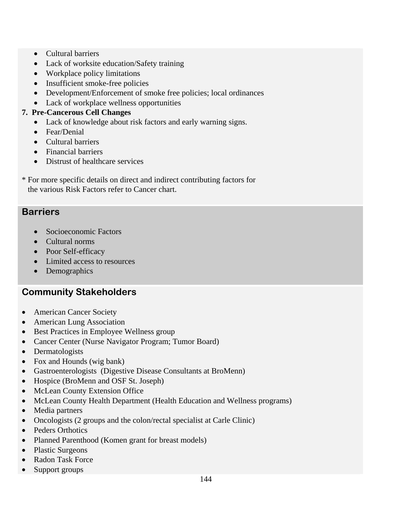- Cultural barriers
- Lack of worksite education/Safety training
- Workplace policy limitations
- Insufficient smoke-free policies
- Development/Enforcement of smoke free policies; local ordinances
- Lack of workplace wellness opportunities

#### **7. Pre-Cancerous Cell Changes**

- Lack of knowledge about risk factors and early warning signs.
- Fear/Denial
- Cultural barriers
- Financial barriers
- Distrust of healthcare services
- \* For more specific details on direct and indirect contributing factors for the various Risk Factors refer to Cancer chart.

## **Barriers**

- Socioeconomic Factors
- Cultural norms
- Poor Self-efficacy
- Limited access to resources
- Demographics

# **Community Stakeholders**

- American Cancer Society
- American Lung Association
- Best Practices in Employee Wellness group
- Cancer Center (Nurse Navigator Program; Tumor Board)
- Dermatologists
- Fox and Hounds (wig bank)
- Gastroenterologists (Digestive Disease Consultants at BroMenn)
- Hospice (BroMenn and OSF St. Joseph)
- McLean County Extension Office
- McLean County Health Department (Health Education and Wellness programs)
- Media partners
- Oncologists (2 groups and the colon/rectal specialist at Carle Clinic)
- Peders Orthotics
- Planned Parenthood (Komen grant for breast models)
- Plastic Surgeons
- Radon Task Force
- Support groups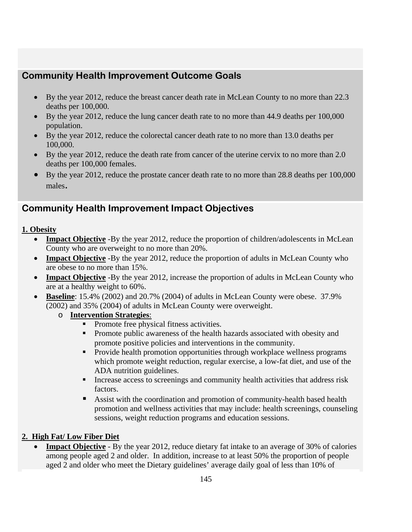# **Community Health Improvement Outcome Goals**

- By the year 2012, reduce the breast cancer death rate in McLean County to no more than 22.3 deaths per 100,000.
- By the year 2012, reduce the lung cancer death rate to no more than 44.9 deaths per 100,000 population.
- By the year 2012, reduce the colorectal cancer death rate to no more than 13.0 deaths per 100,000.
- By the year 2012, reduce the death rate from cancer of the uterine cervix to no more than 2.0 deaths per 100,000 females.
- By the year 2012, reduce the prostate cancer death rate to no more than 28.8 deaths per 100,000 males**.**

# **Community Health Improvement Impact Objectives**

#### **1. Obesity**

- **Impact Objective** -By the year 2012, reduce the proportion of children/adolescents in McLean County who are overweight to no more than 20%.
- **Impact Objective** -By the year 2012, reduce the proportion of adults in McLean County who are obese to no more than 15%.
- **Impact Objective** -By the year 2012, increase the proportion of adults in McLean County who are at a healthy weight to 60%.
- **Baseline**: 15.4% (2002) and 20.7% (2004) of adults in McLean County were obese. 37.9% (2002) and 35% (2004) of adults in McLean County were overweight.
	- o **Intervention Strategies**:
		- Promote free physical fitness activities.
		- **Promote public awareness of the health hazards associated with obesity and** promote positive policies and interventions in the community.
		- **Provide health promotion opportunities through workplace wellness programs** which promote weight reduction, regular exercise, a low-fat diet, and use of the ADA nutrition guidelines.
		- Increase access to screenings and community health activities that address risk factors.
		- Assist with the coordination and promotion of community-health based health promotion and wellness activities that may include: health screenings, counseling sessions, weight reduction programs and education sessions.

#### **2. High Fat/ Low Fiber Diet**

**Impact Objective** - By the year 2012, reduce dietary fat intake to an average of 30% of calories among people aged 2 and older. In addition, increase to at least 50% the proportion of people aged 2 and older who meet the Dietary guidelines' average daily goal of less than 10% of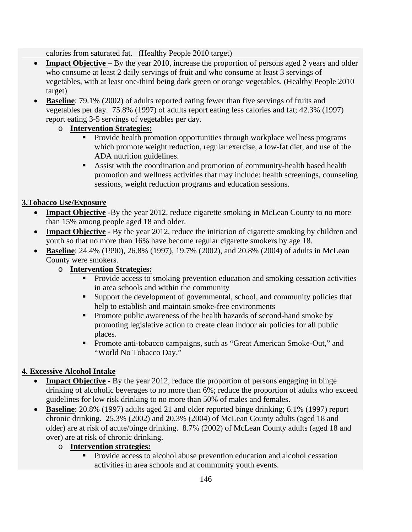calories from saturated fat. (Healthy People 2010 target)

- **Impact Objective** By the year 2010, increase the proportion of persons aged 2 years and older who consume at least 2 daily servings of fruit and who consume at least 3 servings of vegetables, with at least one-third being dark green or orange vegetables. (Healthy People 2010 target)
- **Baseline**: 79.1% (2002) of adults reported eating fewer than five servings of fruits and vegetables per day. 75.8% (1997) of adults report eating less calories and fat; 42.3% (1997) report eating 3-5 servings of vegetables per day.

### o **Intervention Strategies:**

- **Provide health promotion opportunities through workplace wellness programs** which promote weight reduction, regular exercise, a low-fat diet, and use of the ADA nutrition guidelines.
- Assist with the coordination and promotion of community-health based health promotion and wellness activities that may include: health screenings, counseling sessions, weight reduction programs and education sessions.

## **3.Tobacco Use/Exposure**

- **Impact Objective** -By the year 2012, reduce cigarette smoking in McLean County to no more than 15% among people aged 18 and older.
- **Impact Objective** By the year 2012, reduce the initiation of cigarette smoking by children and youth so that no more than 16% have become regular cigarette smokers by age 18.
- **Baseline**: 24.4% (1990), 26.8% (1997), 19.7% (2002), and 20.8% (2004) of adults in McLean County were smokers.

### o **Intervention Strategies:**

- **Provide access to smoking prevention education and smoking cessation activities** in area schools and within the community
- Support the development of governmental, school, and community policies that help to establish and maintain smoke-free environments
- **Promote public awareness of the health hazards of second-hand smoke by** promoting legislative action to create clean indoor air policies for all public places.
- **Promote anti-tobacco campaigns, such as "Great American Smoke-Out," and** "World No Tobacco Day."

## **4. Excessive Alcohol Intake**

- **Impact Objective** By the year 2012, reduce the proportion of persons engaging in binge drinking of alcoholic beverages to no more than 6%; reduce the proportion of adults who exceed guidelines for low risk drinking to no more than 50% of males and females.
- **Baseline**: 20.8% (1997) adults aged 21 and older reported binge drinking; 6.1% (1997) report chronic drinking. 25.3% (2002) and 20.3% (2004) of McLean County adults (aged 18 and older) are at risk of acute/binge drinking. 8.7% (2002) of McLean County adults (aged 18 and over) are at risk of chronic drinking.

## o **Intervention strategies:**

 Provide access to alcohol abuse prevention education and alcohol cessation activities in area schools and at community youth events.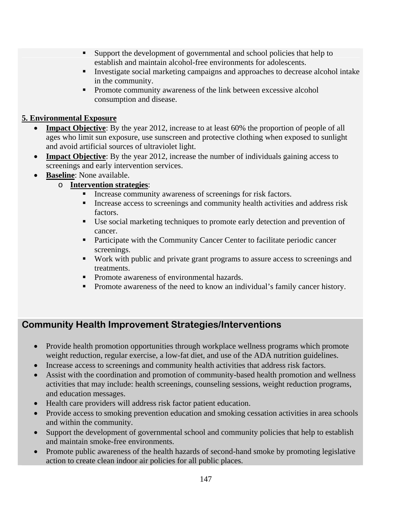- Support the development of governmental and school policies that help to establish and maintain alcohol-free environments for adolescents.
- Investigate social marketing campaigns and approaches to decrease alcohol intake in the community.
- **Promote community awareness of the link between excessive alcohol** consumption and disease.

#### **5. Environmental Exposure**

- **Impact Objective**: By the year 2012, increase to at least 60% the proportion of people of all ages who limit sun exposure, use sunscreen and protective clothing when exposed to sunlight and avoid artificial sources of ultraviolet light.
- **Impact Objective**: By the year 2012, increase the number of individuals gaining access to screenings and early intervention services.
- **Baseline**: None available.

#### o **Intervention strategies**:

- **Increase community awareness of screenings for risk factors.**
- Increase access to screenings and community health activities and address risk factors.
- Use social marketing techniques to promote early detection and prevention of cancer.
- **Participate with the Community Cancer Center to facilitate periodic cancer** screenings.
- Work with public and private grant programs to assure access to screenings and treatments.
- **Promote awareness of environmental hazards.**
- Promote awareness of the need to know an individual's family cancer history.

# **Community Health Improvement Strategies/Interventions**

- Provide health promotion opportunities through workplace wellness programs which promote weight reduction, regular exercise, a low-fat diet, and use of the ADA nutrition guidelines.
- Increase access to screenings and community health activities that address risk factors.
- Assist with the coordination and promotion of community-based health promotion and wellness activities that may include: health screenings, counseling sessions, weight reduction programs, and education messages.
- Health care providers will address risk factor patient education.
- Provide access to smoking prevention education and smoking cessation activities in area schools and within the community.
- Support the development of governmental school and community policies that help to establish and maintain smoke-free environments.
- Promote public awareness of the health hazards of second-hand smoke by promoting legislative action to create clean indoor air policies for all public places.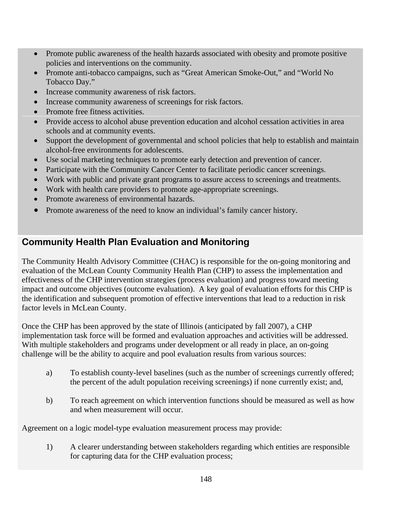- Promote public awareness of the health hazards associated with obesity and promote positive policies and interventions on the community.
- Promote anti-tobacco campaigns, such as "Great American Smoke-Out," and "World No Tobacco Day."
- Increase community awareness of risk factors.
- Increase community awareness of screenings for risk factors.
- Promote free fitness activities.
- Provide access to alcohol abuse prevention education and alcohol cessation activities in area schools and at community events.
- Support the development of governmental and school policies that help to establish and maintain alcohol-free environments for adolescents.
- Use social marketing techniques to promote early detection and prevention of cancer.
- Participate with the Community Cancer Center to facilitate periodic cancer screenings.
- Work with public and private grant programs to assure access to screenings and treatments.
- Work with health care providers to promote age-appropriate screenings.
- Promote awareness of environmental hazards.
- Promote awareness of the need to know an individual's family cancer history.

# **Community Health Plan Evaluation and Monitoring**

The Community Health Advisory Committee (CHAC) is responsible for the on-going monitoring and evaluation of the McLean County Community Health Plan (CHP) to assess the implementation and effectiveness of the CHP intervention strategies (process evaluation) and progress toward meeting impact and outcome objectives (outcome evaluation). A key goal of evaluation efforts for this CHP is the identification and subsequent promotion of effective interventions that lead to a reduction in risk factor levels in McLean County.

Once the CHP has been approved by the state of Illinois (anticipated by fall 2007), a CHP implementation task force will be formed and evaluation approaches and activities will be addressed. With multiple stakeholders and programs under development or all ready in place, an on-going challenge will be the ability to acquire and pool evaluation results from various sources:

- a) To establish county-level baselines (such as the number of screenings currently offered; the percent of the adult population receiving screenings) if none currently exist; and,
- b) To reach agreement on which intervention functions should be measured as well as how and when measurement will occur.

Agreement on a logic model-type evaluation measurement process may provide:

1) A clearer understanding between stakeholders regarding which entities are responsible for capturing data for the CHP evaluation process;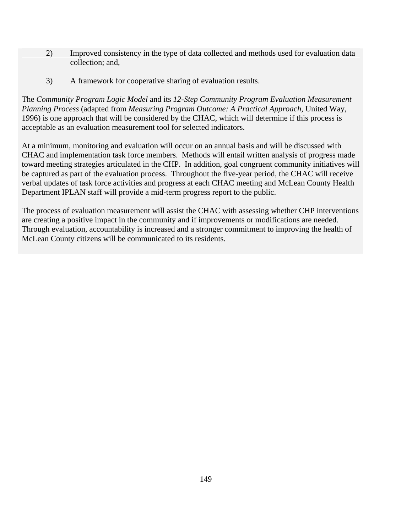- 2) Improved consistency in the type of data collected and methods used for evaluation data collection; and,
- 3) A framework for cooperative sharing of evaluation results.

The *Community Program Logic Model* and its *12-Step Community Program Evaluation Measurement Planning Process* (adapted from *Measuring Program Outcome: A Practical Approach*, United Way, 1996) is one approach that will be considered by the CHAC, which will determine if this process is acceptable as an evaluation measurement tool for selected indicators.

At a minimum, monitoring and evaluation will occur on an annual basis and will be discussed with CHAC and implementation task force members. Methods will entail written analysis of progress made toward meeting strategies articulated in the CHP. In addition, goal congruent community initiatives will be captured as part of the evaluation process. Throughout the five-year period, the CHAC will receive verbal updates of task force activities and progress at each CHAC meeting and McLean County Health Department IPLAN staff will provide a mid-term progress report to the public.

The process of evaluation measurement will assist the CHAC with assessing whether CHP interventions are creating a positive impact in the community and if improvements or modifications are needed. Through evaluation, accountability is increased and a stronger commitment to improving the health of McLean County citizens will be communicated to its residents.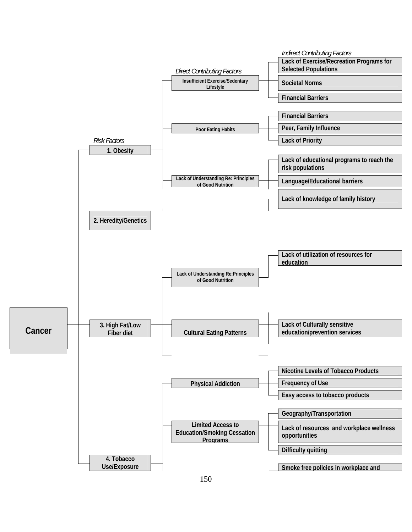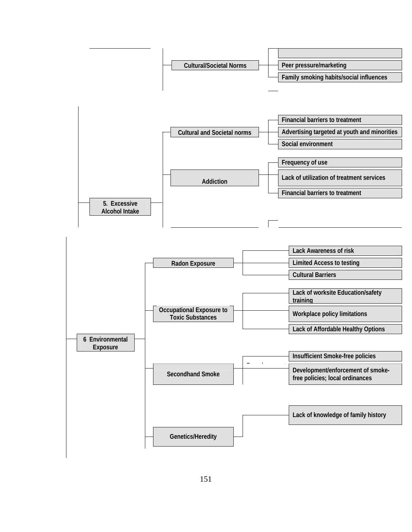